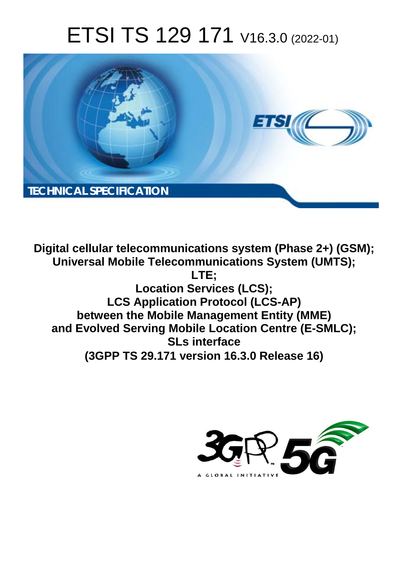# ETSI TS 129 171 V16.3.0 (2022-01)



**Digital cellular telecommunications system (Phase 2+) (GSM); Universal Mobile Telecommunications System (UMTS); LTE; Location Services (LCS); LCS Application Protocol (LCS-AP) between the Mobile Management Entity (MME) and Evolved Serving Mobile Location Centre (E-SMLC); SLs interface (3GPP TS 29.171 version 16.3.0 Release 16)** 

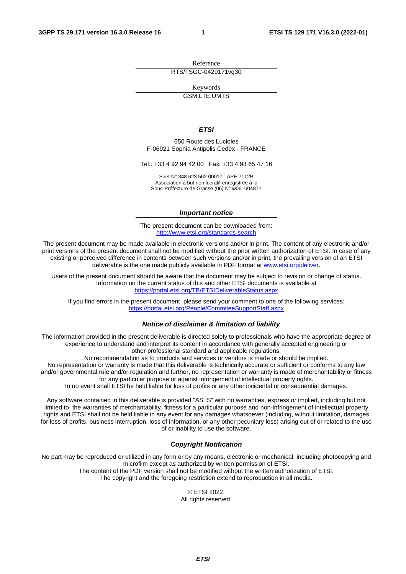Reference RTS/TSGC-0429171vg30

Keywords

GSM,LTE,UMTS

#### *ETSI*

650 Route des Lucioles F-06921 Sophia Antipolis Cedex - FRANCE

Tel.: +33 4 92 94 42 00 Fax: +33 4 93 65 47 16

Siret N° 348 623 562 00017 - APE 7112B Association à but non lucratif enregistrée à la Sous-Préfecture de Grasse (06) N° w061004871

#### *Important notice*

The present document can be downloaded from: <http://www.etsi.org/standards-search>

The present document may be made available in electronic versions and/or in print. The content of any electronic and/or print versions of the present document shall not be modified without the prior written authorization of ETSI. In case of any existing or perceived difference in contents between such versions and/or in print, the prevailing version of an ETSI deliverable is the one made publicly available in PDF format at [www.etsi.org/deliver](http://www.etsi.org/deliver).

Users of the present document should be aware that the document may be subject to revision or change of status. Information on the current status of this and other ETSI documents is available at <https://portal.etsi.org/TB/ETSIDeliverableStatus.aspx>

If you find errors in the present document, please send your comment to one of the following services: <https://portal.etsi.org/People/CommiteeSupportStaff.aspx>

#### *Notice of disclaimer & limitation of liability*

The information provided in the present deliverable is directed solely to professionals who have the appropriate degree of experience to understand and interpret its content in accordance with generally accepted engineering or other professional standard and applicable regulations.

No recommendation as to products and services or vendors is made or should be implied.

No representation or warranty is made that this deliverable is technically accurate or sufficient or conforms to any law and/or governmental rule and/or regulation and further, no representation or warranty is made of merchantability or fitness for any particular purpose or against infringement of intellectual property rights.

In no event shall ETSI be held liable for loss of profits or any other incidental or consequential damages.

Any software contained in this deliverable is provided "AS IS" with no warranties, express or implied, including but not limited to, the warranties of merchantability, fitness for a particular purpose and non-infringement of intellectual property rights and ETSI shall not be held liable in any event for any damages whatsoever (including, without limitation, damages for loss of profits, business interruption, loss of information, or any other pecuniary loss) arising out of or related to the use of or inability to use the software.

#### *Copyright Notification*

No part may be reproduced or utilized in any form or by any means, electronic or mechanical, including photocopying and microfilm except as authorized by written permission of ETSI. The content of the PDF version shall not be modified without the written authorization of ETSI.

The copyright and the foregoing restriction extend to reproduction in all media.

© ETSI 2022. All rights reserved.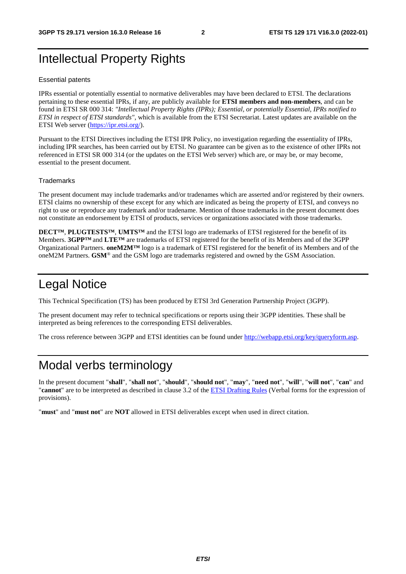## Intellectual Property Rights

#### Essential patents

IPRs essential or potentially essential to normative deliverables may have been declared to ETSI. The declarations pertaining to these essential IPRs, if any, are publicly available for **ETSI members and non-members**, and can be found in ETSI SR 000 314: *"Intellectual Property Rights (IPRs); Essential, or potentially Essential, IPRs notified to ETSI in respect of ETSI standards"*, which is available from the ETSI Secretariat. Latest updates are available on the ETSI Web server [\(https://ipr.etsi.org/](https://ipr.etsi.org/)).

Pursuant to the ETSI Directives including the ETSI IPR Policy, no investigation regarding the essentiality of IPRs, including IPR searches, has been carried out by ETSI. No guarantee can be given as to the existence of other IPRs not referenced in ETSI SR 000 314 (or the updates on the ETSI Web server) which are, or may be, or may become, essential to the present document.

#### **Trademarks**

The present document may include trademarks and/or tradenames which are asserted and/or registered by their owners. ETSI claims no ownership of these except for any which are indicated as being the property of ETSI, and conveys no right to use or reproduce any trademark and/or tradename. Mention of those trademarks in the present document does not constitute an endorsement by ETSI of products, services or organizations associated with those trademarks.

**DECT™**, **PLUGTESTS™**, **UMTS™** and the ETSI logo are trademarks of ETSI registered for the benefit of its Members. **3GPP™** and **LTE™** are trademarks of ETSI registered for the benefit of its Members and of the 3GPP Organizational Partners. **oneM2M™** logo is a trademark of ETSI registered for the benefit of its Members and of the oneM2M Partners. **GSM**® and the GSM logo are trademarks registered and owned by the GSM Association.

### Legal Notice

This Technical Specification (TS) has been produced by ETSI 3rd Generation Partnership Project (3GPP).

The present document may refer to technical specifications or reports using their 3GPP identities. These shall be interpreted as being references to the corresponding ETSI deliverables.

The cross reference between 3GPP and ETSI identities can be found under<http://webapp.etsi.org/key/queryform.asp>.

### Modal verbs terminology

In the present document "**shall**", "**shall not**", "**should**", "**should not**", "**may**", "**need not**", "**will**", "**will not**", "**can**" and "**cannot**" are to be interpreted as described in clause 3.2 of the [ETSI Drafting Rules](https://portal.etsi.org/Services/editHelp!/Howtostart/ETSIDraftingRules.aspx) (Verbal forms for the expression of provisions).

"**must**" and "**must not**" are **NOT** allowed in ETSI deliverables except when used in direct citation.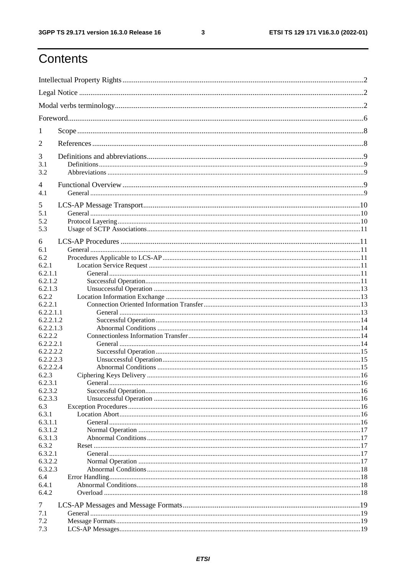$\mathbf{3}$ 

# Contents

| 1                  |  |
|--------------------|--|
| 2                  |  |
| 3                  |  |
| 3.1<br>3.2         |  |
| 4                  |  |
| 4.1                |  |
| 5                  |  |
| 5.1                |  |
| 5.2<br>5.3         |  |
|                    |  |
| 6                  |  |
| 6.1                |  |
| 6.2                |  |
| 6.2.1              |  |
| 6.2.1.1<br>6.2.1.2 |  |
| 6.2.1.3            |  |
| 6.2.2              |  |
| 6.2.2.1            |  |
| 6.2.2.1.1          |  |
| 6.2.2.1.2          |  |
| 6.2.2.1.3          |  |
| 6.2.2.2            |  |
| 6.2.2.2.1          |  |
| 6.2.2.2.2          |  |
| 6.2.2.2.3          |  |
| 6.2.2.2.4          |  |
| 6.2.3              |  |
| 6.2.3.1            |  |
| 6.2.3.2            |  |
| 6.2.3.3            |  |
| 6.3                |  |
| 6.3.1              |  |
| 6.3.1.1            |  |
| 6.3.1.2            |  |
| 6.3.1.3            |  |
| 6.3.2              |  |
| 6.3.2.1<br>6.3.2.2 |  |
| 6.3.2.3            |  |
| 6.4                |  |
| 6.4.1              |  |
| 6.4.2              |  |
|                    |  |
| 7                  |  |
| 7.1                |  |
| 7.2                |  |
| 7.3                |  |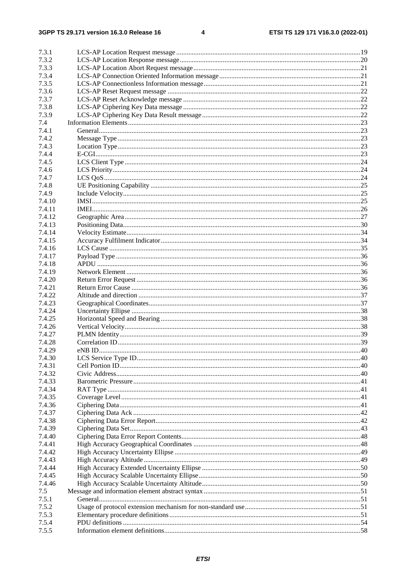| 7.3.1  |  |
|--------|--|
| 7.3.2  |  |
| 7.3.3  |  |
| 7.3.4  |  |
| 7.3.5  |  |
| 7.3.6  |  |
| 7.3.7  |  |
| 7.3.8  |  |
| 7.3.9  |  |
| 7.4    |  |
| 7.4.1  |  |
| 7.4.2  |  |
| 7.4.3  |  |
| 7.4.4  |  |
| 7.4.5  |  |
| 7.4.6  |  |
| 7.4.7  |  |
| 7.4.8  |  |
| 7.4.9  |  |
| 7.4.10 |  |
| 7.4.11 |  |
| 7.4.12 |  |
| 7.4.13 |  |
| 7.4.14 |  |
| 7.4.15 |  |
| 7.4.16 |  |
| 7.4.17 |  |
| 7.4.18 |  |
| 7.4.19 |  |
| 7.4.20 |  |
| 7.4.21 |  |
| 7.4.22 |  |
| 7.4.23 |  |
| 7.4.24 |  |
| 7.4.25 |  |
| 7.4.26 |  |
| 7.4.27 |  |
| 7.4.28 |  |
| 7.4.29 |  |
| 7.4.30 |  |
| 7.4.31 |  |
| 7.4.32 |  |
| 7.4.33 |  |
| 7.4.34 |  |
| 7.4.35 |  |
| 7.4.36 |  |
| 7.4.37 |  |
| 7.4.38 |  |
| 7.4.39 |  |
| 7.4.40 |  |
| 7.4.41 |  |
| 7.4.42 |  |
| 7.4.43 |  |
| 7.4.44 |  |
| 7.4.45 |  |
| 7.4.46 |  |
| 7.5    |  |
| 7.5.1  |  |
| 7.5.2  |  |
| 7.5.3  |  |
| 7.5.4  |  |
| 7.5.5  |  |
|        |  |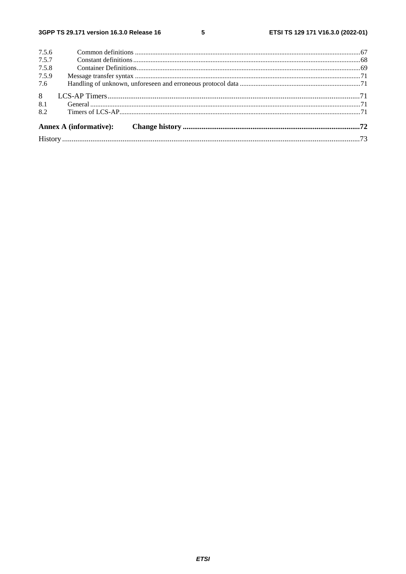#### $5\phantom{a}$

| 7.5.6          |  |
|----------------|--|
| 7.5.7          |  |
| 7.5.8          |  |
| 7.5.9          |  |
| 7.6            |  |
| 8 <sup>1</sup> |  |
| 8.1            |  |
| 8.2            |  |
|                |  |
|                |  |
|                |  |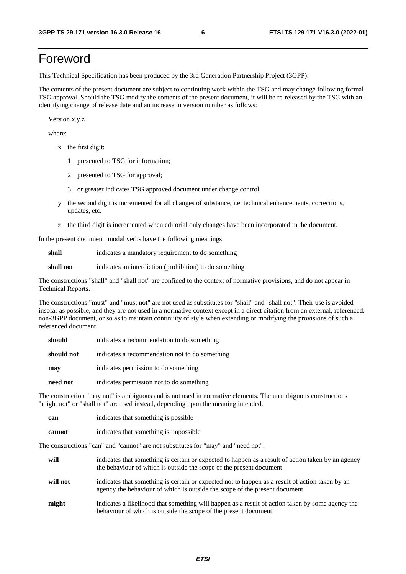## Foreword

This Technical Specification has been produced by the 3rd Generation Partnership Project (3GPP).

The contents of the present document are subject to continuing work within the TSG and may change following formal TSG approval. Should the TSG modify the contents of the present document, it will be re-released by the TSG with an identifying change of release date and an increase in version number as follows:

Version x.y.z

where:

- x the first digit:
	- 1 presented to TSG for information;
	- 2 presented to TSG for approval;
	- 3 or greater indicates TSG approved document under change control.
- y the second digit is incremented for all changes of substance, i.e. technical enhancements, corrections, updates, etc.
- z the third digit is incremented when editorial only changes have been incorporated in the document.

In the present document, modal verbs have the following meanings:

**shall** indicates a mandatory requirement to do something

**shall not** indicates an interdiction (prohibition) to do something

The constructions "shall" and "shall not" are confined to the context of normative provisions, and do not appear in Technical Reports.

The constructions "must" and "must not" are not used as substitutes for "shall" and "shall not". Their use is avoided insofar as possible, and they are not used in a normative context except in a direct citation from an external, referenced, non-3GPP document, or so as to maintain continuity of style when extending or modifying the provisions of such a referenced document.

| should     | indicates a recommendation to do something     |
|------------|------------------------------------------------|
| should not | indicates a recommendation not to do something |
| may        | indicates permission to do something           |
| need not   | indicates permission not to do something       |

The construction "may not" is ambiguous and is not used in normative elements. The unambiguous constructions "might not" or "shall not" are used instead, depending upon the meaning intended.

| can    | indicates that something is possible.  |
|--------|----------------------------------------|
| cannot | indicates that something is impossible |

The constructions "can" and "cannot" are not substitutes for "may" and "need not".

| will     | indicates that something is certain or expected to happen as a result of action taken by an agency<br>the behaviour of which is outside the scope of the present document     |
|----------|-------------------------------------------------------------------------------------------------------------------------------------------------------------------------------|
| will not | indicates that something is certain or expected not to happen as a result of action taken by an<br>agency the behaviour of which is outside the scope of the present document |
| might    | indicates a likelihood that something will happen as a result of action taken by some agency the<br>behaviour of which is outside the scope of the present document           |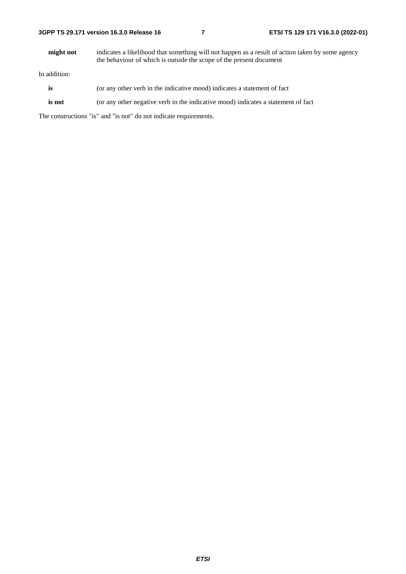**might not** indicates a likelihood that something will not happen as a result of action taken by some agency the behaviour of which is outside the scope of the present document

In addition:

- **is** (or any other verb in the indicative mood) indicates a statement of fact
- **is not** (or any other negative verb in the indicative mood) indicates a statement of fact

The constructions "is" and "is not" do not indicate requirements.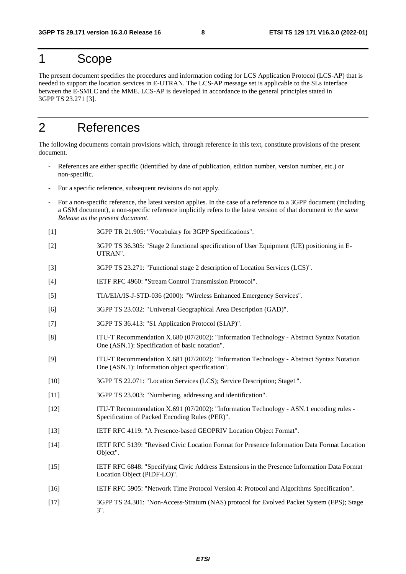### 1 Scope

The present document specifies the procedures and information coding for LCS Application Protocol (LCS-AP) that is needed to support the location services in E-UTRAN. The LCS-AP message set is applicable to the SLs interface between the E-SMLC and the MME. LCS-AP is developed in accordance to the general principles stated in 3GPP TS 23.271 [3].

## 2 References

The following documents contain provisions which, through reference in this text, constitute provisions of the present document.

- References are either specific (identified by date of publication, edition number, version number, etc.) or non-specific.
- For a specific reference, subsequent revisions do not apply.
- For a non-specific reference, the latest version applies. In the case of a reference to a 3GPP document (including a GSM document), a non-specific reference implicitly refers to the latest version of that document *in the same Release as the present document*.
- [1] 3GPP TR 21.905: "Vocabulary for 3GPP Specifications".
- [2] 3GPP TS 36.305: "Stage 2 functional specification of User Equipment (UE) positioning in E-UTRAN".
- [3] 3GPP TS 23.271: "Functional stage 2 description of Location Services (LCS)".
- [4] IETF RFC 4960: "Stream Control Transmission Protocol".
- [5] TIA/EIA/IS-J-STD-036 (2000): "Wireless Enhanced Emergency Services".
- [6] 3GPP TS 23.032: "Universal Geographical Area Description (GAD)".
- [7] 3GPP TS 36.413: "S1 Application Protocol (S1AP)".
- [8] ITU-T Recommendation X.680 (07/2002): "Information Technology Abstract Syntax Notation One (ASN.1): Specification of basic notation".
- [9] ITU-T Recommendation X.681 (07/2002): "Information Technology Abstract Syntax Notation One (ASN.1): Information object specification".
- [10] 3GPP TS 22.071: "Location Services (LCS); Service Description; Stage1".
- [11] 3GPP TS 23.003: "Numbering, addressing and identification".
- [12] ITU-T Recommendation X.691 (07/2002): "Information Technology ASN.1 encoding rules Specification of Packed Encoding Rules (PER)".
- [13] IETF RFC 4119: "A Presence-based GEOPRIV Location Object Format".
- [14] IETF RFC 5139: "Revised Civic Location Format for Presence Information Data Format Location Object".
- [15] IETF RFC 6848: "Specifying Civic Address Extensions in the Presence Information Data Format Location Object (PIDF-LO)".
- [16] IETF RFC 5905: "Network Time Protocol Version 4: Protocol and Algorithms Specification".
- [17] 3GPP TS 24.301: "Non-Access-Stratum (NAS) protocol for Evolved Packet System (EPS); Stage 3".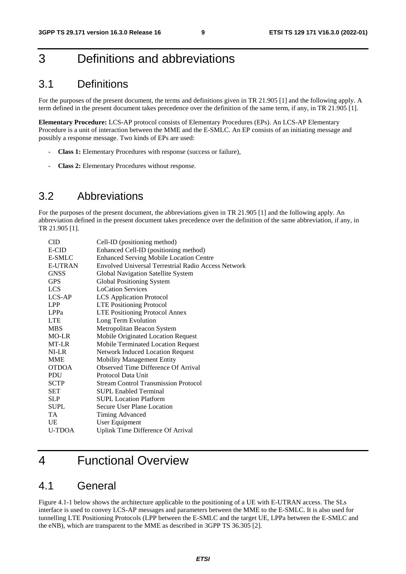## 3 Definitions and abbreviations

### 3.1 Definitions

For the purposes of the present document, the terms and definitions given in TR 21.905 [1] and the following apply. A term defined in the present document takes precedence over the definition of the same term, if any, in TR 21.905 [1].

**Elementary Procedure:** LCS-AP protocol consists of Elementary Procedures (EPs). An LCS-AP Elementary Procedure is a unit of interaction between the MME and the E-SMLC. An EP consists of an initiating message and possibly a response message. Two kinds of EPs are used:

- **Class 1:** Elementary Procedures with response (success or failure),
- **Class 2:** Elementary Procedures without response.

### 3.2 Abbreviations

For the purposes of the present document, the abbreviations given in TR 21.905 [1] and the following apply. An abbreviation defined in the present document takes precedence over the definition of the same abbreviation, if any, in TR 21.905 [1].

| CID            | Cell-ID (positioning method)                               |
|----------------|------------------------------------------------------------|
| E-CID          | Enhanced Cell-ID (positioning method)                      |
| E-SMLC         | <b>Enhanced Serving Mobile Location Centre</b>             |
| <b>E-UTRAN</b> | <b>Envolved Universal Terrestrial Radio Access Network</b> |
| <b>GNSS</b>    | Global Navigation Satellite System                         |
| <b>GPS</b>     | Global Positioning System                                  |
| <b>LCS</b>     | <b>LoCation Services</b>                                   |
| LCS-AP         | <b>LCS</b> Application Protocol                            |
| <b>LPP</b>     | <b>LTE Positioning Protocol</b>                            |
| LPPa           | <b>LTE Positioning Protocol Annex</b>                      |
| <b>LTE</b>     | Long Term Evolution                                        |
| <b>MBS</b>     | Metropolitan Beacon System                                 |
| MO-LR          | Mobile Originated Location Request                         |
| MT-LR          | Mobile Terminated Location Request                         |
| NI-LR          | <b>Network Induced Location Request</b>                    |
| <b>MME</b>     | <b>Mobility Management Entity</b>                          |
| <b>OTDOA</b>   | Observed Time Difference Of Arrival                        |
| <b>PDU</b>     | Protocol Data Unit                                         |
| <b>SCTP</b>    | <b>Stream Control Transmission Protocol</b>                |
| SET            | <b>SUPL Enabled Terminal</b>                               |
| <b>SLP</b>     | <b>SUPL Location Platform</b>                              |
| <b>SUPL</b>    | Secure User Plane Location                                 |
| TA             | Timing Advanced                                            |
| <b>UE</b>      | User Equipment                                             |
| <b>U-TDOA</b>  | Uplink Time Difference Of Arrival                          |
|                |                                                            |

## 4 Functional Overview

### 4.1 General

Figure 4.1-1 below shows the architecture applicable to the positioning of a UE with E-UTRAN access. The SLs interface is used to convey LCS-AP messages and parameters between the MME to the E-SMLC. It is also used for tunnelling LTE Positioning Protocols (LPP between the E-SMLC and the target UE, LPPa between the E-SMLC and the eNB), which are transparent to the MME as described in 3GPP TS 36.305 [2].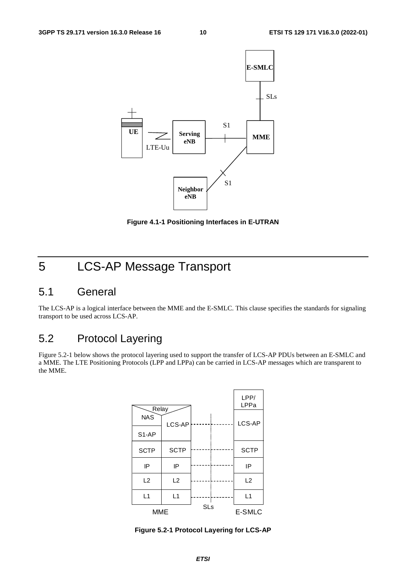

**Figure 4.1-1 Positioning Interfaces in E-UTRAN** 

# 5 LCS-AP Message Transport

### 5.1 General

The LCS-AP is a logical interface between the MME and the E-SMLC. This clause specifies the standards for signaling transport to be used across LCS-AP.

### 5.2 Protocol Layering

Figure 5.2-1 below shows the protocol layering used to support the transfer of LCS-AP PDUs between an E-SMLC and a MME. The LTE Positioning Protocols (LPP and LPPa) can be carried in LCS-AP messages which are transparent to the MME.



**Figure 5.2-1 Protocol Layering for LCS-AP**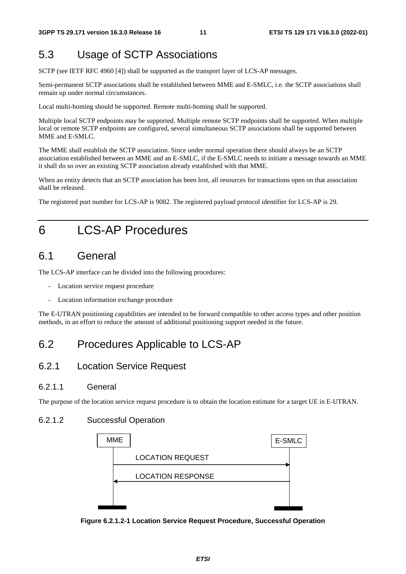### 5.3 Usage of SCTP Associations

SCTP (see IETF RFC 4960 [4]) shall be supported as the transport layer of LCS-AP messages.

Semi-permanent SCTP associations shall be established between MME and E-SMLC, i.e. the SCTP associations shall remain up under normal circumstances.

Local multi-homing should be supported. Remote multi-homing shall be supported.

Multiple local SCTP endpoints may be supported. Multiple remote SCTP endpoints shall be supported. When multiple local or remote SCTP endpoints are configured, several simultaneous SCTP associations shall be supported between MME and E-SMLC.

The MME shall establish the SCTP association. Since under normal operation there should always be an SCTP association established between an MME and an E-SMLC, if the E-SMLC needs to initiate a message towards an MME it shall do so over an existing SCTP association already established with that MME.

When an entity detects that an SCTP association has been lost, all resources for transactions open on that association shall be released.

The registered port number for LCS-AP is 9082. The registered payload protocol identifier for LCS-AP is 29.

## 6 LCS-AP Procedures

### 6.1 General

The LCS-AP interface can be divided into the following procedures:

- Location service request procedure
- Location information exchange procedure

The E-UTRAN positioning capabilities are intended to be forward compatible to other access types and other position methods, in an effort to reduce the amount of additional positioning support needed in the future.

### 6.2 Procedures Applicable to LCS-AP

#### 6.2.1 Location Service Request

#### 6.2.1.1 General

The purpose of the location service request procedure is to obtain the location estimate for a target UE in E-UTRAN.

#### 6.2.1.2 Successful Operation



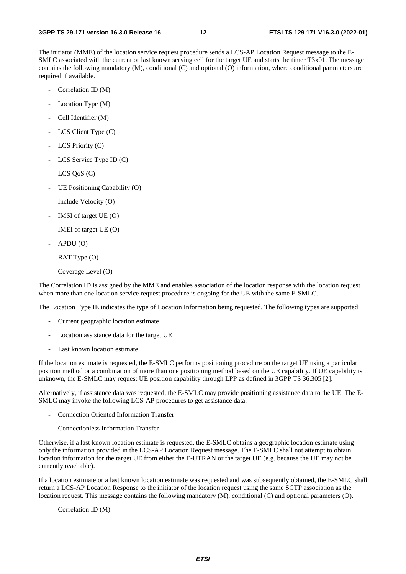The initiator (MME) of the location service request procedure sends a LCS-AP Location Request message to the E-SMLC associated with the current or last known serving cell for the target UE and starts the timer T3x01. The message contains the following mandatory (M), conditional (C) and optional (O) information, where conditional parameters are required if available.

- Correlation ID (M)
- Location Type (M)
- Cell Identifier (M)
- LCS Client Type (C)
- LCS Priority (C)
- LCS Service Type ID (C)
- $LCS$  QoS  $(C)$
- UE Positioning Capability (O)
- Include Velocity (O)
- IMSI of target  $UE(0)$
- IMEI of target UE (O)
- $APDU$  (O)
- RAT Type (O)
- Coverage Level (O)

The Correlation ID is assigned by the MME and enables association of the location response with the location request when more than one location service request procedure is ongoing for the UE with the same E-SMLC.

The Location Type IE indicates the type of Location Information being requested. The following types are supported:

- Current geographic location estimate
- Location assistance data for the target UE
- Last known location estimate

If the location estimate is requested, the E-SMLC performs positioning procedure on the target UE using a particular position method or a combination of more than one positioning method based on the UE capability. If UE capability is unknown, the E-SMLC may request UE position capability through LPP as defined in 3GPP TS 36.305 [2].

Alternatively, if assistance data was requested, the E-SMLC may provide positioning assistance data to the UE. The E-SMLC may invoke the following LCS-AP procedures to get assistance data:

- Connection Oriented Information Transfer
- Connectionless Information Transfer

Otherwise, if a last known location estimate is requested, the E-SMLC obtains a geographic location estimate using only the information provided in the LCS-AP Location Request message. The E-SMLC shall not attempt to obtain location information for the target UE from either the E-UTRAN or the target UE (e.g. because the UE may not be currently reachable).

If a location estimate or a last known location estimate was requested and was subsequently obtained, the E-SMLC shall return a LCS-AP Location Response to the initiator of the location request using the same SCTP association as the location request. This message contains the following mandatory (M), conditional (C) and optional parameters (O).

- Correlation ID (M)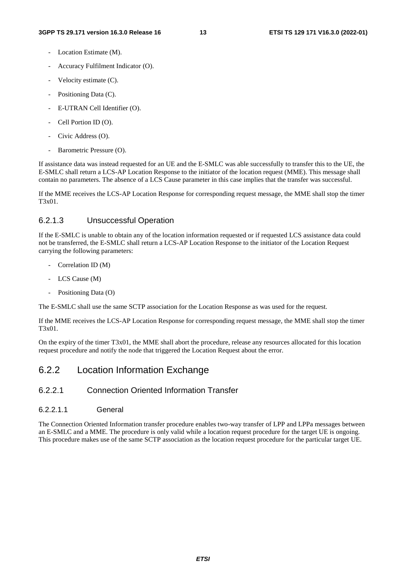- Location Estimate (M).
- Accuracy Fulfilment Indicator (O).
- Velocity estimate (C).
- Positioning Data (C).
- E-UTRAN Cell Identifier (O).
- Cell Portion ID (O).
- Civic Address (O).
- Barometric Pressure (O).

If assistance data was instead requested for an UE and the E-SMLC was able successfully to transfer this to the UE, the E-SMLC shall return a LCS-AP Location Response to the initiator of the location request (MME). This message shall contain no parameters. The absence of a LCS Cause parameter in this case implies that the transfer was successful.

If the MME receives the LCS-AP Location Response for corresponding request message, the MME shall stop the timer T3x01.

#### 6.2.1.3 Unsuccessful Operation

If the E-SMLC is unable to obtain any of the location information requested or if requested LCS assistance data could not be transferred, the E-SMLC shall return a LCS-AP Location Response to the initiator of the Location Request carrying the following parameters:

- Correlation ID (M)
- LCS Cause (M)
- Positioning Data (O)

The E-SMLC shall use the same SCTP association for the Location Response as was used for the request.

If the MME receives the LCS-AP Location Response for corresponding request message, the MME shall stop the timer T3x01.

On the expiry of the timer T3x01, the MME shall abort the procedure, release any resources allocated for this location request procedure and notify the node that triggered the Location Request about the error.

#### 6.2.2 Location Information Exchange

#### 6.2.2.1 Connection Oriented Information Transfer

6.2.2.1.1 General

The Connection Oriented Information transfer procedure enables two-way transfer of LPP and LPPa messages between an E-SMLC and a MME. The procedure is only valid while a location request procedure for the target UE is ongoing. This procedure makes use of the same SCTP association as the location request procedure for the particular target UE.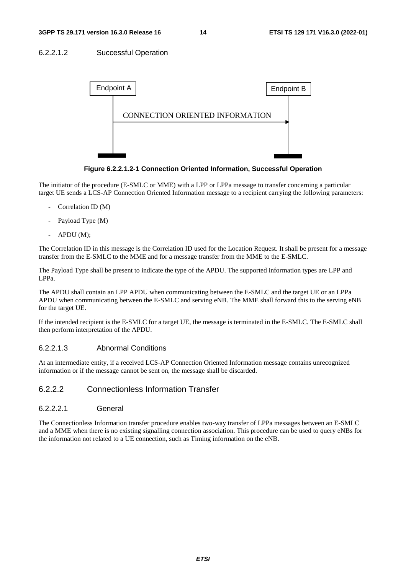#### 6.2.2.1.2 Successful Operation



**Figure 6.2.2.1.2-1 Connection Oriented Information, Successful Operation** 

The initiator of the procedure (E-SMLC or MME) with a LPP or LPPa message to transfer concerning a particular target UE sends a LCS-AP Connection Oriented Information message to a recipient carrying the following parameters:

- Correlation ID (M)
- Payload Type (M)
- APDU (M);

The Correlation ID in this message is the Correlation ID used for the Location Request. It shall be present for a message transfer from the E-SMLC to the MME and for a message transfer from the MME to the E-SMLC.

The Payload Type shall be present to indicate the type of the APDU. The supported information types are LPP and LPPa.

The APDU shall contain an LPP APDU when communicating between the E-SMLC and the target UE or an LPPa APDU when communicating between the E-SMLC and serving eNB. The MME shall forward this to the serving eNB for the target UE.

If the intended recipient is the E-SMLC for a target UE, the message is terminated in the E-SMLC. The E-SMLC shall then perform interpretation of the APDU.

#### 6.2.2.1.3 Abnormal Conditions

At an intermediate entity, if a received LCS-AP Connection Oriented Information message contains unrecognized information or if the message cannot be sent on, the message shall be discarded.

#### 6.2.2.2 Connectionless Information Transfer

#### 6.2.2.2.1 General

The Connectionless Information transfer procedure enables two-way transfer of LPPa messages between an E-SMLC and a MME when there is no existing signalling connection association. This procedure can be used to query eNBs for the information not related to a UE connection, such as Timing information on the eNB.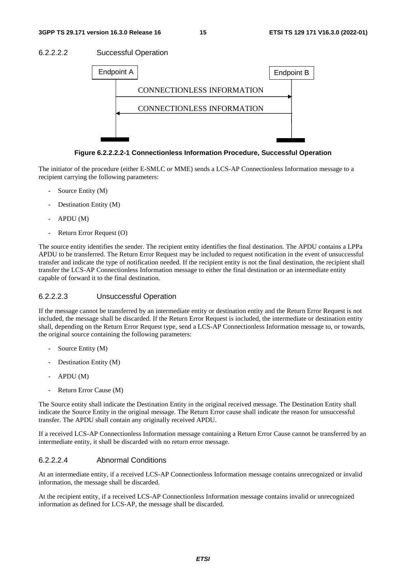



**Figure 6.2.2.2.2-1 Connectionless Information Procedure, Successful Operation** 

The initiator of the procedure (either E-SMLC or MME) sends a LCS-AP Connectionless Information message to a recipient carrying the following parameters:

- Source Entity (M)
- Destination Entity (M)
- APDU (M)
- Return Error Request (O)

The source entity identifies the sender. The recipient entity identifies the final destination. The APDU contains a LPPa APDU to be transferred. The Return Error Request may be included to request notification in the event of unsuccessful transfer and indicate the type of notification needed. If the recipient entity is not the final destination, the recipient shall transfer the LCS-AP Connectionless Information message to either the final destination or an intermediate entity capable of forward it to the final destination.

#### 6.2.2.2.3 Unsuccessful Operation

If the message cannot be transferred by an intermediate entity or destination entity and the Return Error Request is not included, the message shall be discarded. If the Return Error Request is included, the intermediate or destination entity shall, depending on the Return Error Request type, send a LCS-AP Connectionless Information message to, or towards, the original source containing the following parameters:

- Source Entity (M)
- Destination Entity (M)
- APDU (M)
- Return Error Cause (M)

The Source entity shall indicate the Destination Entity in the original received message. The Destination Entity shall indicate the Source Entity in the original message. The Return Error cause shall indicate the reason for unsuccessful transfer. The APDU shall contain any originally received APDU.

If a received LCS-AP Connectionless Information message containing a Return Error Cause cannot be transferred by an intermediate entity, it shall be discarded with no return error message.

#### 6.2.2.2.4 Abnormal Conditions

At an intermediate entity, if a received LCS-AP Connectionless Information message contains unrecognized or invalid information, the message shall be discarded.

At the recipient entity, if a received LCS-AP Connectionless Information message contains invalid or unrecognized information as defined for LCS-AP, the message shall be discarded.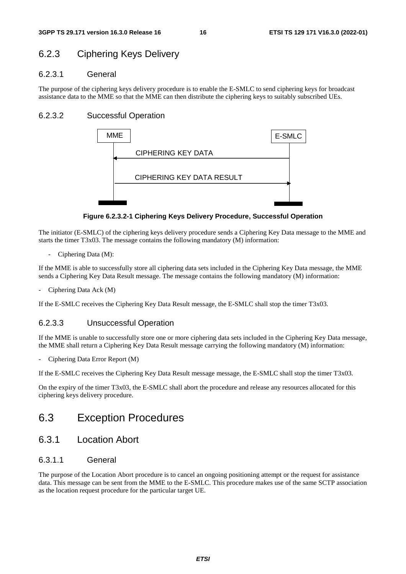### 6.2.3 Ciphering Keys Delivery

#### 6.2.3.1 General

The purpose of the ciphering keys delivery procedure is to enable the E-SMLC to send ciphering keys for broadcast assistance data to the MME so that the MME can then distribute the ciphering keys to suitably subscribed UEs.

#### 6.2.3.2 Successful Operation



**Figure 6.2.3.2-1 Ciphering Keys Delivery Procedure, Successful Operation** 

The initiator (E-SMLC) of the ciphering keys delivery procedure sends a Ciphering Key Data message to the MME and starts the timer T3x03. The message contains the following mandatory (M) information:

- Ciphering Data (M):

If the MME is able to successfully store all ciphering data sets included in the Ciphering Key Data message, the MME sends a Ciphering Key Data Result message. The message contains the following mandatory (M) information:

Ciphering Data Ack (M)

If the E-SMLC receives the Ciphering Key Data Result message, the E-SMLC shall stop the timer T3x03.

#### 6.2.3.3 Unsuccessful Operation

If the MME is unable to successfully store one or more ciphering data sets included in the Ciphering Key Data message, the MME shall return a Ciphering Key Data Result message carrying the following mandatory (M) information:

- Ciphering Data Error Report (M)

If the E-SMLC receives the Ciphering Key Data Result message message, the E-SMLC shall stop the timer T3x03.

On the expiry of the timer T3x03, the E-SMLC shall abort the procedure and release any resources allocated for this ciphering keys delivery procedure.

### 6.3 Exception Procedures

#### 6.3.1 Location Abort

#### 6.3.1.1 General

The purpose of the Location Abort procedure is to cancel an ongoing positioning attempt or the request for assistance data. This message can be sent from the MME to the E-SMLC. This procedure makes use of the same SCTP association as the location request procedure for the particular target UE.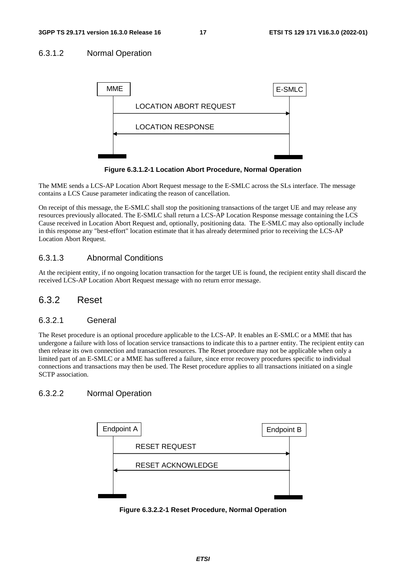#### 6.3.1.2 Normal Operation



**Figure 6.3.1.2-1 Location Abort Procedure, Normal Operation**

The MME sends a LCS-AP Location Abort Request message to the E-SMLC across the SLs interface. The message contains a LCS Cause parameter indicating the reason of cancellation.

On receipt of this message, the E-SMLC shall stop the positioning transactions of the target UE and may release any resources previously allocated. The E-SMLC shall return a LCS-AP Location Response message containing the LCS Cause received in Location Abort Request and, optionally, positioning data. The E-SMLC may also optionally include in this response any "best-effort" location estimate that it has already determined prior to receiving the LCS-AP Location Abort Request.

#### 6.3.1.3 Abnormal Conditions

At the recipient entity, if no ongoing location transaction for the target UE is found, the recipient entity shall discard the received LCS-AP Location Abort Request message with no return error message.

#### 6.3.2 Reset

#### 6.3.2.1 General

The Reset procedure is an optional procedure applicable to the LCS-AP. It enables an E-SMLC or a MME that has undergone a failure with loss of location service transactions to indicate this to a partner entity. The recipient entity can then release its own connection and transaction resources. The Reset procedure may not be applicable when only a limited part of an E-SMLC or a MME has suffered a failure, since error recovery procedures specific to individual connections and transactions may then be used. The Reset procedure applies to all transactions initiated on a single SCTP association.

#### 6.3.2.2 Normal Operation



**Figure 6.3.2.2-1 Reset Procedure, Normal Operation**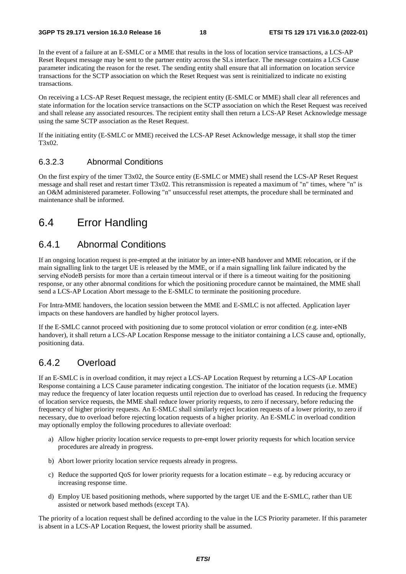In the event of a failure at an E-SMLC or a MME that results in the loss of location service transactions, a LCS-AP Reset Request message may be sent to the partner entity across the SLs interface. The message contains a LCS Cause parameter indicating the reason for the reset. The sending entity shall ensure that all information on location service transactions for the SCTP association on which the Reset Request was sent is reinitialized to indicate no existing transactions.

On receiving a LCS-AP Reset Request message, the recipient entity (E-SMLC or MME) shall clear all references and state information for the location service transactions on the SCTP association on which the Reset Request was received and shall release any associated resources. The recipient entity shall then return a LCS-AP Reset Acknowledge message using the same SCTP association as the Reset Request.

If the initiating entity (E-SMLC or MME) received the LCS-AP Reset Acknowledge message, it shall stop the timer T3x02.

#### 6.3.2.3 Abnormal Conditions

On the first expiry of the timer T3x02, the Source entity (E-SMLC or MME) shall resend the LCS-AP Reset Request message and shall reset and restart timer T3x02. This retransmission is repeated a maximum of "n" times, where "n" is an O&M administered parameter. Following "n" unsuccessful reset attempts, the procedure shall be terminated and maintenance shall be informed.

### 6.4 Error Handling

### 6.4.1 Abnormal Conditions

If an ongoing location request is pre-empted at the initiator by an inter-eNB handover and MME relocation, or if the main signalling link to the target UE is released by the MME, or if a main signalling link failure indicated by the serving eNodeB persists for more than a certain timeout interval or if there is a timeout waiting for the positioning response, or any other abnormal conditions for which the positioning procedure cannot be maintained, the MME shall send a LCS-AP Location Abort message to the E-SMLC to terminate the positioning procedure.

For Intra-MME handovers, the location session between the MME and E-SMLC is not affected. Application layer impacts on these handovers are handled by higher protocol layers.

If the E-SMLC cannot proceed with positioning due to some protocol violation or error condition (e.g. inter-eNB handover), it shall return a LCS-AP Location Response message to the initiator containing a LCS cause and, optionally, positioning data.

### 6.4.2 Overload

If an E-SMLC is in overload condition, it may reject a LCS-AP Location Request by returning a LCS-AP Location Response containing a LCS Cause parameter indicating congestion. The initiator of the location requests (i.e. MME) may reduce the frequency of later location requests until rejection due to overload has ceased. In reducing the frequency of location service requests, the MME shall reduce lower priority requests, to zero if necessary, before reducing the frequency of higher priority requests. An E-SMLC shall similarly reject location requests of a lower priority, to zero if necessary, due to overload before rejecting location requests of a higher priority. An E-SMLC in overload condition may optionally employ the following procedures to alleviate overload:

- a) Allow higher priority location service requests to pre-empt lower priority requests for which location service procedures are already in progress.
- b) Abort lower priority location service requests already in progress.
- c) Reduce the supported OoS for lower priority requests for a location estimate e.g. by reducing accuracy or increasing response time.
- d) Employ UE based positioning methods, where supported by the target UE and the E-SMLC, rather than UE assisted or network based methods (except TA).

The priority of a location request shall be defined according to the value in the LCS Priority parameter. If this parameter is absent in a LCS-AP Location Request, the lowest priority shall be assumed.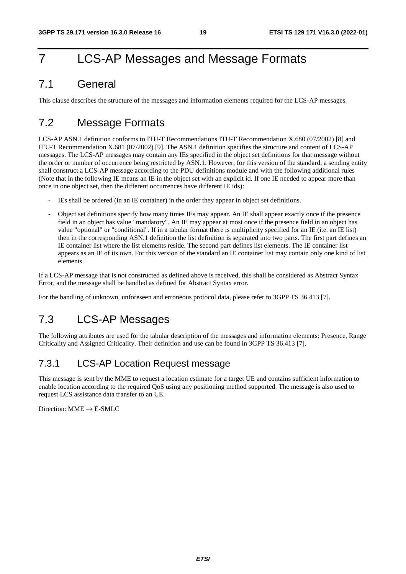## 7 LCS-AP Messages and Message Formats

### 7.1 General

This clause describes the structure of the messages and information elements required for the LCS-AP messages.

### 7.2 Message Formats

LCS-AP ASN.1 definition conforms to ITU-T Recommendations ITU-T Recommendation X.680 (07/2002) [8] and ITU-T Recommendation X.681 (07/2002) [9]. The ASN.1 definition specifies the structure and content of LCS-AP messages. The LCS-AP messages may contain any IEs specified in the object set definitions for that message without the order or number of occurrence being restricted by ASN.1. However, for this version of the standard, a sending entity shall construct a LCS-AP message according to the PDU definitions module and with the following additional rules (Note that in the following IE means an IE in the object set with an explicit id. If one IE needed to appear more than once in one object set, then the different occurrences have different IE ids):

- IEs shall be ordered (in an IE container) in the order they appear in object set definitions.
- Object set definitions specify how many times IEs may appear. An IE shall appear exactly once if the presence field in an object has value "mandatory". An IE may appear at most once if the presence field in an object has value "optional" or "conditional". If in a tabular format there is multiplicity specified for an IE (i.e. an IE list) then in the corresponding ASN.1 definition the list definition is separated into two parts. The first part defines an IE container list where the list elements reside. The second part defines list elements. The IE container list appears as an IE of its own. For this version of the standard an IE container list may contain only one kind of list elements.

If a LCS-AP message that is not constructed as defined above is received, this shall be considered as Abstract Syntax Error, and the message shall be handled as defined for Abstract Syntax error.

For the handling of unknown, unforeseen and erroneous protocol data, please refer to 3GPP TS 36.413 [7].

### 7.3 LCS-AP Messages

The following attributes are used for the tabular description of the messages and information elements: Presence, Range Criticality and Assigned Criticality. Their definition and use can be found in 3GPP TS 36.413 [7].

### 7.3.1 LCS-AP Location Request message

This message is sent by the MME to request a location estimate for a target UE and contains sufficient information to enable location according to the required QoS using any positioning method supported. The message is also used to request LCS assistance data transfer to an UE.

Direction:  $MME \rightarrow E-SMLC$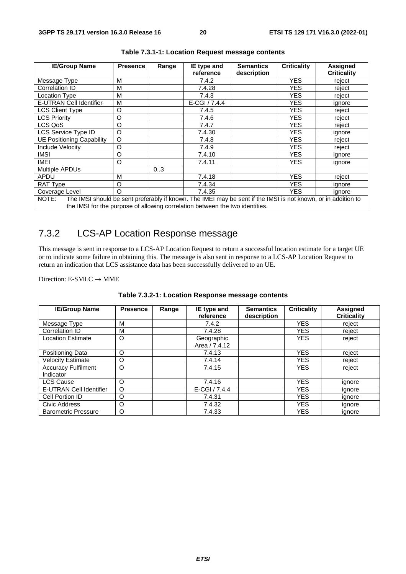| <b>IE/Group Name</b>                                                                                                   | <b>Presence</b> | Range | IE type and<br>reference | <b>Semantics</b><br>description | <b>Criticality</b> | <b>Assigned</b><br><b>Criticality</b> |  |
|------------------------------------------------------------------------------------------------------------------------|-----------------|-------|--------------------------|---------------------------------|--------------------|---------------------------------------|--|
| Message Type                                                                                                           | М               |       | 7.4.2                    |                                 | <b>YES</b>         | reject                                |  |
| Correlation ID                                                                                                         | M               |       | 7.4.28                   |                                 | YES                | reject                                |  |
| <b>Location Type</b>                                                                                                   | M               |       | 7.4.3                    |                                 | YES                | reject                                |  |
| E-UTRAN Cell Identifier                                                                                                | M               |       | $E-CGI / 7.4.4$          |                                 | YES                | ignore                                |  |
| <b>LCS Client Type</b>                                                                                                 | O               |       | 7.4.5                    |                                 | YES                | reject                                |  |
| <b>LCS Priority</b>                                                                                                    | O               |       | 7.4.6                    |                                 | YES                | reject                                |  |
| LCS QoS                                                                                                                | $\circ$         |       | 7.4.7                    |                                 | YES                | reject                                |  |
| LCS Service Type ID                                                                                                    | O               |       | 7.4.30                   |                                 | YES.               | ignore                                |  |
| <b>UE Positioning Capability</b>                                                                                       | O               |       | 7.4.8                    |                                 | YES                | reject                                |  |
| Include Velocity                                                                                                       | O               |       | 7.4.9                    |                                 | <b>YES</b>         | reject                                |  |
| IMSI                                                                                                                   | O               |       | 7.4.10                   |                                 | YES                | ignore                                |  |
| IMEI                                                                                                                   | O               |       | 7.4.11                   |                                 | YES.               | ignore                                |  |
| Multiple APDUs                                                                                                         |                 | 03    |                          |                                 |                    |                                       |  |
| APDU                                                                                                                   | M               |       | 7.4.18                   |                                 | <b>YES</b>         | reject                                |  |
| RAT Type                                                                                                               | O               |       | 7.4.34                   |                                 | YES.               | ignore                                |  |
| Coverage Level                                                                                                         | $\Omega$        |       | 7.4.35                   |                                 | <b>YES</b>         | ignore                                |  |
| The IMSI should be sent preferably if known. The IMEI may be sent if the IMSI is not known, or in addition to<br>NOTE: |                 |       |                          |                                 |                    |                                       |  |
| the IMSI for the purpose of allowing correlation between the two identities.                                           |                 |       |                          |                                 |                    |                                       |  |

**Table 7.3.1-1: Location Request message contents** 

### 7.3.2 LCS-AP Location Response message

This message is sent in response to a LCS-AP Location Request to return a successful location estimate for a target UE or to indicate some failure in obtaining this. The message is also sent in response to a LCS-AP Location Request to return an indication that LCS assistance data has been successfully delivered to an UE.

Direction: E-SMLC  $\rightarrow$  MME

| <b>IE/Group Name</b>                    | <b>Presence</b> | Range | IE type and<br>reference    | <b>Semantics</b><br>description | <b>Criticality</b> | <b>Assigned</b><br><b>Criticality</b> |
|-----------------------------------------|-----------------|-------|-----------------------------|---------------------------------|--------------------|---------------------------------------|
| Message Type                            | M               |       | 7.4.2                       |                                 | <b>YES</b>         | reject                                |
| Correlation ID                          | M               |       | 7.4.28                      |                                 | <b>YES</b>         | reject                                |
| <b>Location Estimate</b>                | O               |       | Geographic<br>Area / 7.4.12 |                                 | <b>YES</b>         | reject                                |
| <b>Positioning Data</b>                 | O               |       | 7.4.13                      |                                 | <b>YES</b>         | reject                                |
| <b>Velocity Estimate</b>                | O               |       | 7.4.14                      |                                 | <b>YES</b>         | reject                                |
| <b>Accuracy Fulfilment</b><br>Indicator | $\circ$         |       | 7.4.15                      |                                 | <b>YES</b>         | reject                                |
| <b>LCS Cause</b>                        | $\circ$         |       | 7.4.16                      |                                 | <b>YES</b>         | ignore                                |
| <b>E-UTRAN Cell Identifier</b>          | O               |       | $E-CGI / 7.4.4$             |                                 | <b>YES</b>         | ignore                                |
| Cell Portion ID                         | O               |       | 7.4.31                      |                                 | <b>YES</b>         | ignore                                |
| Civic Address                           | O               |       | 7.4.32                      |                                 | <b>YES</b>         | ignore                                |
| <b>Barometric Pressure</b>              | O               |       | 7.4.33                      |                                 | <b>YES</b>         | ignore                                |

**Table 7.3.2-1: Location Response message contents**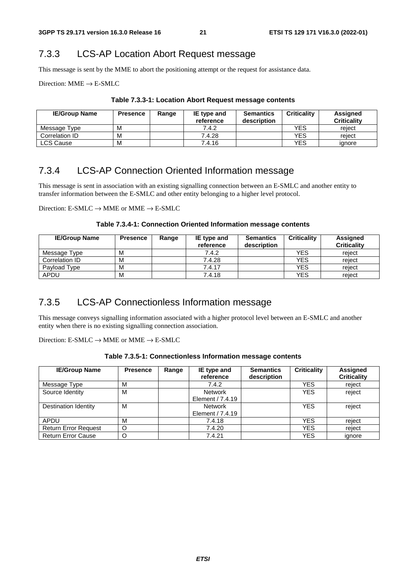### 7.3.3 LCS-AP Location Abort Request message

This message is sent by the MME to abort the positioning attempt or the request for assistance data.

Direction:  $MME \rightarrow E-SMLC$ 

| <b>IE/Group Name</b> | <b>Presence</b> | Range | IE type and<br>reference | <b>Semantics</b><br>description | <b>Criticality</b> | Assigned<br><b>Criticality</b> |
|----------------------|-----------------|-------|--------------------------|---------------------------------|--------------------|--------------------------------|
| Message Type         | М               |       | 7.4.2                    |                                 | YES                | reiect                         |
| Correlation ID       | M               |       | 7.4.28                   |                                 | YES                | reiect                         |
| <b>LCS Cause</b>     | M               |       | 7.4.16                   |                                 | YES                | ignore                         |

**Table 7.3.3-1: Location Abort Request message contents** 

### 7.3.4 LCS-AP Connection Oriented Information message

This message is sent in association with an existing signalling connection between an E-SMLC and another entity to transfer information between the E-SMLC and other entity belonging to a higher level protocol.

Direction:  $E\text{-SMLC} \rightarrow \text{MME}$  or  $\text{MME} \rightarrow E\text{-SMLC}$ 

**Table 7.3.4-1: Connection Oriented Information message contents** 

| <b>IE/Group Name</b> | <b>Presence</b> | Range | IE type and<br>reference | <b>Semantics</b><br>description | <b>Criticality</b> | Assigned<br><b>Criticality</b> |
|----------------------|-----------------|-------|--------------------------|---------------------------------|--------------------|--------------------------------|
| Message Type         | M               |       | 7.4.2                    |                                 | <b>YES</b>         | reiect                         |
| Correlation ID       | M               |       | 7.4.28                   |                                 | <b>YES</b>         | reiect                         |
| Payload Type         | M               |       | 7.4.17                   |                                 | <b>YES</b>         | reiect                         |
| <b>APDU</b>          | M               |       | 7.4.18                   |                                 | <b>YES</b>         | reiect                         |

### 7.3.5 LCS-AP Connectionless Information message

This message conveys signalling information associated with a higher protocol level between an E-SMLC and another entity when there is no existing signalling connection association.

Direction:  $E\text{-}SMLC \rightarrow MME$  or  $MME \rightarrow E\text{-}SMLC$ 

| <b>IE/Group Name</b>        | <b>Presence</b> | Range | IE type and<br>reference | <b>Semantics</b><br>description | <b>Criticality</b> | Assigned<br><b>Criticality</b> |
|-----------------------------|-----------------|-------|--------------------------|---------------------------------|--------------------|--------------------------------|
| Message Type                | M               |       | 7.4.2                    |                                 | <b>YES</b>         | reject                         |
| Source Identity             | M               |       | Network                  |                                 | <b>YES</b>         | reject                         |
|                             |                 |       | Element / 7.4.19         |                                 |                    |                                |
| Destination Identity        | M               |       | Network                  |                                 | <b>YES</b>         | reject                         |
|                             |                 |       | Element / 7.4.19         |                                 |                    |                                |
| APDU                        | M               |       | 7.4.18                   |                                 | <b>YES</b>         | reiect                         |
| <b>Return Error Request</b> | $\circ$         |       | 7.4.20                   |                                 | <b>YES</b>         | reject                         |
| <b>Return Error Cause</b>   |                 |       | 7.4.21                   |                                 | <b>YES</b>         | ignore                         |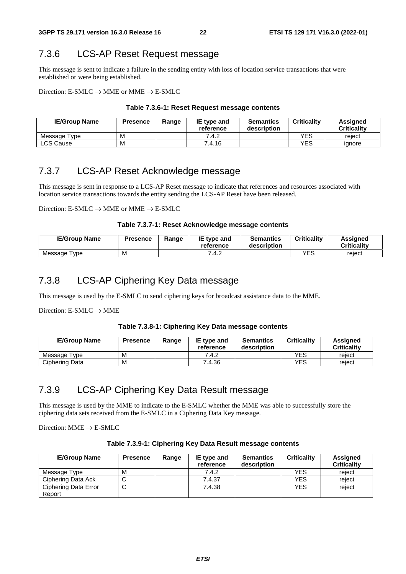### 7.3.6 LCS-AP Reset Request message

This message is sent to indicate a failure in the sending entity with loss of location service transactions that were established or were being established.

Direction: E-SMLC  $\rightarrow$  MME or MME  $\rightarrow$  E-SMLC

#### **Table 7.3.6-1: Reset Request message contents**

| <b>IE/Group Name</b> | <b>Presence</b> | Range | <b>IE</b> type and<br>reference | <b>Semantics</b><br>description | <b>Criticality</b> | Assianed<br><b>Criticality</b> |
|----------------------|-----------------|-------|---------------------------------|---------------------------------|--------------------|--------------------------------|
| Message Type         | M               |       | 7.4.2                           |                                 | YES                | reject                         |
| ∟CS Cause            | M               |       | 7.4.16                          |                                 | YES                | ignore                         |

### 7.3.7 LCS-AP Reset Acknowledge message

This message is sent in response to a LCS-AP Reset message to indicate that references and resources associated with location service transactions towards the entity sending the LCS-AP Reset have been released.

Direction:  $E\text{-}SMLC \rightarrow MME$  or  $MME \rightarrow E\text{-}SMLC$ 

#### **Table 7.3.7-1: Reset Acknowledge message contents**

| <b>IE/Group Name</b>         | Presence | Range | IE type and<br>reference | <b>Semantics</b><br>description | <b>Criticality</b> | <b>Assigned</b><br>Criticalitv |
|------------------------------|----------|-------|--------------------------|---------------------------------|--------------------|--------------------------------|
| Message <sup>-</sup><br>Tvpe | M        |       | 7.4.2                    |                                 | YES                | reiect                         |

### 7.3.8 LCS-AP Ciphering Key Data message

This message is used by the E-SMLC to send ciphering keys for broadcast assistance data to the MME.

Direction:  $E-SMLC \rightarrow MME$ 

#### **Table 7.3.8-1: Ciphering Key Data message contents**

| <b>IE/Group Name</b> | <b>Presence</b> | Range | <b>IE</b> type and<br>reference | <b>Semantics</b><br>description | <b>Criticality</b> | Assianed<br><b>Criticality</b> |
|----------------------|-----------------|-------|---------------------------------|---------------------------------|--------------------|--------------------------------|
| Message Type         | M               |       | 7.4.2                           |                                 | YES                | reiect                         |
| Ciphering Data       | M               |       | 7.4.36                          |                                 | YES                | reiect                         |

### 7.3.9 LCS-AP Ciphering Key Data Result message

This message is used by the MME to indicate to the E-SMLC whether the MME was able to successfully store the ciphering data sets received from the E-SMLC in a Ciphering Data Key message.

Direction:  $MME \rightarrow E-SMLC$ 

| <b>IE/Group Name</b>           | <b>Presence</b> | Range | IE type and<br>reference | <b>Semantics</b><br>description | <b>Criticality</b> | Assigned<br><b>Criticality</b> |
|--------------------------------|-----------------|-------|--------------------------|---------------------------------|--------------------|--------------------------------|
| Message Type                   | M               |       | 7.4.2                    |                                 | <b>YES</b>         | reject                         |
| Ciphering Data Ack             |                 |       | 7.4.37                   |                                 | <b>YES</b>         | reject                         |
| Ciphering Data Error<br>Report | ◡               |       | 7.4.38                   |                                 | <b>YES</b>         | reject                         |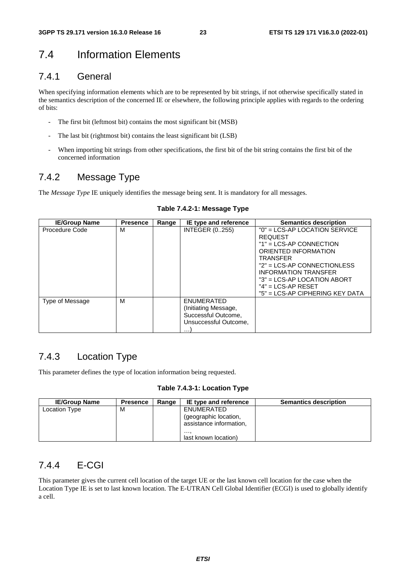### 7.4 Information Elements

### 7.4.1 General

When specifying information elements which are to be represented by bit strings, if not otherwise specifically stated in the semantics description of the concerned IE or elsewhere, the following principle applies with regards to the ordering of bits:

- The first bit (leftmost bit) contains the most significant bit (MSB)
- The last bit (rightmost bit) contains the least significant bit (LSB)
- When importing bit strings from other specifications, the first bit of the bit string contains the first bit of the concerned information

### 7.4.2 Message Type

The *Message Type* IE uniquely identifies the message being sent. It is mandatory for all messages.

| <b>IE/Group Name</b> | <b>Presence</b> | Range | IE type and reference                                                                                 | <b>Semantics description</b>                                                                                                                                                                                                                                                      |
|----------------------|-----------------|-------|-------------------------------------------------------------------------------------------------------|-----------------------------------------------------------------------------------------------------------------------------------------------------------------------------------------------------------------------------------------------------------------------------------|
| Procedure Code       | M               |       | <b>INTEGER (0255)</b>                                                                                 | $"0" = LCS-AP$ LOCATION SERVICE<br><b>REQUEST</b><br>$"1" = LCS-AP$ CONNECTION<br>ORIENTED INFORMATION<br><b>TRANSFER</b><br>"2" = LCS-AP CONNECTIONLESS<br><b>INFORMATION TRANSFER</b><br>"3" = LCS-AP LOCATION ABORT<br>$"4" = LCS-AP RESET$<br>"5" = LCS-AP CIPHERING KEY DATA |
| Type of Message      | M               |       | <b>ENUMERATED</b><br>(Initiating Message,<br>Successful Outcome,<br>Unsuccessful Outcome.<br>$\cdots$ |                                                                                                                                                                                                                                                                                   |

#### **Table 7.4.2-1: Message Type**

### 7.4.3 Location Type

This parameter defines the type of location information being requested.

#### **Table 7.4.3-1: Location Type**

| <b>IE/Group Name</b> | <b>Presence</b> | Range | IE type and reference                                          | <b>Semantics description</b> |
|----------------------|-----------------|-------|----------------------------------------------------------------|------------------------------|
| Location Type        | M               |       | ENUMERATED<br>(geographic location,<br>assistance information, |                              |
|                      |                 |       | <br>last known location)                                       |                              |

### 7.4.4 E-CGI

This parameter gives the current cell location of the target UE or the last known cell location for the case when the Location Type IE is set to last known location. The E-UTRAN Cell Global Identifier (ECGI) is used to globally identify a cell.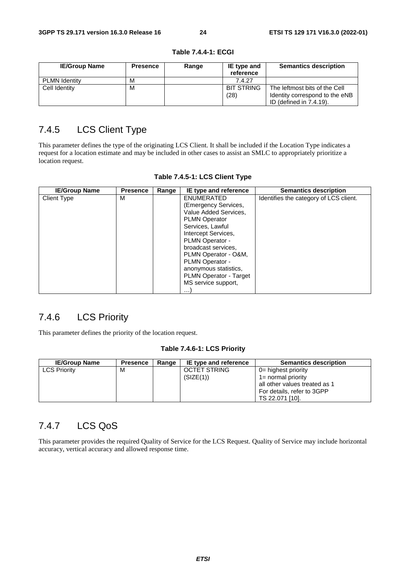| <b>IE/Group Name</b> | <b>Presence</b> | Range | IE type and<br>reference | <b>Semantics description</b>   |
|----------------------|-----------------|-------|--------------------------|--------------------------------|
| <b>PLMN Identity</b> | м               |       | 7.4.27                   |                                |
| Cell Identity        | м               |       | <b>BIT STRING</b>        | The leftmost bits of the Cell  |
|                      |                 |       | (28)                     | Identity correspond to the eNB |
|                      |                 |       |                          | ID (defined in 7.4.19).        |

**Table 7.4.4-1: ECGI** 

### 7.4.5 LCS Client Type

This parameter defines the type of the originating LCS Client. It shall be included if the Location Type indicates a request for a location estimate and may be included in other cases to assist an SMLC to appropriately prioritize a location request.

| <b>IE/Group Name</b> | <b>Presence</b> | Range | IE type and reference                                                                                                                                                                                                                                                                                            | <b>Semantics description</b>           |
|----------------------|-----------------|-------|------------------------------------------------------------------------------------------------------------------------------------------------------------------------------------------------------------------------------------------------------------------------------------------------------------------|----------------------------------------|
| <b>Client Type</b>   | M               |       | <b>ENUMERATED</b><br>(Emergency Services,<br>Value Added Services,<br><b>PLMN Operator</b><br>Services, Lawful<br>Intercept Services,<br>PLMN Operator -<br>broadcast services.<br>PLMN Operator - O&M,<br>PLMN Operator -<br>anonymous statistics,<br>PLMN Operator - Target<br>MS service support,<br>$\cdots$ | Identifies the category of LCS client. |

|  | Table 7.4.5-1: LCS Client Type |  |  |  |
|--|--------------------------------|--|--|--|
|--|--------------------------------|--|--|--|

### 7.4.6 LCS Priority

This parameter defines the priority of the location request.

#### **Table 7.4.6-1: LCS Priority**

| <b>IE/Group Name</b> | <b>Presence</b> | Range | IE type and reference | <b>Semantics description</b>  |
|----------------------|-----------------|-------|-----------------------|-------------------------------|
| <b>LCS Priority</b>  | М               |       | <b>OCTET STRING</b>   | $0=$ highest priority         |
|                      |                 |       | (SIZE(1))             | 1= normal priority            |
|                      |                 |       |                       | all other values treated as 1 |
|                      |                 |       |                       | For details, refer to 3GPP    |
|                      |                 |       |                       | TS 22.071 [10].               |

### 7.4.7 LCS QoS

This parameter provides the required Quality of Service for the LCS Request. Quality of Service may include horizontal accuracy, vertical accuracy and allowed response time.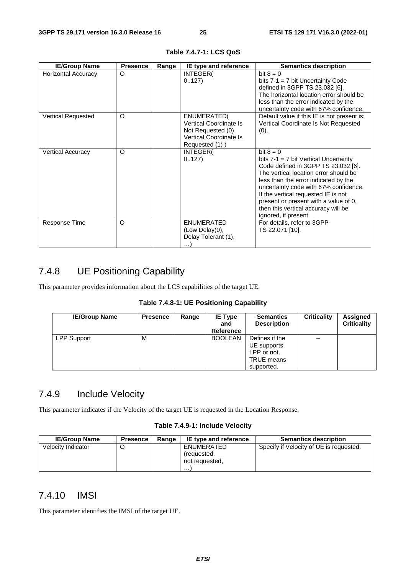| <b>IE/Group Name</b>       | <b>Presence</b> | Range | IE type and reference                                                                                                  | <b>Semantics description</b>                                                                                                                                                                                                                                                                                                                                           |
|----------------------------|-----------------|-------|------------------------------------------------------------------------------------------------------------------------|------------------------------------------------------------------------------------------------------------------------------------------------------------------------------------------------------------------------------------------------------------------------------------------------------------------------------------------------------------------------|
| <b>Horizontal Accuracy</b> | $\circ$         |       | INTEGER(<br>0.127                                                                                                      | bit $8 = 0$<br>bits $7-1 = 7$ bit Uncertainty Code<br>defined in 3GPP TS 23.032 [6].<br>The horizontal location error should be<br>less than the error indicated by the<br>uncertainty code with 67% confidence.                                                                                                                                                       |
| <b>Vertical Requested</b>  | O               |       | ENUMERATED(<br><b>Vertical Coordinate Is</b><br>Not Requested (0),<br><b>Vertical Coordinate Is</b><br>Requested (1) ) | Default value if this IE is not present is:<br>Vertical Coordinate Is Not Requested<br>(0).                                                                                                                                                                                                                                                                            |
| <b>Vertical Accuracy</b>   | $\Omega$        |       | INTEGER(<br>0.127                                                                                                      | bit $8 = 0$<br>bits $7-1 = 7$ bit Vertical Uncertainty<br>Code defined in 3GPP TS 23.032 [6].<br>The vertical location error should be<br>less than the error indicated by the<br>uncertainty code with 67% confidence.<br>If the vertical requested IE is not<br>present or present with a value of 0,<br>then this vertical accuracy will be<br>ignored, if present. |
| Response Time              | $\circ$         |       | <b>ENUMERATED</b><br>(Low Delay(0),<br>Delay Tolerant (1),<br>.                                                        | For details, refer to 3GPP<br>TS 22.071 [10].                                                                                                                                                                                                                                                                                                                          |

**Table 7.4.7-1: LCS QoS** 

### 7.4.8 UE Positioning Capability

This parameter provides information about the LCS capabilities of the target UE.

#### **Table 7.4.8-1: UE Positioning Capability**

| <b>IE/Group Name</b> | <b>Presence</b> | Range | <b>IE Type</b><br>and<br>Reference | <b>Semantics</b><br><b>Description</b>                                          | <b>Criticality</b> | <b>Assigned</b><br><b>Criticality</b> |
|----------------------|-----------------|-------|------------------------------------|---------------------------------------------------------------------------------|--------------------|---------------------------------------|
| <b>LPP Support</b>   | м               |       | <b>BOOLEAN</b>                     | Defines if the<br>UE supports<br>LPP or not.<br><b>TRUE</b> means<br>supported. |                    |                                       |

### 7.4.9 Include Velocity

This parameter indicates if the Velocity of the target UE is requested in the Location Response.

#### **Table 7.4.9-1: Include Velocity**

| <b>IE/Group Name</b> | <b>Presence</b> | Range | IE type and reference                            | <b>Semantics description</b>            |
|----------------------|-----------------|-------|--------------------------------------------------|-----------------------------------------|
| Velocity Indicator   |                 |       | ENUMERATED<br>(requested.<br>not requested,<br>. | Specify if Velocity of UE is requested. |

### 7.4.10 IMSI

This parameter identifies the IMSI of the target UE.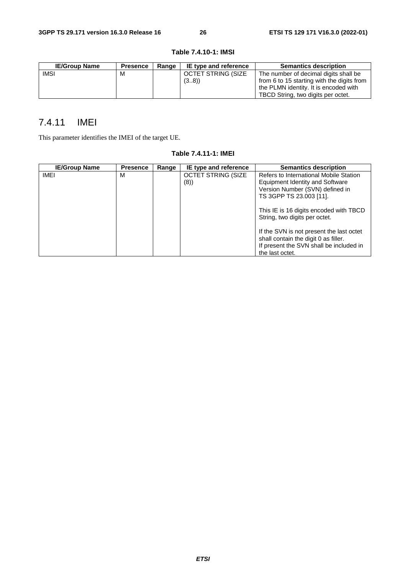| <b>IE/Group Name</b> | <b>Presence</b> | Range | IE type and reference     | <b>Semantics description</b>                                                        |
|----------------------|-----------------|-------|---------------------------|-------------------------------------------------------------------------------------|
| <b>IMSI</b>          | M               |       | <b>OCTET STRING (SIZE</b> | The number of decimal digits shall be                                               |
|                      |                 |       | (38)                      | from 6 to 15 starting with the digits from<br>the PLMN identity. It is encoded with |
|                      |                 |       |                           | TBCD String, two digits per octet.                                                  |

#### **Table 7.4.10-1: IMSI**

### 7.4.11 IMEI

This parameter identifies the IMEI of the target UE.

| <b>IE/Group Name</b> | <b>Presence</b> | Range | IE type and reference     | <b>Semantics description</b>                                                     |
|----------------------|-----------------|-------|---------------------------|----------------------------------------------------------------------------------|
| IMEI                 | м               |       | <b>OCTET STRING (SIZE</b> | Refers to International Mobile Station                                           |
|                      |                 |       | (8)                       | Equipment Identity and Software                                                  |
|                      |                 |       |                           | Version Number (SVN) defined in                                                  |
|                      |                 |       |                           | TS 3GPP TS 23.003 [11].                                                          |
|                      |                 |       |                           | This IE is 16 digits encoded with TBCD<br>String, two digits per octet.          |
|                      |                 |       |                           | If the SVN is not present the last octet<br>shall contain the digit 0 as filler. |
|                      |                 |       |                           | If present the SVN shall be included in                                          |
|                      |                 |       |                           | the last octet.                                                                  |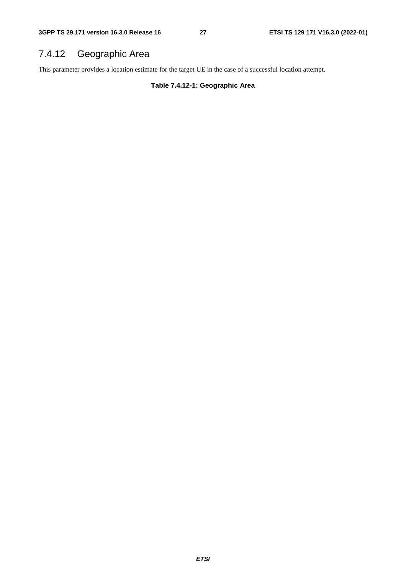## 7.4.12 Geographic Area

This parameter provides a location estimate for the target UE in the case of a successful location attempt.

**Table 7.4.12-1: Geographic Area**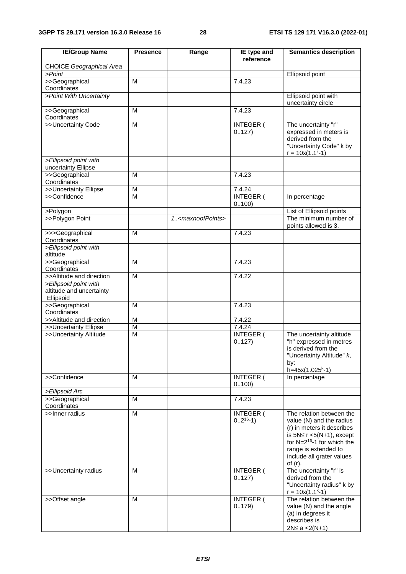| <b>IE/Group Name</b>                                           | <b>Presence</b> | Range                             | IE type and<br>reference    | <b>Semantics description</b>                                                                                                                                                                                                |
|----------------------------------------------------------------|-----------------|-----------------------------------|-----------------------------|-----------------------------------------------------------------------------------------------------------------------------------------------------------------------------------------------------------------------------|
| CHOICE Geographical Area                                       |                 |                                   |                             |                                                                                                                                                                                                                             |
| >Point                                                         |                 |                                   |                             | Ellipsoid point                                                                                                                                                                                                             |
| >>Geographical<br>Coordinates                                  | M               |                                   | 7.4.23                      |                                                                                                                                                                                                                             |
| >Point With Uncertainty                                        |                 |                                   |                             | Ellipsoid point with<br>uncertainty circle                                                                                                                                                                                  |
| >>Geographical<br>Coordinates                                  | M               |                                   | 7.4.23                      |                                                                                                                                                                                                                             |
| >>Uncertainty Code                                             | M               |                                   | INTEGER (<br>0.127)         | The uncertainty "r"<br>expressed in meters is<br>derived from the<br>"Uncertainty Code" k by<br>$r = 10x(1.1k-1)$                                                                                                           |
| >Ellipsoid point with<br>uncertainty Ellipse                   |                 |                                   |                             |                                                                                                                                                                                                                             |
| >>Geographical<br>Coordinates                                  | M               |                                   | 7.4.23                      |                                                                                                                                                                                                                             |
| >>Uncertainty Ellipse                                          | M               |                                   | 7.4.24                      |                                                                                                                                                                                                                             |
| >>Confidence                                                   | M               |                                   | <b>INTEGER (</b><br>0.100   | In percentage                                                                                                                                                                                                               |
| >Polygon                                                       |                 |                                   |                             | List of Ellipsoid points                                                                                                                                                                                                    |
| >>Polygon Point                                                |                 | 1 <maxnoofpoints></maxnoofpoints> |                             | The minimum number of<br>points allowed is 3.                                                                                                                                                                               |
| >>>Geographical<br>Coordinates                                 | M               |                                   | 7.4.23                      |                                                                                                                                                                                                                             |
| >Ellipsoid point with<br>altitude                              |                 |                                   |                             |                                                                                                                                                                                                                             |
| >>Geographical<br>Coordinates                                  | M               |                                   | 7.4.23                      |                                                                                                                                                                                                                             |
| >>Altitude and direction                                       | $\overline{M}$  |                                   | 7.4.22                      |                                                                                                                                                                                                                             |
| >Ellipsoid point with<br>altitude and uncertainty<br>Ellipsoid |                 |                                   |                             |                                                                                                                                                                                                                             |
| >>Geographical<br>Coordinates                                  | M               |                                   | 7.4.23                      |                                                                                                                                                                                                                             |
| >>Altitude and direction                                       | M               |                                   | 7.4.22                      |                                                                                                                                                                                                                             |
| >>Uncertainty Ellipse                                          | $\overline{M}$  |                                   | 7.4.24                      |                                                                                                                                                                                                                             |
| >>Uncertainty Altitude                                         | M               |                                   | <b>INTEGER (</b><br>0.127)  | The uncertainty altitude<br>"h" expressed in metres<br>is derived from the<br>"Uncertainty Altitude" k,<br>by:<br>$h=45x(1.025k-1)$                                                                                         |
| >>Confidence                                                   | M               |                                   | <b>INTEGER (</b><br>0100)   | In percentage                                                                                                                                                                                                               |
| >Ellipsoid Arc                                                 |                 |                                   |                             |                                                                                                                                                                                                                             |
| >>Geographical<br>Coordinates                                  | M               |                                   | 7.4.23                      |                                                                                                                                                                                                                             |
| >>Inner radius                                                 | M               |                                   | INTEGER (<br>$02^{16} - 1)$ | The relation between the<br>value (N) and the radius<br>(r) in meters it describes<br>is $5N \le r < 5(N+1)$ , except<br>for $N=2^{16}$ -1 for which the<br>range is extended to<br>include all grater values<br>of $(r)$ . |
| >>Uncertainty radius                                           | M               |                                   | INTEGER (<br>0.127)         | The uncertainty "r" is<br>derived from the<br>"Uncertainty radius" k by<br>$r = 10x(1.1k-1)$                                                                                                                                |
| >>Offset angle                                                 | м               |                                   | INTEGER (<br>0.179          | The relation between the<br>value (N) and the angle<br>(a) in degrees it<br>describes is<br>$2N \le a < 2(N+1)$                                                                                                             |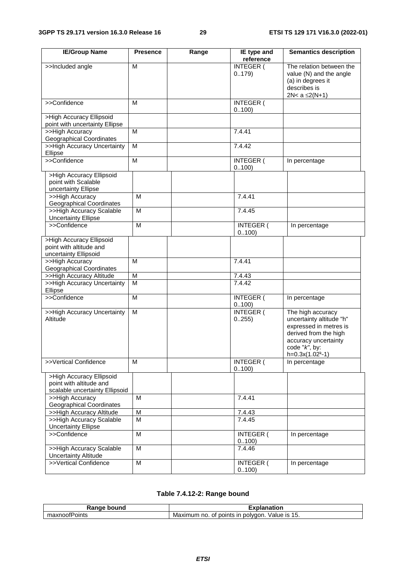| <b>IE/Group Name</b>                                                         | <b>Presence</b> | Range | IE type and<br>reference   | <b>Semantics description</b>                                                                                                                                       |
|------------------------------------------------------------------------------|-----------------|-------|----------------------------|--------------------------------------------------------------------------------------------------------------------------------------------------------------------|
| >>Included angle                                                             | M               |       | INTEGER (<br>0.179         | The relation between the<br>value (N) and the angle<br>(a) in degrees it<br>describes is<br>2N< $a \leq 2(N+1)$                                                    |
| >>Confidence                                                                 | M               |       | <b>INTEGER (</b><br>0100)  |                                                                                                                                                                    |
| >High Accuracy Ellipsoid                                                     |                 |       |                            |                                                                                                                                                                    |
| point with uncertainty Ellipse                                               |                 |       |                            |                                                                                                                                                                    |
| >>High Accuracy<br><b>Geographical Coordinates</b>                           | M               |       | 7.4.41                     |                                                                                                                                                                    |
| >>High Accuracy Uncertainty                                                  | M               |       | 7.4.42                     |                                                                                                                                                                    |
| Ellipse                                                                      |                 |       |                            |                                                                                                                                                                    |
| >>Confidence                                                                 | M               |       | <b>INTEGER (</b><br>0.100  | In percentage                                                                                                                                                      |
| >High Accuracy Ellipsoid<br>point with Scalable<br>uncertainty Ellipse       |                 |       |                            |                                                                                                                                                                    |
| >>High Accuracy<br><b>Geographical Coordinates</b>                           | M               |       | 7.4.41                     |                                                                                                                                                                    |
| >>High Accuracy Scalable<br><b>Uncertainty Ellipse</b>                       | M               |       | 7.4.45                     |                                                                                                                                                                    |
| >>Confidence                                                                 | M               |       | <b>INTEGER (</b><br>0.100  | In percentage                                                                                                                                                      |
| >High Accuracy Ellipsoid<br>point with altitude and<br>uncertainty Ellipsoid |                 |       |                            |                                                                                                                                                                    |
| >>High Accuracy<br><b>Geographical Coordinates</b>                           | M               |       | 7.4.41                     |                                                                                                                                                                    |
| >>High Accuracy Altitude                                                     | M               |       | 7.4.43                     |                                                                                                                                                                    |
| >>High Accuracy Uncertainty<br>Ellipse                                       | M               |       | 7.4.42                     |                                                                                                                                                                    |
| >>Confidence                                                                 | M               |       | <b>INTEGER (</b><br>0.100  | In percentage                                                                                                                                                      |
| >>High Accuracy Uncertainty<br>Altitude                                      | M               |       | INTEGER (<br>0.255)        | The high accuracy<br>uncertainty altitude "h"<br>expressed in metres is<br>derived from the high<br>accuracy uncertainty<br>code " $k$ ", by:<br>$h=0.3x(1.02k-1)$ |
| >>Vertical Confidence                                                        | M               |       | <b>INTEGER (</b><br>0.100  | In percentage                                                                                                                                                      |
| >High Accuracy Ellipsoid<br>point with altitude and                          |                 |       |                            |                                                                                                                                                                    |
| scalable uncertainty Ellipsoid<br>>>High Accuracy                            | M               |       | 7.4.41                     |                                                                                                                                                                    |
| <b>Geographical Coordinates</b>                                              |                 |       |                            |                                                                                                                                                                    |
| >>High Accuracy Altitude                                                     | M               |       | 7.4.43                     |                                                                                                                                                                    |
| >>High Accuracy Scalable                                                     | M               |       | 7.4.45                     |                                                                                                                                                                    |
| <b>Uncertainty Ellipse</b>                                                   |                 |       |                            |                                                                                                                                                                    |
| >>Confidence                                                                 | M               |       | <b>INTEGER (</b><br>0.100  | In percentage                                                                                                                                                      |
| >>High Accuracy Scalable                                                     | M               |       | 7.4.46                     |                                                                                                                                                                    |
| <b>Uncertainty Altitude</b>                                                  |                 |       |                            |                                                                                                                                                                    |
| >>Vertical Confidence                                                        | M               |       | <b>INTEGER (</b><br>0.100) | In percentage                                                                                                                                                      |

#### **Table 7.4.12-2: Range bound**

| . <i>.</i>                 | --                                                                                          |
|----------------------------|---------------------------------------------------------------------------------------------|
| .                          | $- - -$                                                                                     |
| nai                        | танон                                                                                       |
| .<br>oints<br>. .≀01 ⊢<br> | . –<br>polvaon.<br>points<br>/alue<br>ır<br>no<br>$\sim$<br>Μa<br>ו זרי<br>imum<br>15<br>ιv |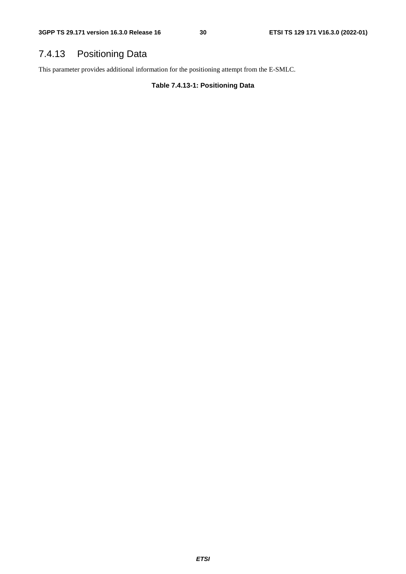### 7.4.13 Positioning Data

This parameter provides additional information for the positioning attempt from the E-SMLC.

**Table 7.4.13-1: Positioning Data**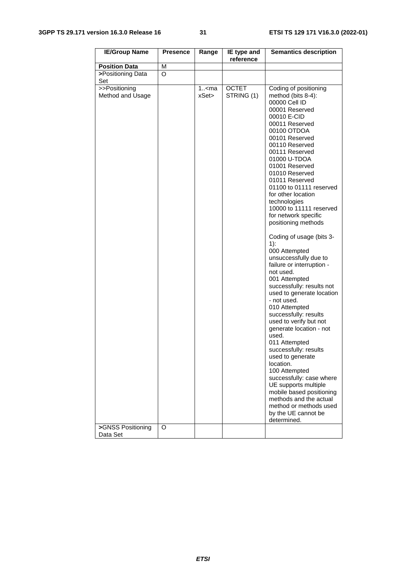#### **3GPP TS 29.171 version 16.3.0 Release 16 31 ETSI TS 129 171 V16.3.0 (2022-01)**

| <b>IE/Group Name</b>                                   | <b>Presence</b> | Range              | IE type and                | <b>Semantics description</b>                                                                                                                                                                                                                                                                                                                                                                                                                                                                                                                                                                                                                                                                                                                                                                                                                                                                                                                                                                            |
|--------------------------------------------------------|-----------------|--------------------|----------------------------|---------------------------------------------------------------------------------------------------------------------------------------------------------------------------------------------------------------------------------------------------------------------------------------------------------------------------------------------------------------------------------------------------------------------------------------------------------------------------------------------------------------------------------------------------------------------------------------------------------------------------------------------------------------------------------------------------------------------------------------------------------------------------------------------------------------------------------------------------------------------------------------------------------------------------------------------------------------------------------------------------------|
|                                                        |                 |                    | reference                  |                                                                                                                                                                                                                                                                                                                                                                                                                                                                                                                                                                                                                                                                                                                                                                                                                                                                                                                                                                                                         |
| <b>Position Data</b>                                   | M               |                    |                            |                                                                                                                                                                                                                                                                                                                                                                                                                                                                                                                                                                                                                                                                                                                                                                                                                                                                                                                                                                                                         |
| >Positioning Data<br>Set                               | O               |                    |                            |                                                                                                                                                                                                                                                                                                                                                                                                                                                                                                                                                                                                                                                                                                                                                                                                                                                                                                                                                                                                         |
| >>Positioning<br>Method and Usage<br>>GNSS Positioning | O               | $1.5$ cma<br>xSet> | <b>OCTET</b><br>STRING (1) | Coding of positioning<br>method (bits 8-4):<br>00000 Cell ID<br>00001 Reserved<br>00010 E-CID<br>00011 Reserved<br>00100 OTDOA<br>00101 Reserved<br>00110 Reserved<br>00111 Reserved<br>01000 U-TDOA<br>01001 Reserved<br>01010 Reserved<br>01011 Reserved<br>01100 to 01111 reserved<br>for other location<br>technologies<br>10000 to 11111 reserved<br>for network specific<br>positioning methods<br>Coding of usage (bits 3-<br>$1)$ :<br>000 Attempted<br>unsuccessfully due to<br>failure or interruption -<br>not used.<br>001 Attempted<br>successfully: results not<br>used to generate location<br>- not used.<br>010 Attempted<br>successfully: results<br>used to verify but not<br>generate location - not<br>used.<br>011 Attempted<br>successfully: results<br>used to generate<br>location.<br>100 Attempted<br>successfully: case where<br>UE supports multiple<br>mobile based positioning<br>methods and the actual<br>method or methods used<br>by the UE cannot be<br>determined. |
| Data Set                                               |                 |                    |                            |                                                                                                                                                                                                                                                                                                                                                                                                                                                                                                                                                                                                                                                                                                                                                                                                                                                                                                                                                                                                         |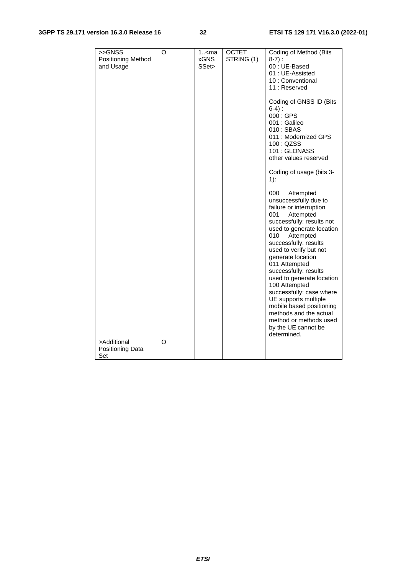#### **3GPP TS 29.171 version 16.3.0 Release 16 32 ETSI TS 129 171 V16.3.0 (2022-01)**

| >>GNSS<br>Positioning Method<br>and Usage<br>>Additional | O<br>O | 1 <ma<br><b>xGNS</b><br/>SSet&gt;</ma<br> | <b>OCTET</b><br>STRING (1) | Coding of Method (Bits<br>$8-7$ :<br>00: UE-Based<br>01: UE-Assisted<br>10 : Conventional<br>11: Reserved<br>Coding of GNSS ID (Bits<br>$6-4$ ):<br>000 : GPS<br>001 : Galileo<br>010: SBAS<br>011 : Modernized GPS<br>100 : QZSS<br>101: GLONASS<br>other values reserved<br>Coding of usage (bits 3-<br>$1$ :<br>000<br>Attempted<br>unsuccessfully due to<br>failure or interruption<br>Attempted<br>001<br>successfully: results not<br>used to generate location<br>010<br>Attempted<br>successfully: results<br>used to verify but not<br>generate location<br>011 Attempted<br>successfully: results<br>used to generate location<br>100 Attempted<br>successfully: case where<br>UE supports multiple<br>mobile based positioning<br>methods and the actual<br>method or methods used<br>by the UE cannot be<br>determined. |
|----------------------------------------------------------|--------|-------------------------------------------|----------------------------|-------------------------------------------------------------------------------------------------------------------------------------------------------------------------------------------------------------------------------------------------------------------------------------------------------------------------------------------------------------------------------------------------------------------------------------------------------------------------------------------------------------------------------------------------------------------------------------------------------------------------------------------------------------------------------------------------------------------------------------------------------------------------------------------------------------------------------------|
| Positioning Data                                         |        |                                           |                            |                                                                                                                                                                                                                                                                                                                                                                                                                                                                                                                                                                                                                                                                                                                                                                                                                                     |
| Set                                                      |        |                                           |                            |                                                                                                                                                                                                                                                                                                                                                                                                                                                                                                                                                                                                                                                                                                                                                                                                                                     |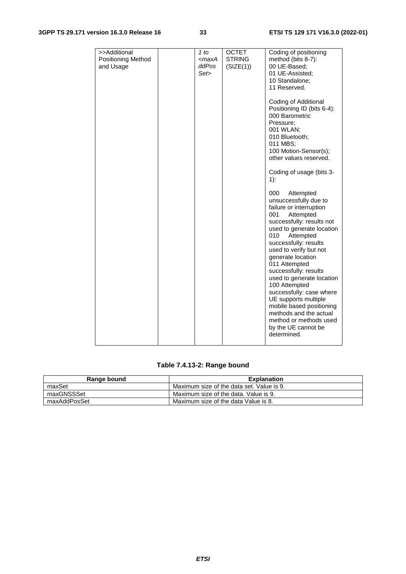#### **3GPP TS 29.171 version 16.3.0 Release 16 33 ETSI TS 129 171 V16.3.0 (2022-01)**

| >>Additional<br>Positioning Method<br>and Usage | 1 to<br><maxa<br>ddPos<br/>Set&gt;</maxa<br> | <b>OCTET</b><br><b>STRING</b><br>(SIZE(1)) | Coding of positioning<br>method (bits 8-7):<br>00 UE-Based;<br>01 UE-Assisted;<br>10 Standalone;<br>11 Reserved.<br>Coding of Additional<br>Positioning ID (bits 6-4):<br>000 Barometric<br>Pressure:<br>001 WLAN;<br>010 Bluetooth;<br>011 MBS;<br>100 Motion-Sensor(s);<br>other values reserved.<br>Coding of usage (bits 3-<br>$1)$ :<br>000<br>Attempted<br>unsuccessfully due to<br>failure or interruption<br>001<br>Attempted<br>successfully: results not<br>used to generate location<br>010<br>Attempted<br>successfully: results<br>used to verify but not<br>generate location<br>011 Attempted<br>successfully: results<br>used to generate location<br>100 Attempted<br>successfully: case where<br>UE supports multiple |
|-------------------------------------------------|----------------------------------------------|--------------------------------------------|-----------------------------------------------------------------------------------------------------------------------------------------------------------------------------------------------------------------------------------------------------------------------------------------------------------------------------------------------------------------------------------------------------------------------------------------------------------------------------------------------------------------------------------------------------------------------------------------------------------------------------------------------------------------------------------------------------------------------------------------|
|                                                 |                                              |                                            | mobile based positioning<br>methods and the actual<br>method or methods used<br>by the UE cannot be<br>determined.                                                                                                                                                                                                                                                                                                                                                                                                                                                                                                                                                                                                                      |

### **Table 7.4.13-2: Range bound**

| Range bound  | <b>Explanation</b>                        |  |  |
|--------------|-------------------------------------------|--|--|
| maxSet       | Maximum size of the data set. Value is 9. |  |  |
| maxGNSSSet   | Maximum size of the data. Value is 9.     |  |  |
| maxAddPosSet | Maximum size of the data Value is 8.      |  |  |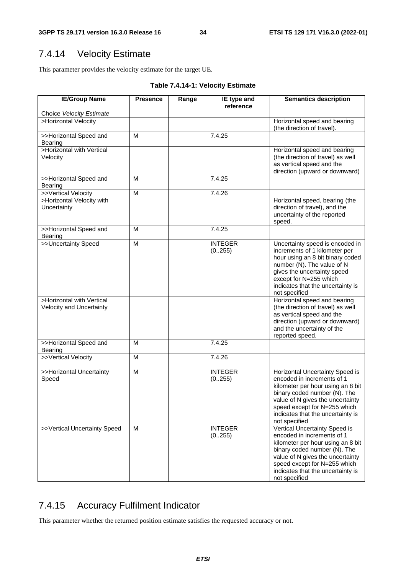### 7.4.14 Velocity Estimate

This parameter provides the velocity estimate for the target UE.

**Table 7.4.14-1: Velocity Estimate** 

| <b>IE/Group Name</b>                                  | <b>Presence</b> | Range | IE type and<br>reference | <b>Semantics description</b>                                                                                                                                                                                                                                 |
|-------------------------------------------------------|-----------------|-------|--------------------------|--------------------------------------------------------------------------------------------------------------------------------------------------------------------------------------------------------------------------------------------------------------|
| Choice Velocity Estimate                              |                 |       |                          |                                                                                                                                                                                                                                                              |
| >Horizontal Velocity                                  |                 |       |                          | Horizontal speed and bearing<br>(the direction of travel).                                                                                                                                                                                                   |
| >>Horizontal Speed and<br>Bearing                     | M               |       | 7.4.25                   |                                                                                                                                                                                                                                                              |
| >Horizontal with Vertical<br>Velocity                 |                 |       |                          | Horizontal speed and bearing<br>(the direction of travel) as well<br>as vertical speed and the<br>direction (upward or downward)                                                                                                                             |
| >>Horizontal Speed and<br>Bearing                     | M               |       | 7.4.25                   |                                                                                                                                                                                                                                                              |
| >>Vertical Velocity                                   | M               |       | 7.4.26                   |                                                                                                                                                                                                                                                              |
| >Horizontal Velocity with<br>Uncertainty              |                 |       |                          | Horizontal speed, bearing (the<br>direction of travel), and the<br>uncertainty of the reported<br>speed.                                                                                                                                                     |
| >>Horizontal Speed and<br><b>Bearing</b>              | М               |       | 7.4.25                   |                                                                                                                                                                                                                                                              |
| >>Uncertainty Speed                                   | M               |       | <b>INTEGER</b><br>(0255) | Uncertainty speed is encoded in<br>increments of 1 kilometer per<br>hour using an 8 bit binary coded<br>number (N). The value of N<br>gives the uncertainty speed<br>except for N=255 which<br>indicates that the uncertainty is<br>not specified            |
| >Horizontal with Vertical<br>Velocity and Uncertainty |                 |       |                          | Horizontal speed and bearing<br>(the direction of travel) as well<br>as vertical speed and the<br>direction (upward or downward)<br>and the uncertainty of the<br>reported speed.                                                                            |
| >>Horizontal Speed and<br>Bearing                     | M               |       | 7.4.25                   |                                                                                                                                                                                                                                                              |
| >>Vertical Velocity                                   | M               |       | 7.4.26                   |                                                                                                                                                                                                                                                              |
| >>Horizontal Uncertainty<br>Speed                     | M               |       | <b>INTEGER</b><br>(0255) | Horizontal Uncertainty Speed is<br>encoded in increments of 1<br>kilometer per hour using an 8 bit<br>binary coded number (N). The<br>value of N gives the uncertainty<br>speed except for N=255 which<br>indicates that the uncertainty is<br>not specified |
| >>Vertical Uncertainty Speed                          | M               |       | <b>INTEGER</b><br>(0255) | Vertical Uncertainty Speed is<br>encoded in increments of 1<br>kilometer per hour using an 8 bit<br>binary coded number (N). The<br>value of N gives the uncertainty<br>speed except for N=255 which<br>indicates that the uncertainty is<br>not specified   |

### 7.4.15 Accuracy Fulfilment Indicator

This parameter whether the returned position estimate satisfies the requested accuracy or not.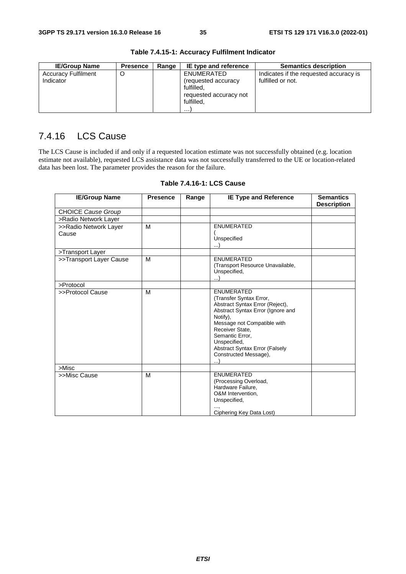| <b>IE/Group Name</b>       | <b>Presence</b> | Range | IE type and reference  | <b>Semantics description</b>           |
|----------------------------|-----------------|-------|------------------------|----------------------------------------|
| <b>Accuracy Fulfilment</b> |                 |       | ENUMERATED             | Indicates if the requested accuracy is |
| Indicator                  |                 |       | (requested accuracy    | fulfilled or not.                      |
|                            |                 |       | fulfilled.             |                                        |
|                            |                 |       | requested accuracy not |                                        |
|                            |                 |       | fulfilled.             |                                        |
|                            |                 |       | .                      |                                        |

#### **Table 7.4.15-1: Accuracy Fulfilment Indicator**

### 7.4.16 LCS Cause

The LCS Cause is included if and only if a requested location estimate was not successfully obtained (e.g. location estimate not available), requested LCS assistance data was not successfully transferred to the UE or location-related data has been lost. The parameter provides the reason for the failure.

| M | <b>ENUMERATED</b>                                                                                                                                                                                                     |                                                                              |
|---|-----------------------------------------------------------------------------------------------------------------------------------------------------------------------------------------------------------------------|------------------------------------------------------------------------------|
|   | Unspecified                                                                                                                                                                                                           |                                                                              |
|   | . )                                                                                                                                                                                                                   |                                                                              |
|   |                                                                                                                                                                                                                       |                                                                              |
| M | <b>ENUMERATED</b>                                                                                                                                                                                                     |                                                                              |
|   |                                                                                                                                                                                                                       |                                                                              |
|   |                                                                                                                                                                                                                       |                                                                              |
|   |                                                                                                                                                                                                                       |                                                                              |
| M | <b>ENUMERATED</b><br>(Transfer Syntax Error,<br>Abstract Syntax Error (Reject),<br>Abstract Syntax Error (Ignore and<br>Notify).<br>Message not Compatible with<br>Receiver State.<br>Semantic Error,<br>Unspecified, |                                                                              |
|   | Abstract Syntax Error (Falsely<br>Constructed Message),                                                                                                                                                               |                                                                              |
|   |                                                                                                                                                                                                                       |                                                                              |
| M | <b>ENUMERATED</b><br>(Processing Overload,<br>Hardware Failure.<br>O&M Intervention,<br>Unspecified,                                                                                                                  |                                                                              |
|   |                                                                                                                                                                                                                       | (Transport Resource Unavailable,<br>Unspecified,<br>Ciphering Key Data Lost) |

#### **Table 7.4.16-1: LCS Cause**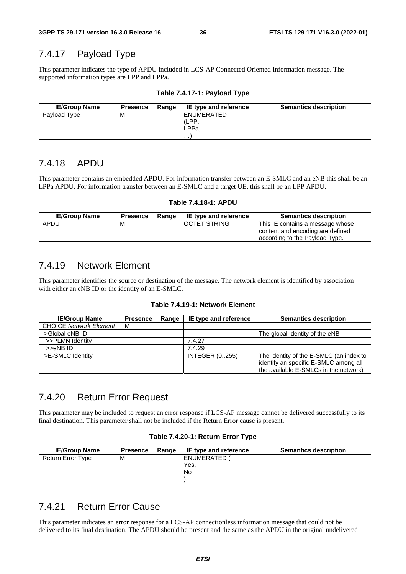# 7.4.17 Payload Type

This parameter indicates the type of APDU included in LCS-AP Connected Oriented Information message. The supported information types are LPP and LPPa.

| <b>IE/Group Name</b> | <b>Presence</b> | Range | IE type and reference            | <b>Semantics description</b> |
|----------------------|-----------------|-------|----------------------------------|------------------------------|
| Payload Type         | м               |       | ENUMERATED<br>(LPP<br>LPPa.<br>. |                              |

#### **Table 7.4.17-1: Payload Type**

### 7.4.18 APDU

This parameter contains an embedded APDU. For information transfer between an E-SMLC and an eNB this shall be an LPPa APDU. For information transfer between an E-SMLC and a target UE, this shall be an LPP APDU.

#### **Table 7.4.18-1: APDU**

| <b>IE/Group Name</b> | <b>Presence</b> | Range | IE type and reference | <b>Semantics description</b>                                                                           |
|----------------------|-----------------|-------|-----------------------|--------------------------------------------------------------------------------------------------------|
| APDU                 | M               |       | <b>OCTET STRING</b>   | This IE contains a message whose<br>content and encoding are defined<br>according to the Payload Type. |

#### 7.4.19 Network Element

This parameter identifies the source or destination of the message. The network element is identified by association with either an eNB ID or the identity of an E-SMLC.

#### **Table 7.4.19-1: Network Element**

| <b>IE/Group Name</b>          | <b>Presence</b> | Range | IE type and reference | <b>Semantics description</b>                                                     |
|-------------------------------|-----------------|-------|-----------------------|----------------------------------------------------------------------------------|
| <b>CHOICE Network Element</b> | м               |       |                       |                                                                                  |
| >Global eNB ID                |                 |       |                       | The global identity of the eNB                                                   |
| >>PLMN Identity               |                 |       | 7.4.27                |                                                                                  |
| >>eNBID                       |                 |       | 7.4.29                |                                                                                  |
| >E-SMLC Identity              |                 |       | <b>INTEGER (0255)</b> | The identity of the E-SMLC (an index to<br>identify an specific E-SMLC among all |
|                               |                 |       |                       | the available E-SMLCs in the network)                                            |

### 7.4.20 Return Error Request

This parameter may be included to request an error response if LCS-AP message cannot be delivered successfully to its final destination. This parameter shall not be included if the Return Error cause is present.

#### **Table 7.4.20-1: Return Error Type**

| <b>IE/Group Name</b> | <b>Presence</b> | Range | IE type and reference | <b>Semantics description</b> |
|----------------------|-----------------|-------|-----------------------|------------------------------|
| Return Error Type    | М               |       | ENUMERATED (          |                              |
|                      |                 |       | Yes.                  |                              |
|                      |                 |       | <b>No</b>             |                              |
|                      |                 |       |                       |                              |

## 7.4.21 Return Error Cause

This parameter indicates an error response for a LCS-AP connectionless information message that could not be delivered to its final destination. The APDU should be present and the same as the APDU in the original undelivered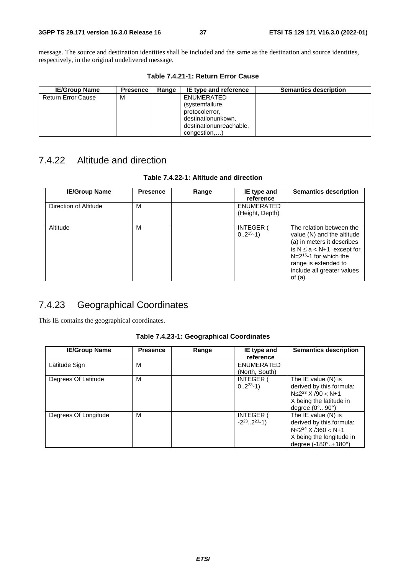message. The source and destination identities shall be included and the same as the destination and source identities, respectively, in the original undelivered message.

| <b>IE/Group Name</b>      | <b>Presence</b> | Range | IE type and reference   | <b>Semantics description</b> |
|---------------------------|-----------------|-------|-------------------------|------------------------------|
| <b>Return Error Cause</b> | M               |       | ENUMERATED              |                              |
|                           |                 |       | (systemfailure,         |                              |
|                           |                 |       | protocolerror,          |                              |
|                           |                 |       | destinationunkown,      |                              |
|                           |                 |       | destinationunreachable, |                              |
|                           |                 |       | congestion,             |                              |

**Table 7.4.21-1: Return Error Cause** 

## 7.4.22 Altitude and direction

| Table 7.4.22-1: Altitude and direction |  |  |
|----------------------------------------|--|--|
|----------------------------------------|--|--|

| <b>IE/Group Name</b>  | <b>Presence</b> | Range | IE type and<br>reference             | <b>Semantics description</b>                                                                                                                                                                                               |
|-----------------------|-----------------|-------|--------------------------------------|----------------------------------------------------------------------------------------------------------------------------------------------------------------------------------------------------------------------------|
| Direction of Altitude | м               |       | <b>ENUMERATED</b><br>(Height, Depth) |                                                                                                                                                                                                                            |
| Altitude              | м               |       | <b>INTEGER (</b><br>$02^{15}-1)$     | The relation between the<br>value (N) and the altitude<br>(a) in meters it describes<br>is $N \le a < N+1$ , except for<br>$N=2^{15}$ -1 for which the<br>range is extended to<br>include all greater values<br>of $(a)$ . |

## 7.4.23 Geographical Coordinates

This IE contains the geographical coordinates.

| Table 7.4.23-1: Geographical Coordinates |  |  |
|------------------------------------------|--|--|
|------------------------------------------|--|--|

| <b>IE/Group Name</b> | <b>Presence</b> | Range | IE type and<br>reference                          | <b>Semantics description</b>                                                                                                                |
|----------------------|-----------------|-------|---------------------------------------------------|---------------------------------------------------------------------------------------------------------------------------------------------|
| Latitude Sign        | м               |       | <b>ENUMERATED</b><br>(North, South)               |                                                                                                                                             |
| Degrees Of Latitude  | M               |       | <b>INTEGER (</b><br>$02^{23} - 1$                 | The IE value $(N)$ is<br>derived by this formula:<br>$N \leq 2^{23}$ X /90 < N+1<br>X being the latitude in<br>degree $(0^\circ, 90^\circ)$ |
| Degrees Of Longitude | M               |       | <b>INTEGER (</b><br>$-2^{23}$ 2 <sup>23</sup> -1) | The IE value (N) is<br>derived by this formula:<br>$N \leq 2^{24}$ X /360 < N+1<br>X being the longitude in<br>degree (-180°+180°)          |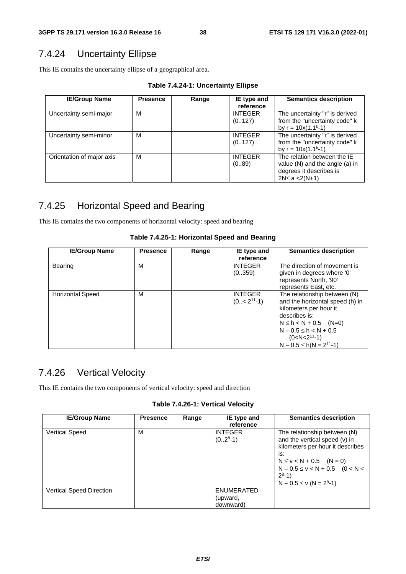## 7.4.24 Uncertainty Ellipse

This IE contains the uncertainty ellipse of a geographical area.

**Table 7.4.24-1: Uncertainty Ellipse** 

| <b>IE/Group Name</b>      | <b>Presence</b> | Range | IE type and<br>reference  | <b>Semantics description</b>                                                                                          |
|---------------------------|-----------------|-------|---------------------------|-----------------------------------------------------------------------------------------------------------------------|
| Uncertainty semi-major    | м               |       | <b>INTEGER</b><br>(0.127) | The uncertainty "r" is derived<br>from the "uncertainty code" k<br>by $r = 10x(1.1k-1)$                               |
| Uncertainty semi-minor    | м               |       | <b>INTEGER</b><br>(0.127) | The uncertainty "r" is derived<br>from the "uncertainty code" k<br>by $r = 10x(1.1k-1)$                               |
| Orientation of major axis | M               |       | <b>INTEGER</b><br>(089)   | The relation between the IE<br>value $(N)$ and the angle $(a)$ in<br>degrees it describes is<br>$2N \le a \le 2(N+1)$ |

## 7.4.25 Horizontal Speed and Bearing

This IE contains the two components of horizontal velocity: speed and bearing

| <b>IE/Group Name</b>    | <b>Presence</b> | Range | IE type and<br>reference            | <b>Semantics description</b>                                                                                                                                                                                                   |
|-------------------------|-----------------|-------|-------------------------------------|--------------------------------------------------------------------------------------------------------------------------------------------------------------------------------------------------------------------------------|
| <b>Bearing</b>          | M               |       | <b>INTEGER</b><br>(0359)            | The direction of movement is<br>given in degrees where '0'<br>represents North, '90'<br>represents East, etc.                                                                                                                  |
| <b>Horizontal Speed</b> | M               |       | <b>INTEGER</b><br>$(0.5 < 211 - 1)$ | The relationship between (N)<br>and the horizontal speed (h) in<br>kilometers per hour it<br>describes is:<br>$N \le h < N + 0.5$ (N=0)<br>$N - 0.5 \leq h < N + 0.5$<br>$(0 < N < 211 - 1)$<br>$N - 0.5 \leq h(N = 2^{11}-1)$ |

**Table 7.4.25-1: Horizontal Speed and Bearing** 

## 7.4.26 Vertical Velocity

This IE contains the two components of vertical velocity: speed and direction

| <b>IE/Group Name</b>            | <b>Presence</b> | Range | IE type and<br>reference      | <b>Semantics description</b>                                                                                                                                                                                            |
|---------------------------------|-----------------|-------|-------------------------------|-------------------------------------------------------------------------------------------------------------------------------------------------------------------------------------------------------------------------|
| <b>Vertical Speed</b>           | M               |       | <b>INTEGER</b><br>$(028-1)$   | The relationship between (N)<br>and the vertical speed (v) in<br>kilometers per hour it describes<br>is:<br>$N \le v < N + 0.5$ (N = 0)<br>$N - 0.5 \le v < N + 0.5$ (0 < N <<br>$2^8-1$<br>$N - 0.5 \leq v (N = 28-1)$ |
| <b>Vertical Speed Direction</b> |                 |       | <b>ENUMERATED</b><br>(upward, |                                                                                                                                                                                                                         |
|                                 |                 |       | downward)                     |                                                                                                                                                                                                                         |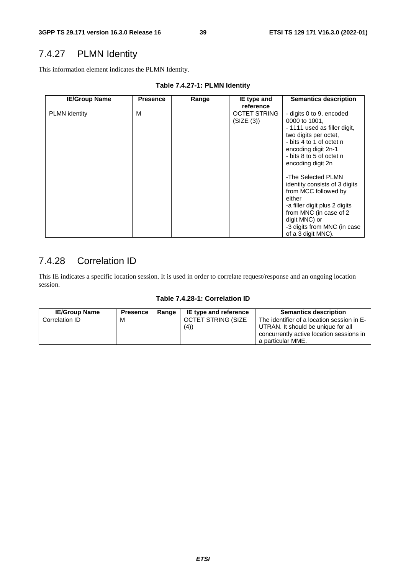# 7.4.27 PLMN Identity

This information element indicates the PLMN Identity.

| <b>IE/Group Name</b> | <b>Presence</b> | Range | IE type and<br>reference          | <b>Semantics description</b>                                                                                                                                                                                           |
|----------------------|-----------------|-------|-----------------------------------|------------------------------------------------------------------------------------------------------------------------------------------------------------------------------------------------------------------------|
| <b>PLMN</b> identity | м               |       | <b>OCTET STRING</b><br>(SIZE (3)) | - digits 0 to 9, encoded<br>0000 to 1001,<br>- 1111 used as filler digit,<br>two digits per octet,<br>- bits 4 to 1 of octet n<br>encoding digit 2n-1<br>- bits 8 to 5 of octet n<br>encoding digit 2n                 |
|                      |                 |       |                                   | -The Selected PLMN<br>identity consists of 3 digits<br>from MCC followed by<br>either<br>-a filler digit plus 2 digits<br>from MNC (in case of 2<br>digit MNC) or<br>-3 digits from MNC (in case<br>of a 3 digit MNC). |

# 7.4.28 Correlation ID

This IE indicates a specific location session. It is used in order to correlate request/response and an ongoing location session.

|  |  | Table 7.4.28-1: Correlation ID |
|--|--|--------------------------------|
|--|--|--------------------------------|

| <b>IE/Group Name</b> | <b>Presence</b> | Range | IE type and reference     | <b>Semantics description</b>                                                                                                                      |
|----------------------|-----------------|-------|---------------------------|---------------------------------------------------------------------------------------------------------------------------------------------------|
| Correlation ID       | М               |       | OCTET STRING (SIZE<br>(4) | The identifier of a location session in E-<br>UTRAN. It should be unique for all<br>concurrently active location sessions in<br>a particular MME. |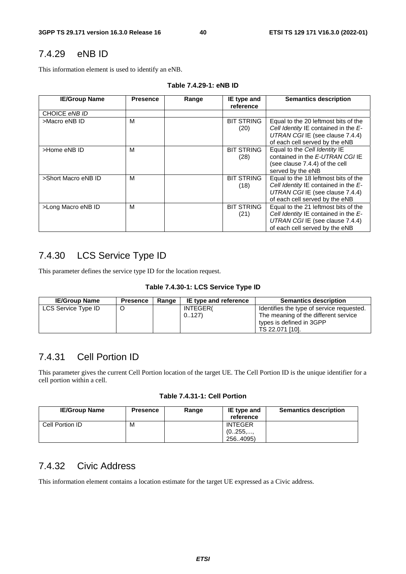### 7.4.29 eNB ID

This information element is used to identify an eNB.

| <b>IE/Group Name</b> | <b>Presence</b> | Range | IE type and<br>reference  | <b>Semantics description</b>                                                                                                                         |
|----------------------|-----------------|-------|---------------------------|------------------------------------------------------------------------------------------------------------------------------------------------------|
| CHOICE eNB ID        |                 |       |                           |                                                                                                                                                      |
| >Macro eNB ID        | м               |       | <b>BIT STRING</b><br>(20) | Equal to the 20 leftmost bits of the<br>Cell Identity IE contained in the $E$ -<br>UTRAN CGI IE (see clause 7.4.4)<br>of each cell served by the eNB |
| >Home eNB ID         | М               |       | <b>BIT STRING</b><br>(28) | Equal to the Cell Identity IE<br>contained in the E-UTRAN CGI IE<br>(see clause 7.4.4) of the cell<br>served by the eNB                              |
| >Short Macro eNB ID  | М               |       | <b>BIT STRING</b><br>(18) | Equal to the 18 leftmost bits of the<br>Cell Identity IE contained in the E-<br>UTRAN CGI IE (see clause 7.4.4)<br>of each cell served by the eNB    |
| >Long Macro eNB ID   | M               |       | <b>BIT STRING</b><br>(21) | Equal to the 21 leftmost bits of the<br>Cell Identity IE contained in the E-<br>UTRAN CGI IE (see clause 7.4.4)<br>of each cell served by the eNB    |

#### **Table 7.4.29-1: eNB ID**

## 7.4.30 LCS Service Type ID

This parameter defines the service type ID for the location request.

|  | Table 7.4.30-1: LCS Service Type ID |  |  |  |
|--|-------------------------------------|--|--|--|
|--|-------------------------------------|--|--|--|

| <b>IE/Group Name</b> | <b>Presence</b> | Range | IE type and reference | <b>Semantics description</b>                                                                                                     |
|----------------------|-----------------|-------|-----------------------|----------------------------------------------------------------------------------------------------------------------------------|
| LCS Service Type ID  |                 |       | INTEGER(<br>0.127     | Identifies the type of service requested.<br>The meaning of the different service<br>types is defined in 3GPP<br>TS 22.071 [10]. |

### 7.4.31 Cell Portion ID

This parameter gives the current Cell Portion location of the target UE. The Cell Portion ID is the unique identifier for a cell portion within a cell.

#### **Table 7.4.31-1: Cell Portion**

| <b>IE/Group Name</b> | <b>Presence</b> | Range | IE type and<br>reference | <b>Semantics description</b> |
|----------------------|-----------------|-------|--------------------------|------------------------------|
| Cell Portion ID      | M               |       | <b>INTEGER</b>           |                              |
|                      |                 |       | (0255,,                  |                              |
|                      |                 |       | 256.4095)                |                              |

### 7.4.32 Civic Address

This information element contains a location estimate for the target UE expressed as a Civic address.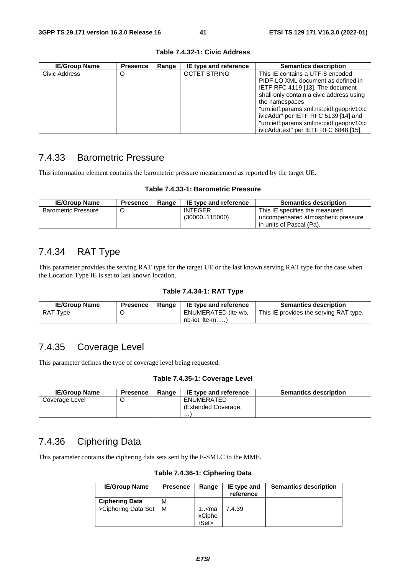| <b>IE/Group Name</b> | <b>Presence</b> | Range | IE type and reference | <b>Semantics description</b>             |
|----------------------|-----------------|-------|-----------------------|------------------------------------------|
| Civic Address        | O               |       | <b>OCTET STRING</b>   | This IE contains a UTF-8 encoded         |
|                      |                 |       |                       | PIDF-LO XML document as defined in       |
|                      |                 |       |                       | IETF RFC 4119 [13]. The document         |
|                      |                 |       |                       | shall only contain a civic address using |
|                      |                 |       |                       | the namespaces                           |
|                      |                 |       |                       | "urn:ietf:params:xml:ns:pidf:geopriv10:c |
|                      |                 |       |                       | ivicAddr" per IETF RFC 5139 [14] and     |
|                      |                 |       |                       | "urn:ietf:params:xml:ns:pidf:geopriv10:c |
|                      |                 |       |                       | ivicAddr:ext" per IETF RFC 6848 [15].    |

#### **Table 7.4.32-1: Civic Address**

#### 7.4.33 Barometric Pressure

This information element contains the barometric pressure measurement as reported by the target UE.

#### **Table 7.4.33-1: Barometric Pressure**

| <b>IE/Group Name</b>       | <b>Presence</b> | Range | IE type and reference | <b>Semantics description</b>       |
|----------------------------|-----------------|-------|-----------------------|------------------------------------|
| <b>Barometric Pressure</b> |                 |       | <b>INTEGER</b>        | This IE specifies the measured     |
|                            |                 |       | (30000115000)         | uncompensated atmospheric pressure |
|                            |                 |       |                       | in units of Pascal (Pa).           |

### 7.4.34 RAT Type

This parameter provides the serving RAT type for the target UE or the last known serving RAT type for the case when the Location Type IE is set to last known location.

#### **Table 7.4.34-1: RAT Type**

| <b>IE/Group Name</b> | <b>Presence</b> | Range | <b>IE type and reference</b> | <b>Semantics description</b>           |
|----------------------|-----------------|-------|------------------------------|----------------------------------------|
| RAT<br>Ivpe          |                 |       | ENUMERATED (Ite-wb,          | This IE provides the serving RAT type. |
|                      |                 |       | $nb$ -iot. Ite-m. $\dots$ )  |                                        |

### 7.4.35 Coverage Level

This parameter defines the type of coverage level being requested.

#### **Table 7.4.35-1: Coverage Level**

| <b>IE/Group Name</b> | <b>Presence</b> | Range | IE type and reference | <b>Semantics description</b> |
|----------------------|-----------------|-------|-----------------------|------------------------------|
| Coverage Level       |                 |       | ENUMERATED            |                              |
|                      |                 |       | (Extended Coverage,   |                              |
|                      |                 |       | .                     |                              |

## 7.4.36 Ciphering Data

This parameter contains the ciphering data sets sent by the E-SMLC to the MME.

**Table 7.4.36-1: Ciphering Data** 

| <b>IE/Group Name</b>  | <b>Presence</b> | Range                            | IE type and<br>reference | <b>Semantics description</b> |
|-----------------------|-----------------|----------------------------------|--------------------------|------------------------------|
| <b>Ciphering Data</b> | м               |                                  |                          |                              |
| >Ciphering Data Set   | м               | 1 <ma<br>xCiphe<br/>rSet</ma<br> | 7.4.39                   |                              |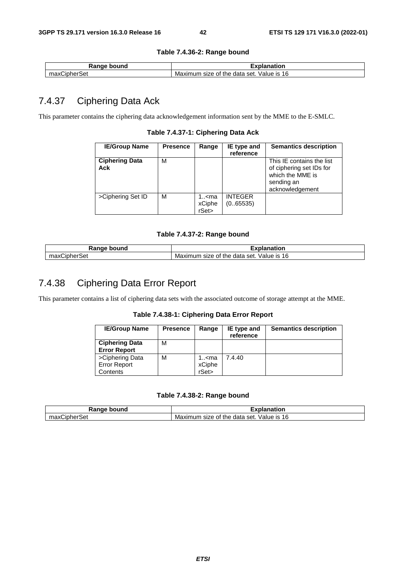#### **Table 7.4.36-2: Range bound**

| $-1$<br>้านทด<br>nni<br>.  | -----<br>nation                                               |
|----------------------------|---------------------------------------------------------------|
| л<br>ı<br>эe<br><b>ild</b> | 16<br>Value<br>≧data set.<br>the<br>Maximum<br>IS.<br>size of |

## 7.4.37 Ciphering Data Ack

This parameter contains the ciphering data acknowledgement information sent by the MME to the E-SMLC.

**Table 7.4.37-1: Ciphering Data Ack** 

| <b>IE/Group Name</b>         | <b>Presence</b> | Range                                | IE type and                | <b>Semantics description</b>                                                                               |
|------------------------------|-----------------|--------------------------------------|----------------------------|------------------------------------------------------------------------------------------------------------|
|                              |                 |                                      | reference                  |                                                                                                            |
| <b>Ciphering Data</b><br>Ack | М               |                                      |                            | This IE contains the list<br>of ciphering set IDs for<br>which the MME is<br>sending an<br>acknowledgement |
| >Ciphering Set ID            | M               | 1 <ma<br>xCiphe<br/>rSet&gt;</ma<br> | <b>INTEGER</b><br>(065535) |                                                                                                            |

#### **Table 7.4.37-2: Range bound**

| -----<br>bound<br>nae          | tior                                                                |
|--------------------------------|---------------------------------------------------------------------|
| <br>max<br>.<br>эe<br>one<br>ᆅ | 16<br>`set.<br>Value<br>IS.<br>ึกนท<br>the data<br>size of<br>Maxım |

## 7.4.38 Ciphering Data Error Report

This parameter contains a list of ciphering data sets with the associated outcome of storage attempt at the MME.

**Table 7.4.38-1: Ciphering Data Error Report** 

| <b>IE/Group Name</b>                               | <b>Presence</b> | Range                                | IE type and<br>reference | <b>Semantics description</b> |
|----------------------------------------------------|-----------------|--------------------------------------|--------------------------|------------------------------|
| <b>Ciphering Data</b><br><b>Error Report</b>       | м               |                                      |                          |                              |
| >Ciphering Data<br><b>Error Report</b><br>Contents | м               | 1 <ma<br>xCiphe<br/>rSet&gt;</ma<br> | 7.4.40                   |                              |

**Table 7.4.38-2: Range bound** 

| Range bound       | ınation                                              |
|-------------------|------------------------------------------------------|
| شipherSet<br>max0 | 16<br>Value is<br>י size of the data set.<br>Maximum |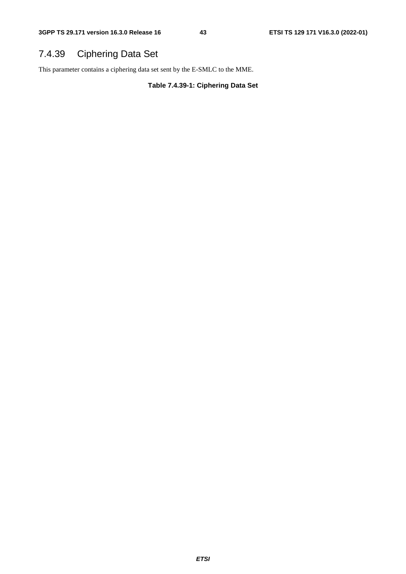# 7.4.39 Ciphering Data Set

This parameter contains a ciphering data set sent by the E-SMLC to the MME.

**Table 7.4.39-1: Ciphering Data Set**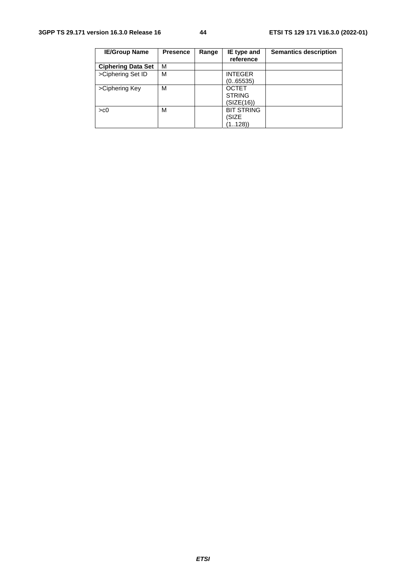| <b>IE/Group Name</b>      | <b>Presence</b> | Range | IE type and<br>reference                    | <b>Semantics description</b> |
|---------------------------|-----------------|-------|---------------------------------------------|------------------------------|
| <b>Ciphering Data Set</b> | М               |       |                                             |                              |
| >Ciphering Set ID         | М               |       | <b>INTEGER</b><br>(0.65535)                 |                              |
| >Ciphering Key            | м               |       | <b>OCTET</b><br><b>STRING</b><br>(SIZE(16)) |                              |
| > <sub>co</sub>           | M               |       | <b>BIT STRING</b><br>(SIZE<br>(1128)        |                              |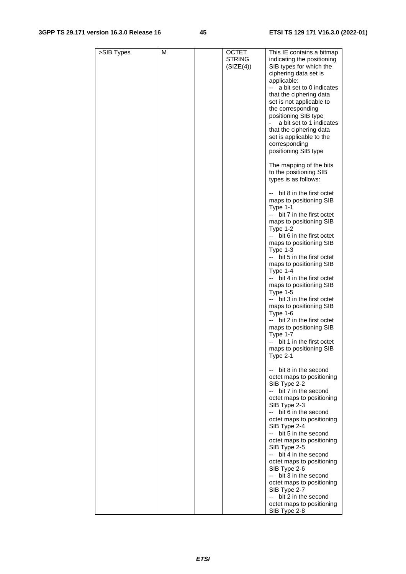#### **3GPP TS 29.171 version 16.3.0 Release 16 45 ETSI TS 129 171 V16.3.0 (2022-01)**

| >SIB Types | M | <b>OCTET</b><br><b>STRING</b><br>(SIZE(4)) | This IE contains a bitmap<br>indicating the positioning<br>SIB types for which the<br>ciphering data set is<br>applicable:<br>a bit set to 0 indicates<br>that the ciphering data<br>set is not applicable to<br>the corresponding<br>positioning SIB type<br>a bit set to 1 indicates<br>that the ciphering data<br>set is applicable to the<br>corresponding<br>positioning SIB type                                                                                                                                                                                             |
|------------|---|--------------------------------------------|------------------------------------------------------------------------------------------------------------------------------------------------------------------------------------------------------------------------------------------------------------------------------------------------------------------------------------------------------------------------------------------------------------------------------------------------------------------------------------------------------------------------------------------------------------------------------------|
|            |   |                                            | The mapping of the bits<br>to the positioning SIB<br>types is as follows:                                                                                                                                                                                                                                                                                                                                                                                                                                                                                                          |
|            |   |                                            | -- bit 8 in the first octet<br>maps to positioning SIB<br>Type 1-1<br>-- bit 7 in the first octet<br>maps to positioning SIB<br>Type $1-2$<br>-- bit 6 in the first octet<br>maps to positioning SIB<br>Type 1-3<br>bit 5 in the first octet<br>maps to positioning SIB<br>Type 1-4<br>-- bit 4 in the first octet<br>maps to positioning SIB<br>Type $1-5$<br>bit 3 in the first octet<br>maps to positioning SIB<br>Type $1-6$<br>bit 2 in the first octet<br>$-$<br>maps to positioning SIB<br>Type 1-7<br>-- bit 1 in the first octet<br>maps to positioning SIB<br>Type $2-1$ |
|            |   |                                            | bit 8 in the second<br>octet maps to positioning<br>SIB Type 2-2<br>bit 7 in the second<br>octet maps to positioning<br>SIB Type 2-3<br>-- bit 6 in the second<br>octet maps to positioning<br>SIB Type 2-4                                                                                                                                                                                                                                                                                                                                                                        |
|            |   |                                            | bit 5 in the second<br>--<br>octet maps to positioning<br>SIB Type 2-5<br>-- bit 4 in the second<br>octet maps to positioning<br>SIB Type 2-6<br>-- bit 3 in the second<br>octet maps to positioning<br>SIB Type 2-7<br>-- bit 2 in the second<br>octet maps to positioning<br>SIB Type 2-8                                                                                                                                                                                                                                                                                        |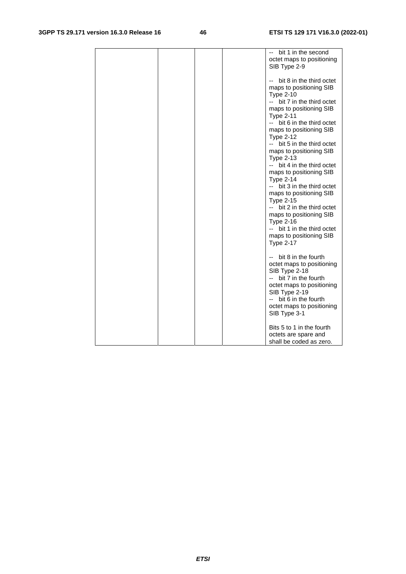|  | -- bit 1 in the second                          |
|--|-------------------------------------------------|
|  | octet maps to positioning                       |
|  | SIB Type 2-9                                    |
|  |                                                 |
|  | -- bit 8 in the third octet                     |
|  | maps to positioning SIB                         |
|  | <b>Type 2-10</b>                                |
|  | -- bit 7 in the third octet                     |
|  | maps to positioning SIB                         |
|  | <b>Type 2-11</b>                                |
|  | -- bit 6 in the third octet                     |
|  | maps to positioning SIB                         |
|  | <b>Type 2-12</b>                                |
|  | bit 5 in the third octet<br>$ -$                |
|  | maps to positioning SIB                         |
|  | <b>Type 2-13</b>                                |
|  | -- bit 4 in the third octet                     |
|  | maps to positioning SIB                         |
|  | <b>Type 2-14</b>                                |
|  | -- bit 3 in the third octet                     |
|  | maps to positioning SIB                         |
|  | <b>Type 2-15</b>                                |
|  | bit 2 in the third octet<br>$ -$                |
|  |                                                 |
|  | maps to positioning SIB                         |
|  | <b>Type 2-16</b><br>-- bit 1 in the third octet |
|  |                                                 |
|  | maps to positioning SIB                         |
|  | <b>Type 2-17</b>                                |
|  |                                                 |
|  | -- bit 8 in the fourth                          |
|  | octet maps to positioning                       |
|  | SIB Type 2-18                                   |
|  | bit 7 in the fourth                             |
|  | octet maps to positioning                       |
|  | SIB Type 2-19                                   |
|  | -- bit 6 in the fourth                          |
|  | octet maps to positioning                       |
|  | SIB Type 3-1                                    |
|  | Bits 5 to 1 in the fourth                       |
|  | octets are spare and                            |
|  | shall be coded as zero.                         |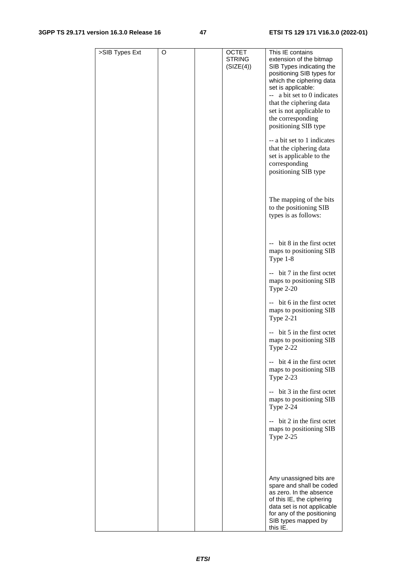#### **3GPP TS 29.171 version 16.3.0 Release 16 47 ETSI TS 129 171 V16.3.0 (2022-01)**

| >SIB Types Ext | O | <b>OCTET</b><br><b>STRING</b><br>(SIZE(4)) | This IE contains<br>extension of the bitmap<br>SIB Types indicating the<br>positioning SIB types for<br>which the ciphering data<br>set is applicable:<br>-- a bit set to 0 indicates<br>that the ciphering data<br>set is not applicable to<br>the corresponding<br>positioning SIB type<br>-- a bit set to 1 indicates<br>that the ciphering data<br>set is applicable to the<br>corresponding<br>positioning SIB type |
|----------------|---|--------------------------------------------|--------------------------------------------------------------------------------------------------------------------------------------------------------------------------------------------------------------------------------------------------------------------------------------------------------------------------------------------------------------------------------------------------------------------------|
|                |   |                                            | The mapping of the bits<br>to the positioning SIB<br>types is as follows:                                                                                                                                                                                                                                                                                                                                                |
|                |   |                                            | -- bit 8 in the first octet<br>maps to positioning SIB<br>Type 1-8                                                                                                                                                                                                                                                                                                                                                       |
|                |   |                                            | -- bit 7 in the first octet<br>maps to positioning SIB<br><b>Type 2-20</b>                                                                                                                                                                                                                                                                                                                                               |
|                |   |                                            | -- bit 6 in the first octet<br>maps to positioning SIB<br><b>Type 2-21</b>                                                                                                                                                                                                                                                                                                                                               |
|                |   |                                            | $-$ bit 5 in the first octet<br>maps to positioning SIB<br><b>Type 2-22</b>                                                                                                                                                                                                                                                                                                                                              |
|                |   |                                            | -- bit 4 in the first octet<br>maps to positioning SIB<br><b>Type 2-23</b>                                                                                                                                                                                                                                                                                                                                               |
|                |   |                                            | -- bit 3 in the first octet<br>maps to positioning SIB<br><b>Type 2-24</b>                                                                                                                                                                                                                                                                                                                                               |
|                |   |                                            | -- bit 2 in the first octet<br>maps to positioning SIB<br><b>Type 2-25</b>                                                                                                                                                                                                                                                                                                                                               |
|                |   |                                            |                                                                                                                                                                                                                                                                                                                                                                                                                          |
|                |   |                                            | Any unassigned bits are<br>spare and shall be coded<br>as zero. In the absence<br>of this IE, the ciphering<br>data set is not applicable<br>for any of the positioning<br>SIB types mapped by<br>this IE.                                                                                                                                                                                                               |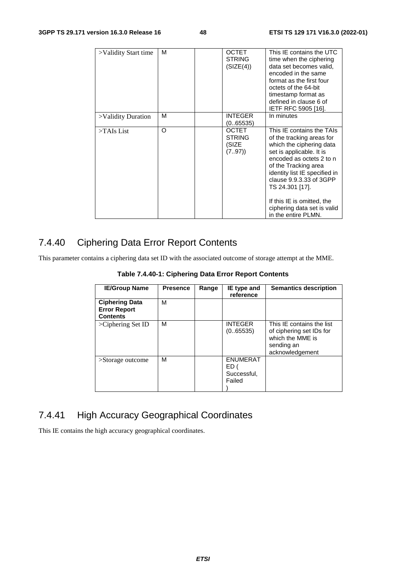| >Validity Start time | м        | <b>OCTET</b><br><b>STRING</b><br>(SIZE(4))      | This IE contains the UTC<br>time when the ciphering<br>data set becomes valid,<br>encoded in the same<br>format as the first four<br>octets of the 64-bit<br>timestamp format as<br>defined in clause 6 of<br>IETF RFC 5905 [16].                                                                                                     |
|----------------------|----------|-------------------------------------------------|---------------------------------------------------------------------------------------------------------------------------------------------------------------------------------------------------------------------------------------------------------------------------------------------------------------------------------------|
| >Validity Duration   | м        | <b>INTEGER</b><br>(065535)                      | In minutes                                                                                                                                                                                                                                                                                                                            |
| $>\tau$ AIs List     | $\Omega$ | <b>OCTET</b><br><b>STRING</b><br>(SIZE<br>(797) | This IE contains the TAIs<br>of the tracking areas for<br>which the ciphering data<br>set is applicable. It is<br>encoded as octets 2 to n<br>of the Tracking area<br>identity list IE specified in<br>clause 9.9.3.33 of 3GPP<br>TS 24.301 [17].<br>If this IE is omitted, the<br>ciphering data set is valid<br>in the entire PLMN. |

## 7.4.40 Ciphering Data Error Report Contents

This parameter contains a ciphering data set ID with the associated outcome of storage attempt at the MME.

**Table 7.4.40-1: Ciphering Data Error Report Contents** 

| <b>IE/Group Name</b>                                            | <b>Presence</b> | Range | IE type and<br>reference                         | <b>Semantics description</b>                                                                               |
|-----------------------------------------------------------------|-----------------|-------|--------------------------------------------------|------------------------------------------------------------------------------------------------------------|
| <b>Ciphering Data</b><br><b>Error Report</b><br><b>Contents</b> | M               |       |                                                  |                                                                                                            |
| >Ciphering Set ID                                               | M               |       | <b>INTEGER</b><br>(0.65535)                      | This IE contains the list<br>of ciphering set IDs for<br>which the MME is<br>sending an<br>acknowledgement |
| $\geq$ Storage outcome                                          | M               |       | <b>ENUMERAT</b><br>ED (<br>Successful,<br>Failed |                                                                                                            |

# 7.4.41 High Accuracy Geographical Coordinates

This IE contains the high accuracy geographical coordinates.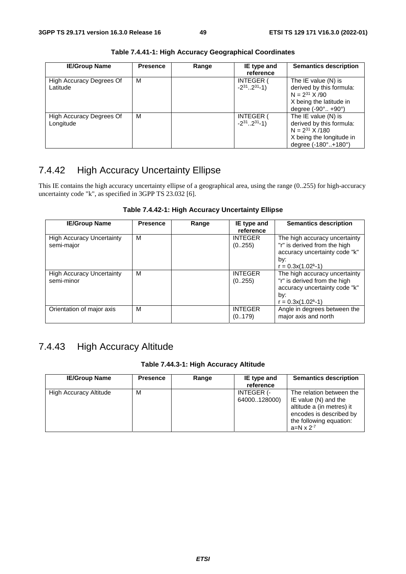| <b>IE/Group Name</b>                  | <b>Presence</b> | Range | IE type and<br>reference                          | <b>Semantics description</b>                                                                                                             |
|---------------------------------------|-----------------|-------|---------------------------------------------------|------------------------------------------------------------------------------------------------------------------------------------------|
| High Accuracy Degrees Of<br>Latitude  | м               |       | <b>INTEGER (</b><br>$-2^{31}$ 2 <sup>31</sup> -1) | The IE value (N) is<br>derived by this formula:<br>$N = 2^{31}$ X /90<br>X being the latitude in<br>degree $(-90^{\circ}$ $+90^{\circ})$ |
| High Accuracy Degrees Of<br>Longitude | м               |       | <b>INTEGER (</b><br>$-2^{31}$ 2 <sup>31</sup> -1) | The IE value (N) is<br>derived by this formula:<br>$N = 2^{31}$ X /180<br>X being the longitude in<br>degree (-180°+180°)                |

**Table 7.4.41-1: High Accuracy Geographical Coordinates** 

# 7.4.42 High Accuracy Uncertainty Ellipse

This IE contains the high accuracy uncertainty ellipse of a geographical area, using the range (0..255) for high-accuracy uncertainty code "k", as specified in 3GPP TS 23.032 [6].

#### **Table 7.4.42-1: High Accuracy Uncertainty Ellipse**

| <b>IE/Group Name</b>                           | <b>Presence</b> | Range | IE type and<br>reference  | <b>Semantics description</b>                                                                                                 |
|------------------------------------------------|-----------------|-------|---------------------------|------------------------------------------------------------------------------------------------------------------------------|
| <b>High Accuracy Uncertainty</b><br>semi-major | M               |       | <b>INTEGER</b><br>(0255)  | The high accuracy uncertainty<br>"r" is derived from the high<br>accuracy uncertainty code "k"<br>by:<br>$r = 0.3x(1.02k-1)$ |
| <b>High Accuracy Uncertainty</b><br>semi-minor | M               |       | <b>INTEGER</b><br>(0255)  | The high accuracy uncertainty<br>"r" is derived from the high<br>accuracy uncertainty code "k"<br>by:<br>$r = 0.3x(1.02k-1)$ |
| Orientation of major axis                      | M               |       | <b>INTEGER</b><br>(0.179) | Angle in degrees between the<br>major axis and north                                                                         |

## 7.4.43 High Accuracy Altitude

#### **Table 7.44.3-1: High Accuracy Altitude**

| <b>IE/Group Name</b>   | <b>Presence</b> | Range | IE type and<br>reference          | <b>Semantics description</b>                                                                                                                                 |
|------------------------|-----------------|-------|-----------------------------------|--------------------------------------------------------------------------------------------------------------------------------------------------------------|
| High Accuracy Altitude | м               |       | <b>INTEGER (-</b><br>64000128000) | The relation between the<br>IE value $(N)$ and the<br>altitude a (in metres) it<br>encodes is described by<br>the following equation:<br>$a=N \times 2^{-7}$ |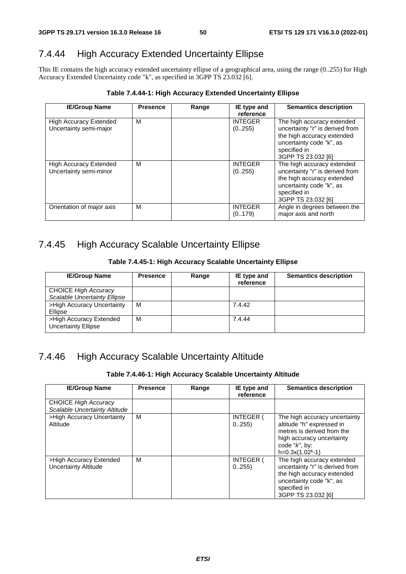## 7.4.44 High Accuracy Extended Uncertainty Ellipse

This IE contains the high accuracy extended uncertainty ellipse of a geographical area, using the range (0..255) for High Accuracy Extended Uncertainty code "k", as specified in 3GPP TS 23.032 [6].

| <b>IE/Group Name</b>                                    | <b>Presence</b> | Range | IE type and<br>reference | <b>Semantics description</b>                                                                                                                                  |
|---------------------------------------------------------|-----------------|-------|--------------------------|---------------------------------------------------------------------------------------------------------------------------------------------------------------|
| High Accuracy Extended<br>Uncertainty semi-major        | м               |       | <b>INTEGER</b><br>(0255) | The high accuracy extended<br>uncertainty "r" is derived from<br>the high accuracy extended<br>uncertainty code "k", as<br>specified in<br>3GPP TS 23.032 [6] |
| <b>High Accuracy Extended</b><br>Uncertainty semi-minor | м               |       | <b>INTEGER</b><br>(0255) | The high accuracy extended<br>uncertainty "r" is derived from<br>the high accuracy extended<br>uncertainty code "k", as<br>specified in<br>3GPP TS 23.032 [6] |
| Orientation of major axis                               | м               |       | <b>INTEGER</b><br>(0179) | Angle in degrees between the<br>major axis and north                                                                                                          |

**Table 7.4.44-1: High Accuracy Extended Uncertainty Ellipse** 

#### 7.4.45 High Accuracy Scalable Uncertainty Ellipse

**Table 7.4.45-1: High Accuracy Scalable Uncertainty Ellipse** 

| <b>IE/Group Name</b>                                               | <b>Presence</b> | Range | IE type and<br>reference | <b>Semantics description</b> |
|--------------------------------------------------------------------|-----------------|-------|--------------------------|------------------------------|
| <b>CHOICE High Accuracy</b><br><b>Scalable Uncertainty Ellipse</b> |                 |       |                          |                              |
| >High Accuracy Uncertainty<br>Ellipse                              | м               |       | 7.4.42                   |                              |
| >High Accuracy Extended<br><b>Uncertainty Ellipse</b>              | м               |       | 7.4.44                   |                              |

## 7.4.46 High Accuracy Scalable Uncertainty Altitude

**Table 7.4.46-1: High Accuracy Scalable Uncertainty Altitude** 

| <b>IE/Group Name</b>                                  | <b>Presence</b> | Range                     | <b>IE</b> type and<br>reference | <b>Semantics description</b>                                                                                                                                    |
|-------------------------------------------------------|-----------------|---------------------------|---------------------------------|-----------------------------------------------------------------------------------------------------------------------------------------------------------------|
| CHOICE High Accuracy<br>Scalable Uncertainty Altitude |                 |                           |                                 |                                                                                                                                                                 |
| >High Accuracy Uncertainty<br>Altitude                | м               | <b>INTEGER (</b><br>0.255 |                                 | The high accuracy uncertainty<br>altitude "h" expressed in<br>metres is derived from the<br>high accuracy uncertainty<br>code " $k$ ", by:<br>$h=0.3x(1.02k-1)$ |
| >High Accuracy Extended<br>Uncertainty Altitude       | м               |                           | <b>INTEGER (</b><br>0.255       | The high accuracy extended<br>uncertainty "r" is derived from<br>the high accuracy extended<br>uncertainty code "k", as<br>specified in<br>3GPP TS 23.032 [6]   |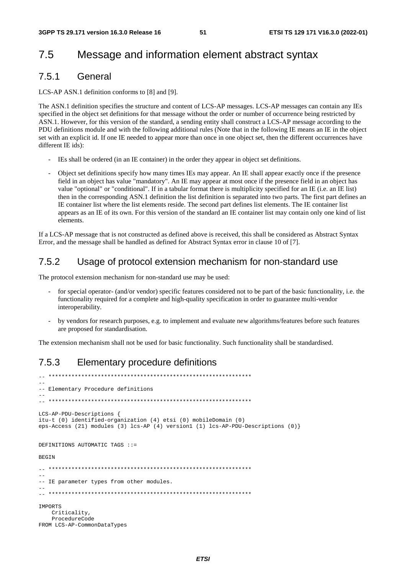## 7.5 Message and information element abstract syntax

#### 7.5.1 General

LCS-AP ASN.1 definition conforms to [8] and [9].

The ASN.1 definition specifies the structure and content of LCS-AP messages. LCS-AP messages can contain any IEs specified in the object set definitions for that message without the order or number of occurrence being restricted by ASN.1. However, for this version of the standard, a sending entity shall construct a LCS-AP message according to the PDU definitions module and with the following additional rules (Note that in the following IE means an IE in the object set with an explicit id. If one IE needed to appear more than once in one object set, then the different occurrences have different IE ids):

- IEs shall be ordered (in an IE container) in the order they appear in object set definitions.
- Object set definitions specify how many times IEs may appear. An IE shall appear exactly once if the presence field in an object has value "mandatory". An IE may appear at most once if the presence field in an object has value "optional" or "conditional". If in a tabular format there is multiplicity specified for an IE (i.e. an IE list) then in the corresponding ASN.1 definition the list definition is separated into two parts. The first part defines an IE container list where the list elements reside. The second part defines list elements. The IE container list appears as an IE of its own. For this version of the standard an IE container list may contain only one kind of list elements.

If a LCS-AP message that is not constructed as defined above is received, this shall be considered as Abstract Syntax Error, and the message shall be handled as defined for Abstract Syntax error in clause 10 of [7].

#### 7.5.2 Usage of protocol extension mechanism for non-standard use

The protocol extension mechanism for non-standard use may be used:

- for special operator- (and/or vendor) specific features considered not to be part of the basic functionality, i.e. the functionality required for a complete and high-quality specification in order to guarantee multi-vendor interoperability.
- by vendors for research purposes, e.g. to implement and evaluate new algorithms/features before such features are proposed for standardisation.

The extension mechanism shall not be used for basic functionality. Such functionality shall be standardised.

#### 7.5.3 Elementary procedure definitions

```
-- ************************************************************** 
-- 
-- Elementary Procedure definitions 
-- 
-- ************************************************************** 
LCS-AP-PDU-Descriptions { 
itu-t (0) identified-organization (4) etsi (0) mobileDomain (0) 
eps-Access (21) modules (3) lcs-AP (4) version1 (1) lcs-AP-PDU-Descriptions (0)} 
DEFINITIONS AUTOMATIC TAGS ::= 
BEGIN 
  -- ************************************************************** 
-- 
-- IE parameter types from other modules. 
-- 
-- ************************************************************** 
IMPORTS 
     Criticality, 
    ProcedureCode 
FROM LCS-AP-CommonDataTypes
```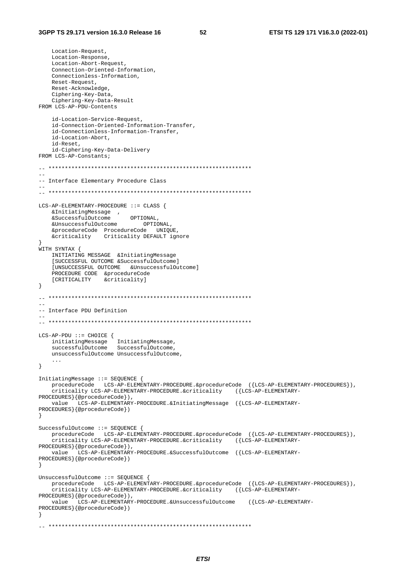Location-Request, Location-Response, Location-Abort-Request, Connection-Oriented-Information, Connectionless-Information, Reset-Request, Reset-Acknowledge, Ciphering-Key-Data, Ciphering-Key-Data-Result FROM LCS-AP-PDU-Contents id-Location-Service-Request, id-Connection-Oriented-Information-Transfer, id-Connectionless-Information-Transfer, id-Location-Abort, id-Reset, id-Ciphering-Key-Data-Delivery FROM LCS-AP-Constants;  $\sim$   $\sim$ -- Interface Elementary Procedure Class LCS-AP-ELEMENTARY-PROCEDURE ::= CLASS { OPTIONAL. &UnsuccessfulOutcome OPTIONAL, &procedureCode ProcedureCode **INTOHE** &criticality Criticality DEFAULT ignore WITH SYNTAX { INITIATING MESSAGE & Initiating Message [SUCCESSFUL OUTCOME & SuccessfulOutcome] [UNSUCCESSFUL OUTCOME & UnsuccessfulOutcome] PROCEDURE CODE & procedureCode [CRITICALITY &criticality]  $\left\{ \right\}$ -- Interface PDU Definition  $\verb|LCS-AP-PDU| := \verb|CHOICE| \{$ initiatingMessage InitiatingMessage,<br>successfulOutcome SuccessfulOutcome, unsuccessfulOutcome UnsuccessfulOutcome,  $\sim$   $\sim$   $\sim$  $\}$ InitiatingMessage ::= SEQUENCE { procedureCode LCS-AP-ELEMENTARY-PROCEDURE.&procedureCode ({LCS-AP-ELEMENTARY-PROCEDURES}), .<br>criticality LCS-AP-ELEMENTARY-PROCEDURE.&criticality ({LCS-AP-ELEMENTARY-PROCEDURES } {@procedureCode}), LCS-AP-ELEMENTARY-PROCEDURE.&InitiatingMessage ({LCS-AP-ELEMENTARYvalue PROCEDURES } {@procedureCode}) <sup>-</sup>} SuccessfulOutcome ::= SEQUENCE { procedureCode LCS-AP-ELEMENTARY-PROCEDURE.&procedureCode ({LCS-AP-ELEMENTARY-PROCEDURES}), criticality LCS-AP-ELEMENTARY-PROCEDURE.&criticality ({LCS-AP-ELEMENTARY-PROCEDURES}{@procedureCode}), value LCS-AP-ELEMENTARY-PROCEDURE. & SuccessfulOutcome ({LCS-AP-ELEMENTARY-PROCEDURES } { @procedureCode } )  $\rightarrow$ UnsuccessfulOutcome ::= SEQUENCE { procedureCode LCS-AP-ELEMENTARY-PROCEDURE.&procedureCode ({LCS-AP-ELEMENTARY-PROCEDURES}), criticality LCS-AP-ELEMENTARY-PROCEDURE.&criticality ({LCS-AP-ELEMENTARY-PROCEDURES } {@procedureCode}), LCS-AP-ELEMENTARY-PROCEDURE. & UnsuccessfulOutcome ({LCS-AP-ELEMENTARYvalue PROCEDURES } { @procedureCode } )  $\rightarrow$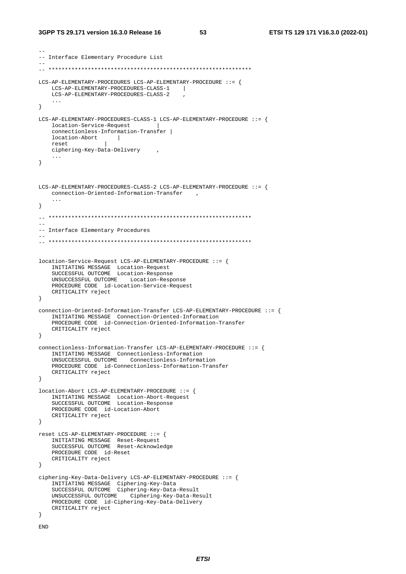```
-- 
-- Interface Elementary Procedure List 
-- 
-- ************************************************************** 
LCS-AP-ELEMENTARY-PROCEDURES LCS-AP-ELEMENTARY-PROCEDURE ::= { 
     LCS-AP-ELEMENTARY-PROCEDURES-CLASS-1 | 
    LCS-AP-ELEMENTARY-PROCEDURES-CLASS-2 , 
     ... 
} 
LCS-AP-ELEMENTARY-PROCEDURES-CLASS-1 LCS-AP-ELEMENTARY-PROCEDURE ::= { 
     location-Service-Request | 
     connectionless-Information-Transfer | 
     location-Abort | 
    reset | 
     ciphering-Key-Data-Delivery , 
     ... 
} 
LCS-AP-ELEMENTARY-PROCEDURES-CLASS-2 LCS-AP-ELEMENTARY-PROCEDURE ::= { 
   connection-Oriented-Information-Transfer ,
     ... 
} 
-- ************************************************************** 
-- 
-- Interface Elementary Procedures 
-- 
-- ************************************************************** 
location-Service-Request LCS-AP-ELEMENTARY-PROCEDURE ::= { 
 INITIATING MESSAGE Location-Request 
 SUCCESSFUL OUTCOME Location-Response 
     UNSUCCESSFUL OUTCOME Location-Response 
    PROCEDURE CODE id-Location-Service-Request 
     CRITICALITY reject 
} 
connection-Oriented-Information-Transfer LCS-AP-ELEMENTARY-PROCEDURE ::= { 
     INITIATING MESSAGE Connection-Oriented-Information 
     PROCEDURE CODE id-Connection-Oriented-Information-Transfer 
     CRITICALITY reject 
} 
connectionless-Information-Transfer LCS-AP-ELEMENTARY-PROCEDURE ::= { 
     INITIATING MESSAGE Connectionless-Information 
     UNSUCCESSFUL OUTCOME Connectionless-Information 
     PROCEDURE CODE id-Connectionless-Information-Transfer 
     CRITICALITY reject 
} 
location-Abort LCS-AP-ELEMENTARY-PROCEDURE ::= { 
     INITIATING MESSAGE Location-Abort-Request 
     SUCCESSFUL OUTCOME Location-Response 
     PROCEDURE CODE id-Location-Abort 
    CRITICALITY reject 
} 
reset LCS-AP-ELEMENTARY-PROCEDURE ::= { 
 INITIATING MESSAGE Reset-Request 
 SUCCESSFUL OUTCOME Reset-Acknowledge 
     PROCEDURE CODE id-Reset 
     CRITICALITY reject 
} 
ciphering-Key-Data-Delivery LCS-AP-ELEMENTARY-PROCEDURE ::= { 
     INITIATING MESSAGE Ciphering-Key-Data 
     SUCCESSFUL OUTCOME Ciphering-Key-Data-Result 
     UNSUCCESSFUL OUTCOME Ciphering-Key-Data-Result 
     PROCEDURE CODE id-Ciphering-Key-Data-Delivery 
     CRITICALITY reject 
} 
END
```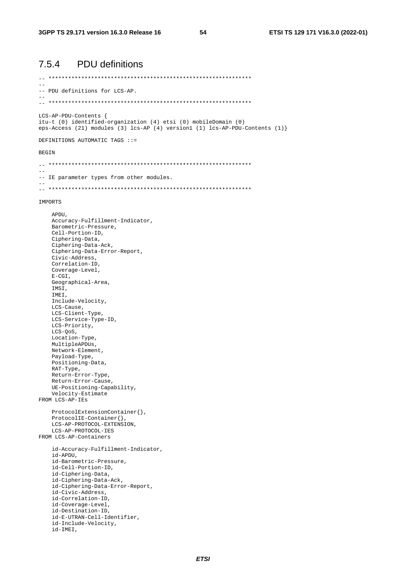54

#### 7.5.4 **PDU** definitions

 $\equiv$ -- PDU definitions for LCS-AP. LCS-AP-PDU-Contents { itu-t (0) identified-organization (4) etsi (0) mobileDomain (0) eps-Access (21) modules (3)  $lcs-AP$  (4) version1 (1)  $lcs-AP-PDU$ -Contents (1) } DEFINITIONS AUTOMATIC TAGS ::= **BEGIN**  $\frac{1}{2}$ -- IE parameter types from other modules. IMPORTS APDU. Accuracy-Fulfillment-Indicator, Barometric-Pressure, Cell-Portion-ID, Ciphering-Data, Ciphering-Data-Ack, Ciphering-Data-Error-Report, Civic-Address, Correlation-ID, Coverage-Level,  $E-CGI$ . Geographical-Area, IMSI, IMEI, Include-Velocity,  $LCS-Causs$ . LCS-Client-Type, LCS-Service-Type-ID, LCS-Priority,  $LCS-QoS$ , Location-Type, MultipleAPDUs, Network-Element, Payload-Type, Positioning-Data, RAT-Type, Return-Error-Type, Return-Error-Cause, UE-Positioning-Capability, Velocity-Estimate FROM LCS-AP-IES ProtocolExtensionContainer{},  $ProtocolIE-Container{}$ , LCS-AP-PROTOCOL-EXTENSION

LCS-AP-PROTOCOL-IES FROM LCS-AP-Containers

```
id-Accuracy-Fulfillment-Indicator,
id-APDIL.
id-Barometric-Pressure,
id-Cell-Portion-ID,
id-Ciphering-Data,
id-Ciphering-Data-Ack,
id-Ciphering-Data-Error-Report,
id-Civic-Address.
id-Correlation-ID,
id-Coverage-Level,
id-Destination-ID,
id-E-UTRAN-Cell-Identifier,
id-Include-Velocity,
```

```
id-IMEI,
```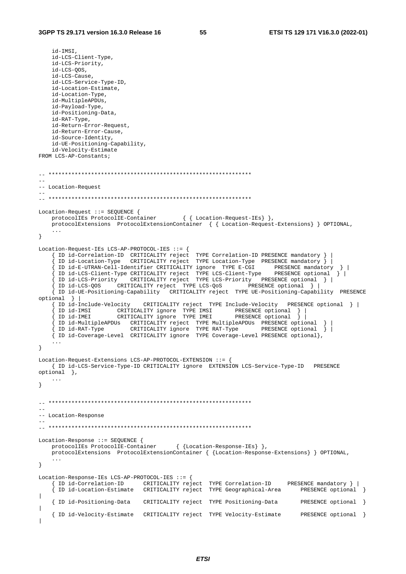id-IMSI, id-LCS-Client-Type, id-LCS-Priority, id-LCS-QOS, id-LCS-Cause, id-LCS-Service-Type-ID, id-Location-Estimate, id-Location-Type, id-MultipleAPDUs, id-Payload-Type, id-Positioning-Data, id-RAT-Type, id-Return-Error-Request, id-Return-Error-Cause, id-Source-Identity, id-UE-Positioning-Capability, id-Velocity-Estimate FROM LCS-AP-Constants; -- \*\*\*\*\*\*\*\*\*\*\*\*\*\*\*\*\*\*\*\*\*\*\*\*\*\*\*\*\*\*\*\*\*\*\*\*\*\*\*\*\*\*\*\*\*\*\*\*\*\*\*\*\*\*\*\*\*\*\*\*\*\* -- -- Location-Request -- -- \*\*\*\*\*\*\*\*\*\*\*\*\*\*\*\*\*\*\*\*\*\*\*\*\*\*\*\*\*\*\*\*\*\*\*\*\*\*\*\*\*\*\*\*\*\*\*\*\*\*\*\*\*\*\*\*\*\*\*\*\*\* Location-Request ::= SEQUENCE { protocolIEs ProtocolIE-Container { { Location-Request-IEs} }, protocolExtensions ProtocolExtensionContainer { { Location-Request-Extensions} } OPTIONAL, ... } Location-Request-IEs LCS-AP-PROTOCOL-IES ::= { { ID id-Correlation-ID CRITICALITY reject TYPE Correlation-ID PRESENCE mandatory } |  ${\frac{1}{3}}$  ID id-Location-Type CRITICALITY reject TYPE Location-Type PRESENCE mandatory  ${\frac{1}{3}}$  { ID id-E-UTRAN-Cell-Identifier CRITICALITY ignore TYPE E-CGI PRESENCE mandatory } | { ID id-LCS-Client-Type CRITICALITY reject TYPE LCS-Client-Type PRESENCE optional } | { ID id-LCS-Priority CRITICALITY reject TYPE LCS-Priority PRESENCE optional } | { ID id-LCS-QOS CRITICALITY reject TYPE LCS-QoS PRESENCE optional } | { ID id-UE-Positioning-Capability CRITICALITY reject TYPE UE-Positioning-Capability PRESENCE optional } |<br>{ ID id-Include-Velocity  $CRITICALITY$  reject TYPE Include-Velocity PRESENCE optional  $| |$  { ID id-IMSI CRITICALITY ignore TYPE IMSI PRESENCE optional } | { ID id-IMEI CRITICALITY ignore TYPE IMEI PRESENCE optional } | { ID id-MultipleAPDUs CRITICALITY reject TYPE MultipleAPDUs PRESENCE optional } | { ID id-RAT-Type CRITICALITY ignore TYPE RAT-Type PRESENCE optional } | { ID id-Coverage-Level CRITICALITY ignore TYPE Coverage-Level PRESENCE optional}, ... } Location-Request-Extensions LCS-AP-PROTOCOL-EXTENSION ::= { { ID id-LCS-Service-Type-ID CRITICALITY ignore EXTENSION LCS-Service-Type-ID PRESENCE optional }, ... } -- \*\*\*\*\*\*\*\*\*\*\*\*\*\*\*\*\*\*\*\*\*\*\*\*\*\*\*\*\*\*\*\*\*\*\*\*\*\*\*\*\*\*\*\*\*\*\*\*\*\*\*\*\*\*\*\*\*\*\*\*\*\* -- -- Location-Response -- -- \*\*\*\*\*\*\*\*\*\*\*\*\*\*\*\*\*\*\*\*\*\*\*\*\*\*\*\*\*\*\*\*\*\*\*\*\*\*\*\*\*\*\*\*\*\*\*\*\*\*\*\*\*\*\*\*\*\*\*\*\*\* Location-Response ::= SEQUENCE { protocolIEs ProtocolIE-Container  $\{$  {Location-Response-IEs} }, protocolExtensions ProtocolExtensionContainer { {Location-Response-Extensions} } OPTIONAL, ... } Location-Response-IEs LCS-AP-PROTOCOL-IES ::= { { ID id-Correlation-ID CRITICALITY reject TYPE Correlation-ID PRESENCE mandatory } | { ID id-Location-Estimate CRITICALITY reject TYPE Geographical-Area PRESENCE optional } | { ID id-Positioning-Data CRITICALITY reject TYPE Positioning-Data PRESENCE optional } | { ID id-Velocity-Estimate CRITICALITY reject TYPE Velocity-Estimate PRESENCE optional } |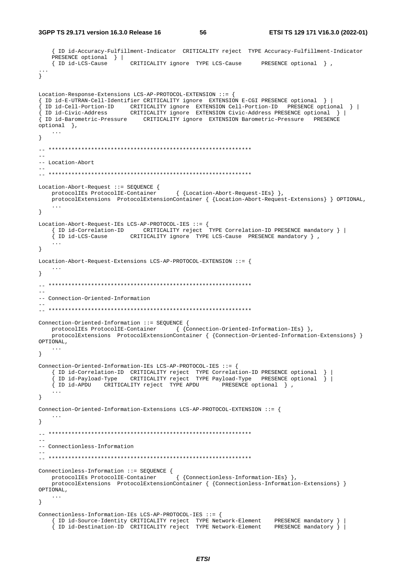**3GPP TS 29.171 version 16.3.0 Release 16 56 ETSI TS 129 171 V16.3.0 (2022-01)**

```
 { ID id-Accuracy-Fulfillment-Indicator CRITICALITY reject TYPE Accuracy-Fulfillment-Indicator
    PRESENCE optional } | 
                            { ID id-LCS-Cause CRITICALITY ignore TYPE LCS-Cause PRESENCE optional } , 
... 
} 
Location-Response-Extensions LCS-AP-PROTOCOL-EXTENSION ::= { 
{ ID id-E-UTRAN-Cell-Identifier CRITICALITY ignore EXTENSION E-CGI PRESENCE optional } | 
{ ID id-Cell-Portion-ID CRITICALITY ignore EXTENSION Cell-Portion-ID PRESENCE optional } | 
{ ID id-Civic-Address CRITICALITY ignore EXTENSION Civic-Address PRESENCE optional } | 
{ ID id-Barometric-Pressure CRITICALITY ignore EXTENSION Barometric-Pressure PRESENCE 
optional }, 
    ... 
} 
\hspace{1.3cm} - \hspace{1.3cm} - \hspace{1.3cm}-- Location-Abort
-- 
-- ************************************************************** 
Location-Abort-Request ::= SEQUENCE { 
   protocolIEs ProtocolIE-Container { {Location-Abort-Request-IEs} },
    protocolExtensions ProtocolExtensionContainer { {Location-Abort-Request-Extensions} } OPTIONAL, 
 ... 
} 
Location-Abort-Request-IEs LCS-AP-PROTOCOL-IES ::= { 
     { ID id-Correlation-ID CRITICALITY reject TYPE Correlation-ID PRESENCE mandatory } | 
     { ID id-LCS-Cause CRITICALITY ignore TYPE LCS-Cause PRESENCE mandatory } , 
     ... 
} 
Location-Abort-Request-Extensions LCS-AP-PROTOCOL-EXTENSION ::= { 
 ... 
} 
-- ************************************************************** 
-- 
-- Connection-Oriented-Information
-- 
-- ************************************************************** 
Connection-Oriented-Information ::= SEQUENCE { 
   protocolIEs ProtocolIE-Container { {Connection-Oriented-Information-IEs} },
    protocolExtensions ProtocolExtensionContainer { {Connection-Oriented-Information-Extensions} } 
OPTIONAL, 
    ... 
} 
Connection-Oriented-Information-IEs LCS-AP-PROTOCOL-IES ::= { 
 { ID id-Correlation-ID CRITICALITY reject TYPE Correlation-ID PRESENCE optional } | 
 { ID id-Payload-Type CRITICALITY reject TYPE Payload-Type PRESENCE optional } | 
     { ID id-APDU CRITICALITY reject TYPE APDU PRESENCE optional } , 
     ... 
} 
Connection-Oriented-Information-Extensions LCS-AP-PROTOCOL-EXTENSION ::= { 
 ... 
} 
-- ************************************************************** 
--- Connectionless-Information
-- 
-- ************************************************************** 
Connectionless-Information ::= SEQUENCE { 
    protocolIEs ProtocolIE-Container { {Connectionless-Information-IEs} }, 
    protocolExtensions ProtocolExtensionContainer { {Connectionless-Information-Extensions} } 
OPTIONAL, 
    ... 
} 
Connectionless-Information-IEs LCS-AP-PROTOCOL-IES ::= { 
 { ID id-Source-Identity CRITICALITY reject TYPE Network-Element PRESENCE mandatory } | 
 { ID id-Destination-ID CRITICALITY reject TYPE Network-Element PRESENCE mandatory } |
```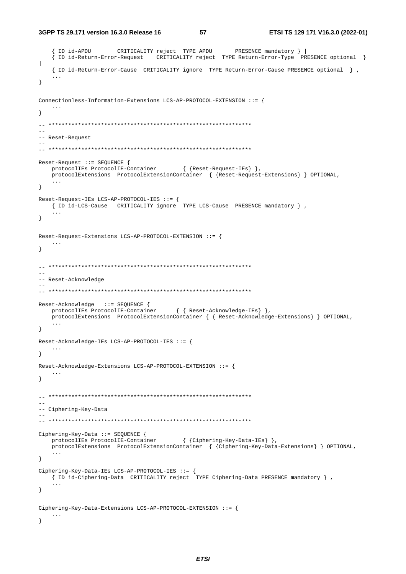3GPP TS 29.171 version 16.3.0 Release 16

57

```
{ ID id-APDU CRITICALITY reject TYPE APDU
                                                    PRESENCE mandatory } |
   { ID id-Return-Error-Request CRITICALITY reject TYPE Return-Error-Type PRESENCE optional }
\begin{array}{c} \hline \end{array}{ ID id-Return-Error-Cause CRITICALITY ignore TYPE Return-Error-Cause PRESENCE optional } ,
   \ddotsc\left\{ \right\}Connectionless-Information-Extensions LCS-AP-PROTOCOL-EXTENSION ::= {
   \ldots\}\sim -
-- Reset-Request
\equivReset-Request ::= SEQUENCE {
   protocolIEs ProtocolIE-Container { {Reset-Request-IEs} },
   ProtocolExtensions ProtocolExtensionContainer { {Reset-Request-Extensions} } OPTIONAL,
   \sim \sim \sim\}\texttt{Reset-Request-IES}\ \texttt{LCS-AP-PROTOCOL-IES}\ \texttt{::=}\ \{\footnotesize{ ID id-LCS-Cause CRITICALITY ignore TYPE LCS-Cause PRESENCE mandatory },
   \sim \sim \sim\left\{ \right.Reset-Request-Extensions LCS-AP-PROTOCOL-EXTENSION ::= {
  \sim \sim \sim \sim\mathcal{E}\equiv-- Reset-Acknowledge
Reset-Acknowledge ::= SEQUENCE {
   protocolIEs ProtocolIE-Container { { Reset-Acknowledge-IEs} },
   protocolExtensions ProtocolExtensionContainer { { Reset-Acknowledge-Extensions} } OPTIONAL,
   \sim .
\left\{ \right.Reset-Acknowledge-IEs LCS-AP-PROTOCOL-IES ::= {
   \sim \sim \sim\}Reset-Acknowledge-Extensions LCS-AP-PROTOCOL-EXTENSION ::= {
\mathcal{E}-- Ciphering-Key-Data
Ciphering-Key-Data ::= SEQUENCE {
   protocolIEs ProtocolIE-Container { {Ciphering-Key-Data-IEs} },
   protocolExtensions ProtocolExtensionContainer { {Ciphering-Key-Data-Extensions} } OPTIONAL,
   \ldots\left\{ \right\}Ciphering-Key-Data-IEs LCS-AP-PROTOCOL-IES ::= {
   { ID id-Ciphering-Data CRITICALITY reject TYPE Ciphering-Data PRESENCE mandatory },
   \sim . \sim\left\{ \right\}Ciphering-Key-Data-Extensions LCS-AP-PROTOCOL-EXTENSION ::= {
   \cdots\rightarrow
```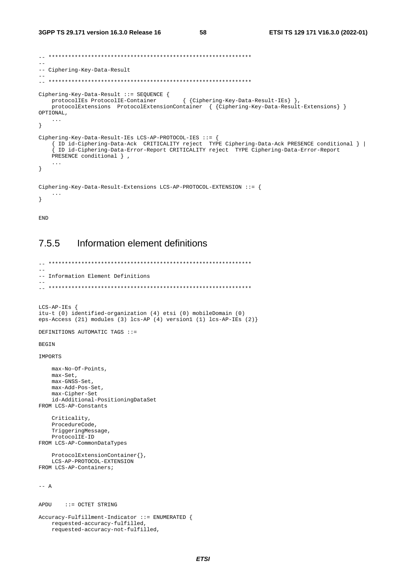```
\sim-- Ciphering-Key-Data-Result
Ciphering-Key-Data-Result ::= SEQUENCE {
                                     { {Ciphering-Key-Data-Result-IEs} },
   protocolIEs ProtocolIE-Container
   protocolExtensions ProtocolExtensionContainer { {Ciphering-Key-Data-Result-Extensions} }
OPTIONAL,
   \sim .
\}Ciphering-Key-Data-Result-IEs LCS-AP-PROTOCOL-IES ::= {
   { ID id-Ciphering-Data-Ack CRITICALITY reject TYPE Ciphering-Data-Ack PRESENCE conditional } |
   { ID id-Ciphering-Data-Error-Report CRITICALITY reject TYPE Ciphering-Data-Error-Report
   PRESENCE conditional } ,
   \ddots\left\{ \right\}Ciphering-Key-Data-Result-Extensions LCS-AP-PROTOCOL-EXTENSION ::= {
\left\{ \right\}
```
**END** 

#### Information element definitions 755

```
-- Information Element Definitions
\simLCS-AP-IES {
itu-t (0) identified-organization (4) etsi (0) mobileDomain (0)
eps-Access (21) modules (3) lcs-AP (4) version1 (1) lcs-AP-IEs (2)}
DEFINITIONS AUTOMATIC TAGS ::=
BEGIN
IMPORTS
   max-No-Of-Points,
   max-Set,
   max-GNSS-Set,
   max-Add-Pos-Set,
   max-Cipher-Set
   id-Additional-PositioningDataSet
FROM LCS-AP-Constants
   Criticality,
   ProcedureCode,
   TriggeringMessage,
   ProtocolIE-ID
FROM LCS-AP-CommonDataTypes
   ProtocolExtensionContainer{},
   LCS-AP-PROTOCOL-EXTENSION
FROM LCS-AP-Containers;
--- AAPDU
     ::= OCTET STRING
Accuracy-Fulfillment-Indicator ::= ENUMERATED {
   requested-accuracy-fulfilled,
   requested-accuracy-not-fulfilled,
```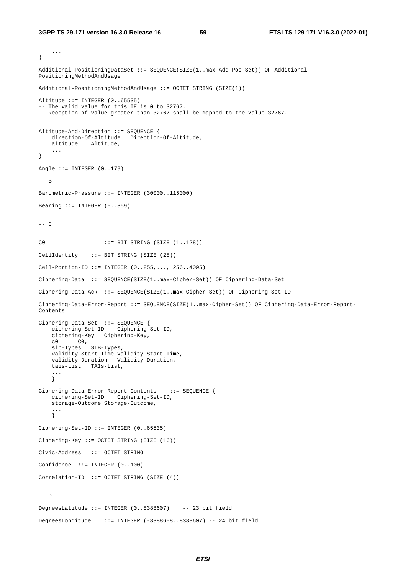```
 ... 
} 
Additional-PositioningDataSet ::= SEQUENCE(SIZE(1..max-Add-Pos-Set)) OF Additional-
PositioningMethodAndUsage 
Additional-PositioningMethodAndUsage ::= OCTET STRING (SIZE(1)) 
Altitude ::= INTEGER (0..65535) 
-- The valid value for this IE is 0 to 32767. 
-- Reception of value greater than 32767 shall be mapped to the value 32767. 
Altitude-And-Direction ::= SEQUENCE { 
   direction-Of-Altitude Direction-Of-Altitude,
    altitude Altitude, 
 ... 
} 
Angle ::= INTEGER (0..179) 
-- B 
Barometric-Pressure ::= INTEGER (30000..115000) 
Bearing ::= INTEGER (0..359)--- CC0 ::= BIT STRING (SIZE (1..128)) 
CellIdentity ::= BIT STRING (SIZE (28)) 
Cell-Portion-ID ::= INTEGER (0..255,..., 256..4095) 
Ciphering-Data ::= SEQUENCE(SIZE(1..max-Cipher-Set)) OF Ciphering-Data-Set 
Ciphering-Data-Ack ::= SEQUENCE(SIZE(1..max-Cipher-Set)) OF Ciphering-Set-ID 
Ciphering-Data-Error-Report ::= SEQUENCE(SIZE(1..max-Cipher-Set)) OF Ciphering-Data-Error-Report-
Contents 
Ciphering-Data-Set ::= SEQUENCE { 
     ciphering-Set-ID Ciphering-Set-ID, 
     ciphering-Key Ciphering-Key, 
 c0 C0, 
 sib-Types SIB-Types, 
     validity-Start-Time Validity-Start-Time, 
     validity-Duration Validity-Duration, 
     tais-List TAIs-List, 
     ... 
     } 
Ciphering-Data-Error-Report-Contents ::= SEQUENCE { 
     ciphering-Set-ID Ciphering-Set-ID, 
     storage-Outcome Storage-Outcome, 
 ... 
    \frac{1}{2}Ciphering-Set-ID ::= INTEGER (0..65535) 
Ciphering-Key ::= OCTET STRING (SIZE (16)) 
Civic-Address ::= OCTET STRING 
Confidence ::= INTEGER (0..100) 
Correlation-ID ::= OCTET STRING (SIZE (4)) 
-- D 
DegreesLatitude ::= INTEGER (0..8388607) -- 23 bit field 
DegreesLongitude ::= INTEGER (-8388608..8388607) -- 24 bit field
```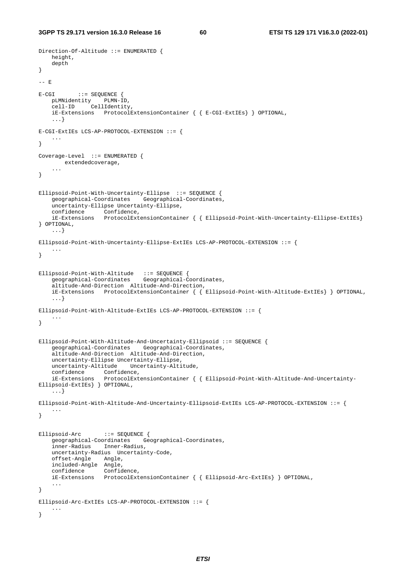```
Direction-Of-Altitude ::= ENUMERATED { 
    height, 
    depth 
} 
-- E 
E-CGI ::= SEOUENCE {
    pLMNidentity PLMN-ID, 
     cell-ID CellIdentity, 
     iE-Extensions ProtocolExtensionContainer { { E-CGI-ExtIEs} } OPTIONAL, 
     ...} 
E-CGI-ExtIEs LCS-AP-PROTOCOL-EXTENSION ::= { 
     ... 
} 
Coverage-Level ::= ENUMERATED { 
       extendedcoverage, 
     ... 
} 
Ellipsoid-Point-With-Uncertainty-Ellipse ::= SEQUENCE { 
     geographical-Coordinates Geographical-Coordinates, 
     uncertainty-Ellipse Uncertainty-Ellipse, 
 confidence Confidence, 
 iE-Extensions ProtocolExtensionContainer { { Ellipsoid-Point-With-Uncertainty-Ellipse-ExtIEs} 
} OPTIONAL, 
     ...} 
Ellipsoid-Point-With-Uncertainty-Ellipse-ExtIEs LCS-AP-PROTOCOL-EXTENSION ::= { 
     ... 
} 
Ellipsoid-Point-With-Altitude ::= SEQUENCE { 
     geographical-Coordinates Geographical-Coordinates, 
     altitude-And-Direction Altitude-And-Direction, 
     iE-Extensions ProtocolExtensionContainer { { Ellipsoid-Point-With-Altitude-ExtIEs} } OPTIONAL, 
     ...} 
Ellipsoid-Point-With-Altitude-ExtIEs LCS-AP-PROTOCOL-EXTENSION ::= { 
 ... 
} 
Ellipsoid-Point-With-Altitude-And-Uncertainty-Ellipsoid ::= SEQUENCE { 
     geographical-Coordinates Geographical-Coordinates, 
     altitude-And-Direction Altitude-And-Direction, 
     uncertainty-Ellipse Uncertainty-Ellipse, 
     uncertainty-Altitude Uncertainty-Altitude, 
    confidence Confidence,<br>iE-Extensions Protocol -<br>psoid-F------
                    ProtocolExtensionContainer { { Ellipsoid-Point-With-Altitude-And-Uncertainty-
Ellipsoid-ExtIEs} } OPTIONAL, 
     ...} 
Ellipsoid-Point-With-Altitude-And-Uncertainty-Ellipsoid-ExtIEs LCS-AP-PROTOCOL-EXTENSION ::= { 
 ... 
} 
Ellipsoid-Arc ::= SEQUENCE {<br>geographical-Coordinates Geo
                               Geographical-Coordinates,
     inner-Radius Inner-Radius, 
     uncertainty-Radius Uncertainty-Code, 
     offset-Angle Angle, 
     included-Angle Angle, 
     confidence Confidence, 
     iE-Extensions ProtocolExtensionContainer { { Ellipsoid-Arc-ExtIEs} } OPTIONAL, 
     ... 
} 
Ellipsoid-Arc-ExtIEs LCS-AP-PROTOCOL-EXTENSION ::= { 
     ... 
}
```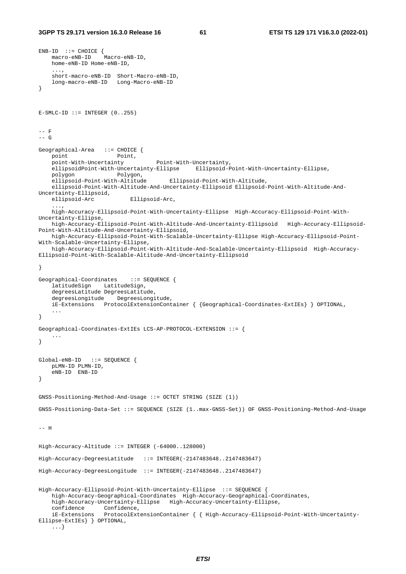```
END-ID ::= CHOICE {
    macro-eNB-ID Macro-eNB-ID, 
    home-eNB-ID Home-eNB-ID, 
     ..., 
     short-macro-eNB-ID Short-Macro-eNB-ID, 
    long-macro-eNB-ID Long-Macro-eNB-ID 
} 
E-SMLC-ID ::= INTEGR (0..255)-- F 
--- G
Geographical-Area ::= CHOICE {
   point Point,
    point-With-Uncertainty Point-With-Uncertainty, 
     ellipsoidPoint-With-Uncertainty-Ellipse Ellipsoid-Point-With-Uncertainty-Ellipse, 
    polygon Polygon, 
     ellipsoid-Point-With-Altitude Ellipsoid-Point-With-Altitude, 
     ellipsoid-Point-With-Altitude-And-Uncertainty-Ellipsoid Ellipsoid-Point-With-Altitude-And-
Uncertainty-Ellipsoid, 
    ellipsoid-Arc Ellipsoid-Arc, 
 ..., 
    high-Accuracy-Ellipsoid-Point-With-Uncertainty-Ellipse High-Accuracy-Ellipsoid-Point-With-
Uncertainty-Ellipse, 
    high-Accuracy-Ellipsoid-Point-With-Altitude-And-Uncertainty-Ellipsoid High-Accuracy-Ellipsoid-
Point-With-Altitude-And-Uncertainty-Ellipsoid, 
    high-Accuracy-Ellipsoid-Point-With-Scalable-Uncertainty-Ellipse High-Accuracy-Ellipsoid-Point-
With-Scalable-Uncertainty-Ellipse, 
    high-Accuracy-Ellipsoid-Point-With-Altitude-And-Scalable-Uncertainty-Ellipsoid High-Accuracy-
Ellipsoid-Point-With-Scalable-Altitude-And-Uncertainty-Ellipsoid 
} 
Geographical-Coordinates ::= SEQUENCE { 
     latitudeSign LatitudeSign, 
     degreesLatitude DegreesLatitude, 
     degreesLongitude DegreesLongitude, 
     iE-Extensions ProtocolExtensionContainer { {Geographical-Coordinates-ExtIEs} } OPTIONAL, 
     ... 
} 
Geographical-Coordinates-ExtIEs LCS-AP-PROTOCOL-EXTENSION ::= { 
 ... 
} 
Global-eNB-ID ::= SEQUENCE { 
    pLMN-ID PLMN-ID, 
     eNB-ID ENB-ID 
} 
GNSS-Positioning-Method-And-Usage ::= OCTET STRING (SIZE (1)) 
GNSS-Positioning-Data-Set ::= SEQUENCE (SIZE (1..max-GNSS-Set)) OF GNSS-Positioning-Method-And-Usage 
-- H 
High-Accuracy-Altitude ::= INTEGER (-64000..128000) 
High-Accuracy-DegreesLatitude ::= INTEGER(-2147483648..2147483647) 
High-Accuracy-DegreesLongitude ::= INTEGER(-2147483648..2147483647) 
High-Accuracy-Ellipsoid-Point-With-Uncertainty-Ellipse ::= SEQUENCE { 
    high-Accuracy-Geographical-Coordinates High-Accuracy-Geographical-Coordinates, 
    high-Accuracy-Uncertainty-Ellipse High-Accuracy-Uncertainty-Ellipse, 
     confidence Confidence, 
     iE-Extensions ProtocolExtensionContainer { { High-Accuracy-Ellipsoid-Point-With-Uncertainty-
Ellipse-ExtIEs} } OPTIONAL, 
     ...}
```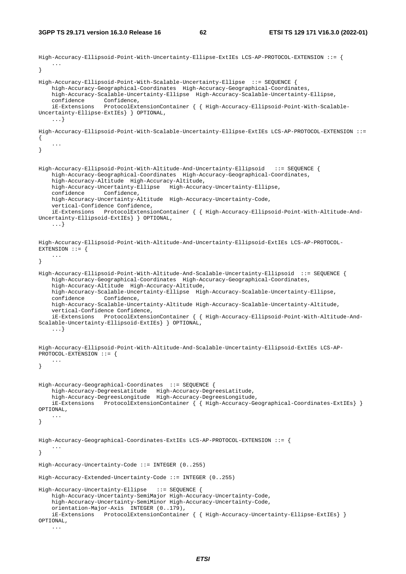```
High-Accuracy-Ellipsoid-Point-With-Uncertainty-Ellipse-ExtIEs LCS-AP-PROTOCOL-EXTENSION ::= { 
    ... 
} 
High-Accuracy-Ellipsoid-Point-With-Scalable-Uncertainty-Ellipse ::= SEQUENCE { 
     high-Accuracy-Geographical-Coordinates High-Accuracy-Geographical-Coordinates, 
    high-Accuracy-Scalable-Uncertainty-Ellipse High-Accuracy-Scalable-Uncertainty-Ellipse, 
    confidence Confidence,
     iE-Extensions ProtocolExtensionContainer { { High-Accuracy-Ellipsoid-Point-With-Scalable-
Uncertainty-Ellipse-ExtIEs} } OPTIONAL, 
     ...} 
High-Accuracy-Ellipsoid-Point-With-Scalable-Uncertainty-Ellipse-ExtIEs LCS-AP-PROTOCOL-EXTENSION ::= 
{ 
 ... 
} 
High-Accuracy-Ellipsoid-Point-With-Altitude-And-Uncertainty-Ellipsoid ::= SEQUENCE { 
    high-Accuracy-Geographical-Coordinates High-Accuracy-Geographical-Coordinates, 
     high-Accuracy-Altitude High-Accuracy-Altitude, 
     high-Accuracy-Uncertainty-Ellipse High-Accuracy-Uncertainty-Ellipse, 
     confidence Confidence, 
    high-Accuracy-Uncertainty-Altitude High-Accuracy-Uncertainty-Code, 
     vertical-Confidence Confidence, 
     iE-Extensions ProtocolExtensionContainer { { High-Accuracy-Ellipsoid-Point-With-Altitude-And-
Uncertainty-Ellipsoid-ExtIEs} } OPTIONAL, 
     ...} 
High-Accuracy-Ellipsoid-Point-With-Altitude-And-Uncertainty-Ellipsoid-ExtIEs LCS-AP-PROTOCOL-
EXTENSION ::= {
     ... 
} 
High-Accuracy-Ellipsoid-Point-With-Altitude-And-Scalable-Uncertainty-Ellipsoid ::= SEQUENCE { 
     high-Accuracy-Geographical-Coordinates High-Accuracy-Geographical-Coordinates, 
    high-Accuracy-Altitude High-Accuracy-Altitude, 
    high-Accuracy-Scalable-Uncertainty-Ellipse High-Accuracy-Scalable-Uncertainty-Ellipse, 
     confidence Confidence, 
    high-Accuracy-Scalable-Uncertainty-Altitude High-Accuracy-Scalable-Uncertainty-Altitude, 
     vertical-Confidence Confidence, 
     iE-Extensions ProtocolExtensionContainer { { High-Accuracy-Ellipsoid-Point-With-Altitude-And-
Scalable-Uncertainty-Ellipsoid-ExtIEs } } OPTIONAL,
     ...} 
High-Accuracy-Ellipsoid-Point-With-Altitude-And-Scalable-Uncertainty-Ellipsoid-ExtIEs LCS-AP-
PROTOCOL-EXTENSION ::= { 
    ... 
} 
High-Accuracy-Geographical-Coordinates ::= SEQUENCE { 
 high-Accuracy-DegreesLatitude High-Accuracy-DegreesLatitude, 
 high-Accuracy-DegreesLongitude High-Accuracy-DegreesLongitude, 
     iE-Extensions ProtocolExtensionContainer { { High-Accuracy-Geographical-Coordinates-ExtIEs} } 
OPTIONAL, 
     ... 
} 
High-Accuracy-Geographical-Coordinates-ExtIEs LCS-AP-PROTOCOL-EXTENSION ::= { 
 ... 
} 
High-Accuracy-Uncertainty-Code ::= INTEGER (0..255) 
High-Accuracy-Extended-Uncertainty-Code ::= INTEGER (0..255) 
High-Accuracy-Uncertainty-Ellipse ::= SEQUENCE { 
    high-Accuracy-Uncertainty-SemiMajor High-Accuracy-Uncertainty-Code, 
    high-Accuracy-Uncertainty-SemiMinor High-Accuracy-Uncertainty-Code, 
     orientation-Major-Axis INTEGER (0..179), 
     iE-Extensions ProtocolExtensionContainer { { High-Accuracy-Uncertainty-Ellipse-ExtIEs} } 
OPTIONAL, 
     ...
```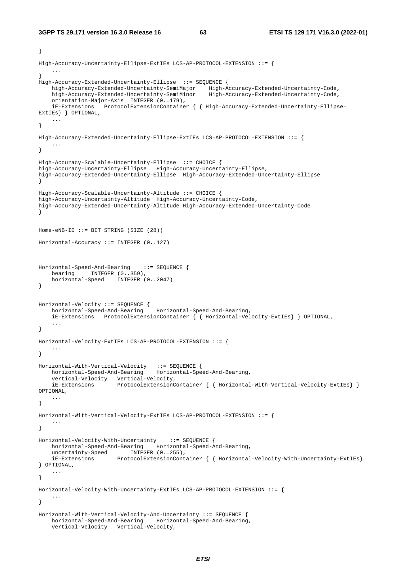```
} 
High-Accuracy-Uncertainty-Ellipse-ExtIEs LCS-AP-PROTOCOL-EXTENSION ::= { 
 ... 
} 
High-Accuracy-Extended-Uncertainty-Ellipse ::= SEQUENCE { 
   high-Accuracy-Extended-Uncertainty-SemiMajor<br>high-Accuracy-Extended-Uncertainty-SemiMinor
                                                     high-Accuracy-Extended-Uncertainty-SemiMinor High-Accuracy-Extended-Uncertainty-Code, 
     orientation-Major-Axis INTEGER (0..179), 
     iE-Extensions ProtocolExtensionContainer { { High-Accuracy-Extended-Uncertainty-Ellipse-
ExtIEs} } OPTIONAL, 
    ... 
} 
High-Accuracy-Extended-Uncertainty-Ellipse-ExtIEs LCS-AP-PROTOCOL-EXTENSION ::= { 
 ... 
} 
High-Accuracy-Scalable-Uncertainty-Ellipse ::= CHOICE { 
high-Accuracy-Uncertainty-Ellipse High-Accuracy-Uncertainty-Ellipse, 
high-Accuracy-Extended-Uncertainty-Ellipse High-Accuracy-Extended-Uncertainty-Ellipse 
} 
High-Accuracy-Scalable-Uncertainty-Altitude ::= CHOICE { 
high-Accuracy-Uncertainty-Altitude High-Accuracy-Uncertainty-Code, 
high-Accuracy-Extended-Uncertainty-Altitude High-Accuracy-Extended-Uncertainty-Code 
} 
Home-eNB-ID ::= BIT STRING (SIZE (28))Horizontal-Accuracy ::= INTEGER (0..127) 
Horizontal-Speed-And-Bearing ::= SEQUENCE { 
   bearing INTEGER (0..359),
    horizontal-Speed INTEGER (0..2047) 
} 
Horizontal-Velocity ::= SEQUENCE {<br>horizontal-Speed-And-Bearing
                                      horizontal-Speed-And-Bearing Horizontal-Speed-And-Bearing, 
     iE-Extensions ProtocolExtensionContainer { { Horizontal-Velocity-ExtIEs} } OPTIONAL, 
     ... 
} 
Horizontal-Velocity-ExtIEs LCS-AP-PROTOCOL-EXTENSION ::= { 
    ... 
} 
Horizontal-With-Vertical-Velocity ::= SEQUENCE { 
 horizontal-Speed-And-Bearing Horizontal-Speed-And-Bearing, 
 vertical-Velocity Vertical-Velocity, 
 iE-Extensions ProtocolExtensionContainer { { Horizontal-With-Vertical-Velocity-ExtIEs} } 
OPTIONAL, 
     ... 
} 
Horizontal-With-Vertical-Velocity-ExtIEs LCS-AP-PROTOCOL-EXTENSION ::= { 
 ... 
} 
Horizontal-Velocity-With-Uncertainty ::= SEQUENCE { 
    horizontal-Speed-And-Bearing Horizontal-Speed-And-Bearing, 
uncertainty-Speed INTEGER (0..255),
 iE-Extensions ProtocolExtensionContainer { { Horizontal-Velocity-With-Uncertainty-ExtIEs} 
} OPTIONAL, 
     ... 
} 
Horizontal-Velocity-With-Uncertainty-ExtIEs LCS-AP-PROTOCOL-EXTENSION ::= { 
 ... 
} 
Horizontal-With-Vertical-Velocity-And-Uncertainty ::= SEQUENCE { 
    horizontal-Speed-And-Bearing Horizontal-Speed-And-Bearing, 
     vertical-Velocity Vertical-Velocity,
```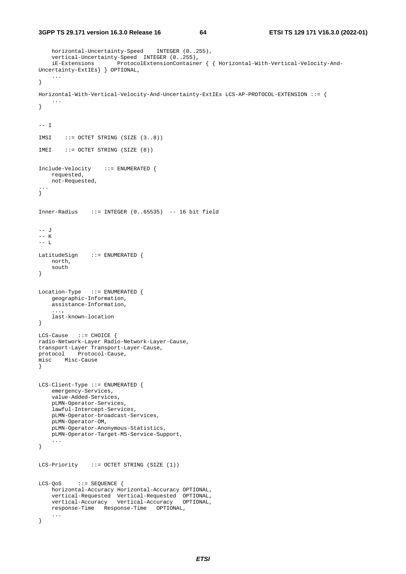```
horizontal-Uncertainty-Speed INTEGER (0..255),
     vertical-Uncertainty-Speed INTEGER (0..255), 
     iE-Extensions ProtocolExtensionContainer { { Horizontal-With-Vertical-Velocity-And-
Uncertainty-ExtIEs} } OPTIONAL, 
     ... 
} 
Horizontal-With-Vertical-Velocity-And-Uncertainty-ExtIEs LCS-AP-PROTOCOL-EXTENSION ::= { 
    ... 
} 
-- I 
IMSI ::= OCTET STRING (SIZE (3..8)) 
IMEI ::= OCTET STRING (SIZE (8)) 
Include-Velocity ::= ENUMERATED { 
   requested, 
    not-Requested, 
... 
} 
Inner-Radius ::= INTEGER (0..65535) -- 16 bit field 
-- JT
-- K 
-- L 
LatitudeSign ::= ENUMERATED { 
    north, 
     south 
} 
Location-Type ::= ENUMERATED { 
    geographic-Information, 
     assistance-Information, 
     ..., 
     last-known-location 
} 
LCS-Cause ::= CHOICE { 
radio-Network-Layer Radio-Network-Layer-Cause, 
transport-Layer Transport-Layer-Cause, 
protocol Protocol-Cause, 
misc Misc-Cause 
} 
LCS-Client-Type ::= ENUMERATED { 
     emergency-Services, 
     value-Added-Services, 
    pLMN-Operator-Services, 
     lawful-Intercept-Services, 
    pLMN-Operator-broadcast-Services, 
    pLMN-Operator-OM, 
     pLMN-Operator-Anonymous-Statistics, 
    pLMN-Operator-Target-MS-Service-Support, 
     ... 
} 
LCS-Priority ::= OCTET STRING (SIZE (1))
LCS-QoS ::= SEQUENCE { 
    horizontal-Accuracy Horizontal-Accuracy OPTIONAL, 
 vertical-Requested Vertical-Requested OPTIONAL, 
 vertical-Accuracy Vertical-Accuracy OPTIONAL, 
     response-Time Response-Time OPTIONAL, 
     ... 
}
```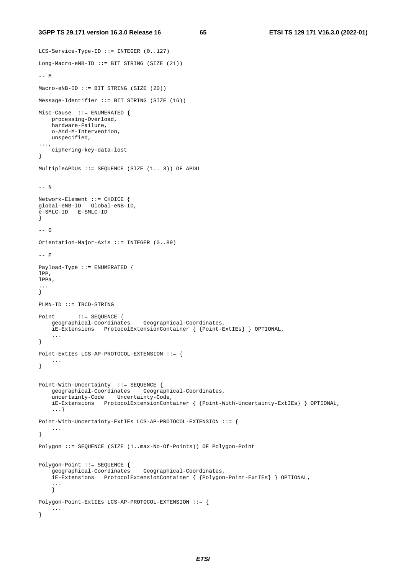```
LCS-Service-Type-ID ::= INTEGER (0..127) 
Long-Macro-eNB-ID ::= BIT STRING (SIZE (21)) 
--- MMaccro-eNB-ID ::= BIT STRING (SIZE (20))Message-Identifier ::= BIT STRING (SIZE (16)) 
Misc-Cause ::= ENUMERATED { 
    processing-Overload, 
    hardware-Failure, 
     o-And-M-Intervention, 
    unspecified, 
..., 
     ciphering-key-data-lost 
} 
MultipleAPDUs ::= SEQUENCE (SIZE (1.. 3)) OF APDU 
-- N 
Network-Element ::= CHOICE { 
global-eNB-ID Global-eNB-ID, 
e-SMLC-ID E-SMLC-ID 
} 
--- 0Orientation-Major-Axis ::= INTEGER (0..89) 
--- PPayload-Type ::= ENUMERATED { 
lPP, 
lPPa, 
... 
} 
PLMN-ID ::= TBCD-STRING 
Point ::= SEQUENCE {
    geographical-Coordinates Geographical-Coordinates, 
     iE-Extensions ProtocolExtensionContainer { {Point-ExtIEs} } OPTIONAL, 
 ... 
} 
Point-ExtIEs LCS-AP-PROTOCOL-EXTENSION ::= { 
    ... 
} 
Point-With-Uncertainty ::= SEQUENCE { 
     geographical-Coordinates Geographical-Coordinates, 
     uncertainty-Code Uncertainty-Code, 
     iE-Extensions ProtocolExtensionContainer { {Point-With-Uncertainty-ExtIEs} } OPTIONAL, 
     ...} 
Point-With-Uncertainty-ExtIEs LCS-AP-PROTOCOL-EXTENSION ::= { 
     ... 
} 
Polygon ::= SEQUENCE (SIZE (1..max-No-Of-Points)) OF Polygon-Point 
Polygon-Point ::= SEQUENCE {<br>geographical-Coordinates
                                 Geographical-Coordinates,
     iE-Extensions ProtocolExtensionContainer { {Polygon-Point-ExtIEs} } OPTIONAL, 
 ... 
 } 
Polygon-Point-ExtIEs LCS-AP-PROTOCOL-EXTENSION ::= { 
     ... 
}
```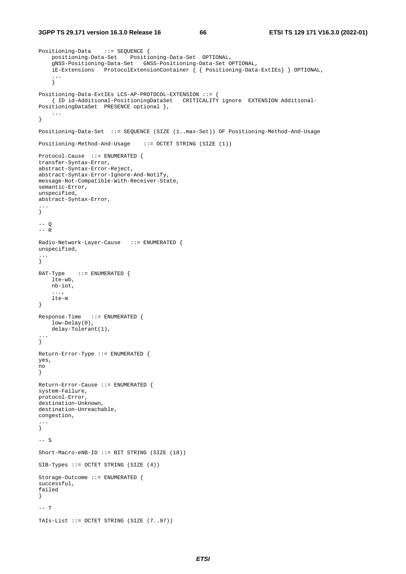```
Positioning-Data ::= SEQUENCE { 
    positioning-Data-Set Positioning-Data-Set OPTIONAL, 
     gNSS-Positioning-Data-Set GNSS-Positioning-Data-Set OPTIONAL, 
     iE-Extensions ProtocolExtensionContainer { { Positioning-Data-ExtIEs} } OPTIONAL, 
 ... 
 } 
Positioning-Data-ExtIEs LCS-AP-PROTOCOL-EXTENSION ::= { 
    { ID id-Additional-PositioningDataSet CRITICALITY ignore EXTENSION Additional-
PositioningDataSet PRESENCE optional }, 
     ... 
} 
Positioning-Data-Set ::= SEQUENCE (SIZE (1..max-Set)) OF Positioning-Method-And-Usage 
Positioning-Method-And-Usage ::= OCTET STRING (SIZE (1)) 
Protocol-Cause ::= ENUMERATED { 
transfer-Syntax-Error, 
abstract-Syntax-Error-Reject, 
abstract-Syntax-Error-Ignore-And-Notify, 
message-Not-Compatible-With-Receiver-State, 
semantic-Error, 
unspecified, 
abstract-Syntax-Error, 
... 
} 
-- \circ--- RRadio-Network-Layer-Cause ::= ENUMERATED { 
unspecified, 
... 
} 
RAT-Type ::= ENUMERATED {
    lte-wb, 
    nb-iot, 
     ..., 
     lte-m 
} 
Response-Time ::= ENUMERATED { 
    low-Delay(0), 
     delay-Tolerant(1), 
... 
} 
Return-Error-Type ::= ENUMERATED { 
yes, 
no 
} 
Return-Error-Cause ::= ENUMERATED { 
system-Failure, 
protocol-Error, 
destination-Unknown, 
destination-Unreachable, 
congestion, 
... 
} 
-- S 
Short-Macro-eNB-ID ::= BIT STRING (SIZE (18)) 
SIB-Types ::= OCTET STRING (SIZE (4))Storage-Outcome ::= ENUMERATED { 
successful, 
failed 
} 
-- T 
TAIs-List ::= OCTET STRING (SIZE (7..97))
```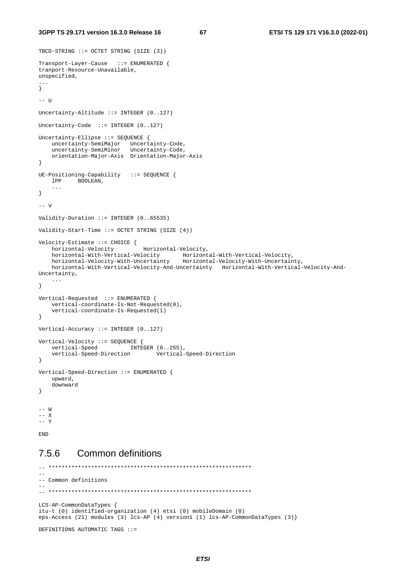**3GPP TS 29.171 version 16.3.0 Release 16 67 ETSI TS 129 171 V16.3.0 (2022-01)**

```
TBCD-STRING ::= OCTET STRING (SIZE (3)) 
Transport-Layer-Cause ::= ENUMERATED { 
tranport-Resource-Unavailable, 
unspecified, 
... 
} 
-- U
Uncertainty-Altitude ::= INTEGER (0..127) 
Uncertainty-Code ::= INTEGER (0..127) 
Uncertainty-Ellipse ::= SEQUENCE { 
    uncertainty-SemiMajor Uncertainty-Code, 
 uncertainty-SemiMinor Uncertainty-Code, 
 orientation-Major-Axis Orientation-Major-Axis 
} 
UE-Positioning-Capability ::= SEQUENCE { 
    lPP BOOLEAN, 
    ... 
} 
--- VValidity-Duration ::= INTEGER (0..65535) 
Validity-Start-Time ::= OCTET STRING (SIZE (4)) 
Velocity-Estimate ::= CHOICE {<br>horizontal-Velocity
                                Horizontal-Velocity,
 horizontal-With-Vertical-Velocity Horizontal-With-Vertical-Velocity, 
 horizontal-Velocity-With-Uncertainty Horizontal-Velocity-With-Uncertainty, 
    horizontal-With-Vertical-Velocity-And-Uncertainty Horizontal-With-Vertical-Velocity-And-
Uncertainty, 
     ... 
} 
Vertical-Requested ::= ENUMERATED { 
    vertical-coordinate-Is-Not-Requested(0), 
     vertical-coordinate-Is-Requested(1) 
} 
Vertical-Accuracy ::= INTEGER (0..127) 
Vertical-Velocity ::= SEQUENCE { 
    vertical-Speed INTEGER (0..255),
     vertical-Speed-Direction Vertical-Speed-Direction 
} 
Vertical-Speed-Direction ::= ENUMERATED { 
     upward, 
    downward 
} 
-- W 
-- X 
-- Y
END
```
## 7.5.6 Common definitions

```
-- ************************************************************** 
-- 
-- Common definitions 
-- 
\hspace{1.3cm} - \hspace{1.3cm} - \hspace{1.3cm}LCS-AP-CommonDataTypes { 
itu-t (0) identified-organization (4) etsi (0) mobileDomain (0) 
eps-Access (21) modules (3) lcs-AP (4) version1 (1) lcs-AP-CommonDataTypes (3)} 
DEFINITIONS AUTOMATIC TAGS ::=
```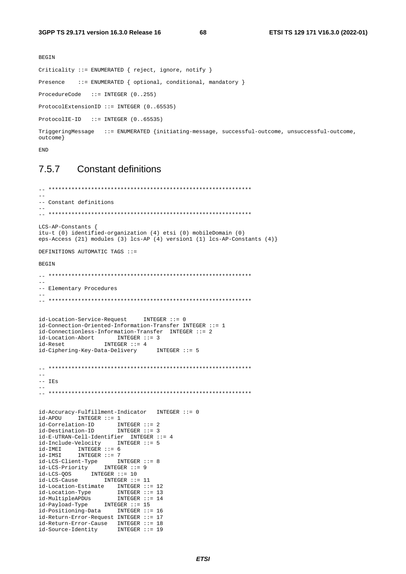68

```
BEGIN
Criticality ::= ENUMERATED { reject, ignore, notify }
Presence ::= ENUMERATED { optional, conditional, mandatory }
ProcedureCode ::= INTEGER (0..255)
ProtocolExtensionID ::= INTEGER (0..65535)
ProtocolIE-ID ::= INTEGER (0..65535)TriggeringMessage ::= ENUMERATED {initiating-message, successful-outcome, unsuccessful-outcome,
outcome}
```

```
END
```
#### **Constant definitions** 757

```
-- Constant definitions
LCS-AP-Constants {
itu-t (0) identified-organization (4) etsi (0) mobileDomain (0)
eps-Access (21) modules (3) lcs-AP (4) version1 (1) lcs-AP-Constants (4) }
DEFINITIONS AUTOMATIC TAGS ::=
BEGIN
\sim-- Elementary Procedures
id-Location-Service-Request
                            INTER :: = 0id-Connection-Oriented-Information-Transfer INTEGER ::= 1
id-Connectionless-Information-Transfer INTEGER ::= 2
id-Location-Abort INTEGER ::= 3
id-Reset
                 INTEGER ::= 4id-Ciphering-Key-Data-Delivery
                                INTEGER ::= 5-- IEs
\sim \simid-Accuracy-Fulfillment-Indicator \quad INTEGR :: = 0id-APDU
         INTER :: = 1id-Correlation-ID INTEGER ::= 2<br>id-Destination-ID INTEGER ::= 3
id-E-UTRAN-Cell-Identifier INTEGER ::= 4
id-Include-Velocity INTEGER ::= 5
id-IMEI INTEGER ::= 6<br>id-IMEI INTEGER ::= 7
1d-Insider Integer ::= 8<br>
id-LCS-Client-Type INTEGER ::= 8<br>
id-LCS-Priority INTEGER ::= 9<br>
id-LCS-Cos INTEGER ::= 10<br>
id-LCS-Cause INTEGER ::= 11
14 Location-Estimate INTEGER ::= 12<br>
id-Location-Type INTEGER ::= 13<br>
id-MultipleAPDUs INTEGER ::= 14<br>
id-Payload-Type INTEGER ::= 15
id-Positioning-Data INTEGER ::= 16
id-Return-Error-Request INTEGER ::= 17
id-Return-Error-Cause INTEGER ::= 18
                    INTER :: = 19id-Source-Identity
```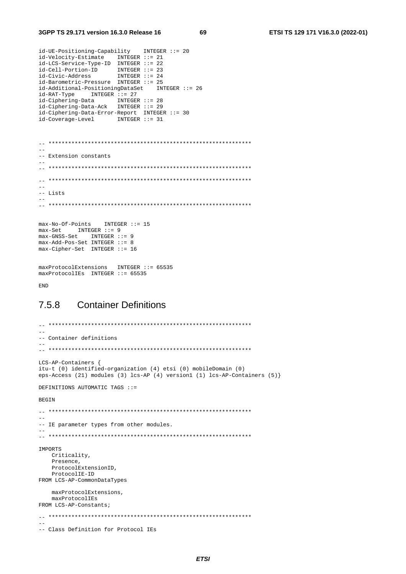69

```
id-UE-Positioning-Capability
                        INTER :: = 20id-Velocity-Estimate INTEGER ::= 21<br>id-LCS-Service-Type-ID INTEGER ::= 22
id-Cell-portion-ID INTEGER ::= 23<br>
id-Civic-Address INTEGER ::= 24
id-Barometric-Pressure INTEGER ::= 25
id-Additional-PositioningDataSet
                            INTEGER ::= 26id-RAT-Type INTEGER ::= 27
id-Ciphering-Data INTEGER ::= 28<br>id-Ciphering-Data INTEGER ::= 29
id-Ciphering-Data-Error-Report INTEGER ::= 30
id-Coverage-Level
                 INTER :: = 31-- Extension constants
-- Lists
max-No-Of-Points
              INTER :: = 15max-Set INTEGER ::= 9
max-GNSS-Set INTEGER ::= 9
max-Add-Pos-Set INTEGER ::= 8
max-Cipher-Set INTEGER ::= 16
maxProtocolExtensions INTEGER ::= 65535
maxProtocolIES INTEGER ::= 65535
```
**END** 

#### 758 **Container Definitions**

```
-- Container definitions
LCS-AP-Containers {
itu-t (0) identified-organization (4) etsi (0) mobileDomain (0)
eps-Access (21) modules (3) lcs-AP (4) version1 (1) lcs-AP-Containers (5)}
DEFINITIONS AUTOMATIC TAGS ::=
BEGIN
-- IE parameter types from other modules.
TMPORTS
  Criticality,
  Presence.
  ProtocolExtensionID,
  ProtocolIE-ID
FROM LCS-AP-CommonDataTypes
  maxProtocolExtensions.
  maxProtocolIEs
FROM LCS-AP-Constants;
\sim-- Class Definition for Protocol IEs
```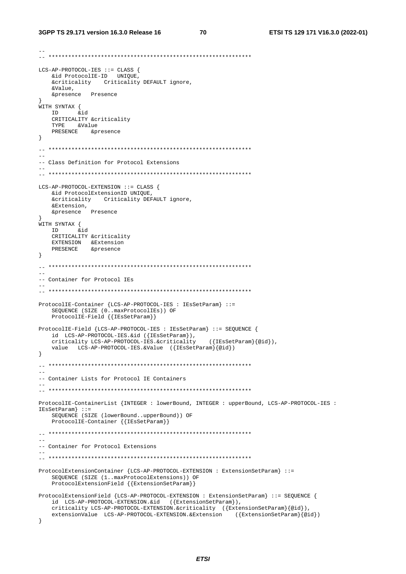#### 3GPP TS 29.171 version 16.3.0 Release 16

70

```
\begin{minipage}{0.9\linewidth} \verb|LCS-AP-PROTOCOL-IES| := CLASS { \verb| \& id ProtocolIE-ID| UNIQUE|, } \end{minipage}&criticality Criticality DEFAULT ignore,
   &Value,
   &presence Presence
\rightarrowWITH SYNTAX {
  ID &id
   CRITICALITY &criticality
   TYPE &Value
   PRESENCE & presence
\left\{ \right\}-- Class Definition for Protocol Extensions
LCS-AP-PROTOCOL-EXTENSION ::= CLASS {
   &id ProtocolExtensionID UNIQUE,
   &criticality Criticality DEFAULT ignore,
   &Extension,
   &presence Presence
WITH SYNTAX {
        hia
   TDCRITICALITY &criticality
   EXTENSION & Extension
   PRESENCE & presence
\left\{ \right\}-- Container for Protocol IEs
ProtocolIE-Container {LCS-AP-PROTOCOL-IES : IEsSetParam} ::=
   SEQUENCE (SIZE (0..maxProtocolIEs)) OF<br>ProtocolIE-Field {{IESSetParam}}
ProtocolIE-Field {LCS-AP-PROTOCOL-IES : IEsSetParam} ::= SEQUENCE {
  id LCS-AP-PROTOCOL-IES.&id ({IESSetParam}),
   criticality LCS-AP-PROTOCOL-IES.&criticality
                                         ({\{IESSetParam\}}\{@id\}),
   value LCS-AP-PROTOCOL-IES.&Value ({IEsSetParam}{@id})
\}\sim \sim-- Container Lists for Protocol IE Containers
ProtocolIE-ContainerList {INTEGER : lowerBound, INTEGER : upperBound, LCS-AP-PROTOCOL-IES :
IESSetParam: :=
   SEOUENCE (SIZE (lowerBound..upperBound)) OF
   ProtocolIE-Container { {IESSetParam}}
--- Container for Protocol Extensions
\frac{1}{2}ProtocolExtensionContainer {LCS-AP-PROTOCOL-EXTENSION : ExtensionSetParam} ::=
   SEQUENCE (SIZE (1..maxProtocolExtensions)) OF
   ProtocolExtensionField {{ExtensionSetParam}}
ProtocolExtensionField {LCS-AP-PROTOCOL-EXTENSION : ExtensionSetParam} : := SEQUENCE {
   id LCS-AP-PROTOCOL-EXTENSION.&id ({ExtensionSetParam}),
   criticality LCS-AP-PROTOCOL-EXTENSION.&criticality ({ExtensionSetParam}{@id}),
   extensionValue LCS-AP-PROTOCOL-EXTENSION.&Extension ({ExtensionSetParam}{@id})
\left\{ \right\}
```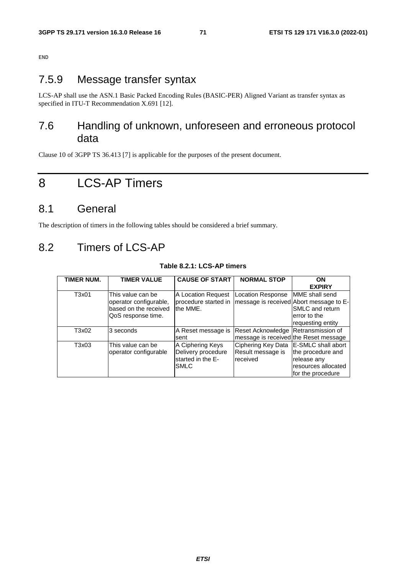resources allocated for the procedure

END

# 7.5.9 Message transfer syntax

LCS-AP shall use the ASN.1 Basic Packed Encoding Rules (BASIC-PER) Aligned Variant as transfer syntax as specified in ITU-T Recommendation X.691 [12].

## 7.6 Handling of unknown, unforeseen and erroneous protocol data

Clause 10 of 3GPP TS 36.413 [7] is applicable for the purposes of the present document.

# 8 LCS-AP Timers

## 8.1 General

The description of timers in the following tables should be considered a brief summary.

# 8.2 Timers of LCS-AP

| 1 <i>a</i> ui <del>c</del> 0.4.1. LGJ-AF (1111613 |                                                                                            |                                                                                                                       |                                                                              |                                                                         |  |  |
|---------------------------------------------------|--------------------------------------------------------------------------------------------|-----------------------------------------------------------------------------------------------------------------------|------------------------------------------------------------------------------|-------------------------------------------------------------------------|--|--|
| TIMER NUM.                                        | <b>TIMER VALUE</b>                                                                         | <b>CAUSE OF START</b>                                                                                                 | <b>NORMAL STOP</b>                                                           | <b>ON</b>                                                               |  |  |
|                                                   |                                                                                            |                                                                                                                       |                                                                              | <b>EXPIRY</b>                                                           |  |  |
| T3x01                                             | This value can be<br>operator configurable,<br>based on the received<br>QoS response time. | A Location Request   Location Response<br>procedure started in   message is received  Abort message to E-<br>the MME. |                                                                              | MME shall send<br>SMLC and return<br>lerror to the<br>requesting entity |  |  |
| T3x02                                             | 3 seconds                                                                                  | A Reset message is<br>sent                                                                                            | Reset Acknowledge Retransmission of<br>message is received the Reset message |                                                                         |  |  |
| T3x03                                             | This value can be<br>operator configurable                                                 | A Ciphering Keys<br>Delivery procedure<br>started in the E-                                                           | Ciphering Key Data   E-SMLC shall abort<br>Result message is<br>received     | the procedure and<br>release any                                        |  |  |

SMLC

**Table 8.2.1: LCS-AP timers**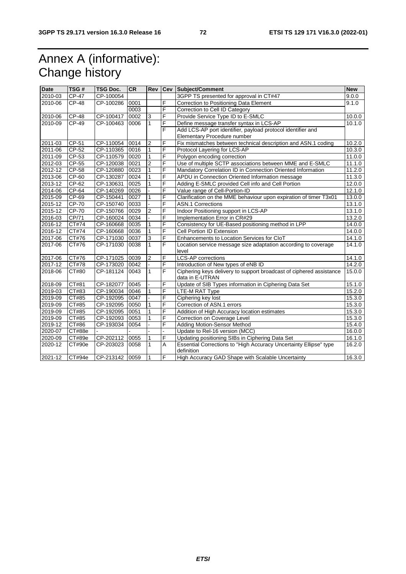## Annex A (informative): Change history

| <b>Date</b> | TSG#         | <b>TSG Doc.</b> | <b>CR</b> |                |                | Rev   Cev   Subject/Comment                                                            | <b>New</b> |
|-------------|--------------|-----------------|-----------|----------------|----------------|----------------------------------------------------------------------------------------|------------|
| 2010-03     | <b>CP-47</b> | CP-100054       |           |                |                | 3GPP TS presented for approval in CT#47                                                | 9.0.0      |
| 2010-06     | <b>CP-48</b> | CP-100286       | 0001      |                | F              | Correction to Positioning Data Element                                                 | 9.1.0      |
|             |              |                 | 0003      |                | F              | Correction to Cell ID Category                                                         |            |
| 2010-06     | <b>CP-48</b> | CP-100417       | 0002      | 3              | F              | Provide Service Type ID to E-SMLC                                                      | 10.0.0     |
| 2010-09     | CP-49        | CP-100463       | 0006      | $\mathbf{1}$   | F              | Define message transfer syntax in LCS-AP                                               | 10.1.0     |
|             |              |                 |           |                | F              | Add LCS-AP port identifier, payload protocol identifier and                            |            |
|             |              |                 |           |                |                | Elementary Procedure number                                                            |            |
| 2011-03     | $CP-51$      | CP-110054       | 0014      | $\overline{2}$ | F              | Fix mismatches between technical description and ASN.1 coding                          | 10.2.0     |
| 2011-06     | CP-52        | CP-110365 0016  |           | 1              | F              | Protocol Layering for LCS-AP                                                           | 10.3.0     |
| 2011-09     | CP-53        | CP-110579       | 0020      | 1              | F              | Polygon encoding correction                                                            | 11.0.0     |
| 2012-03     | $CP-55$      | CP-120038 0021  |           | $\overline{2}$ | F              | Use of multiple SCTP associations between MME and E-SMLC                               | 11.1.0     |
| 2012-12     | $CP-58$      | CP-120880 0023  |           | $\mathbf{1}$   | F              | Mandatory Correlation ID in Connection Oriented Information                            | 11.2.0     |
| 2013-06     | CP-60        | CP-130287 0024  |           | $\mathbf{1}$   | F              | APDU in Connection Oriented Information message                                        | 11.3.0     |
| 2013-12     | CP-62        | CP-130631       | 0025      | $\mathbf{1}$   | F              | Adding E-SMLC provided Cell info and Cell Portion                                      | 12.0.0     |
| 2014-06     | CP-64        | CP-140269       | 0026      |                | F              | Value range of Cell-Portion-ID                                                         | 12.1.0     |
| 2015-09     | CP-69        | CP-150441       | 0027      |                | F              | Clarification on the MME behaviour upon expiration of timer T3x01                      | 13.0.0     |
| 2015-12     | CP-70        | CP-150740       | 0033      |                | F              | <b>ASN.1 Corrections</b>                                                               | 13.1.0     |
| 2015-12     | CP-70        | CP-150766 0029  |           | $\overline{2}$ | F              | Indoor Positioning support in LCS-AP                                                   | 13.1.0     |
| 2016-03     | CP/71        | CP-160024       | 0034      |                | F              | Implementation Error in CR#29                                                          | 13.2.0     |
| 2016-12     | CT#74        | CP-160668 0035  |           | 1              | F              | Consistency for UE-Based positioning method in LPP                                     | 14.0.0     |
| 2016-12     | CT#74        | CP-160668       | 0036      | $\mathbf{1}$   | F              | Cell Portion ID Extension                                                              | 14.0.0     |
| 2017-06     | CT#76        | CP-171030       | 0037      | 3              | F              | Enhancements to Location Services for CloT                                             | 14.1.0     |
| 2017-06     | CT#76        | CP-171030       | 0038      | $\mathbf{1}$   | F              | Location service message size adaptation according to coverage<br>level                | 14.1.0     |
| 2017-06     | CT#76        | CP-171025       | 0039      | $\overline{2}$ | F              | <b>LCS-AP</b> corrections                                                              | 14.1.0     |
| 2017-12     | CT#78        | CP-173020       | 0042      | L.             | F              | Introduction of New types of eNB ID                                                    | 14.2.0     |
| 2018-06     | CT#80        | CP-181124       | 0043      | $\mathbf{1}$   | F              | Ciphering keys delivery to support broadcast of ciphered assistance<br>data in E-UTRAN | 15.0.0     |
| 2018-09     | CT#81        | CP-182077       | 0045      |                | F              | Update of SIB Types information in Ciphering Data Set                                  | 15.1.0     |
| 2019-03     | CT#83        | CP-190034 0046  |           | 1              | F              | LTE-M RAT Type                                                                         | 15.2.0     |
| 2019-09     | CT#85        | CP-192095 0047  |           |                | F              | Ciphering key lost                                                                     | 15.3.0     |
| 2019-09     | CT#85        | CP-192095       | 0050      | 1              | F              | Correction of ASN.1 errors                                                             | 15.3.0     |
| 2019-09     | CT#85        | CP-192095       | 0051      | 1              | F              | Addition of High Accuracy location estimates                                           | 15.3.0     |
| 2019-09     | CT#85        | CP-192093       | 0053      |                | F              | Correction on Coverage Level                                                           | 15.3.0     |
| 2019-12     | CT#86        | CP-193034       | 0054      |                | F              | <b>Adding Motion-Sensor Method</b>                                                     | 15.4.0     |
| 2020-07     | CT#88e       |                 |           |                |                | Update to Rel-16 version (MCC)                                                         | 16.0.0     |
| 2020-09     | CT#89e       | CP-202112       | 0055      | $\mathbf{1}$   | F              | Updating positioning SIBs in Ciphering Data Set                                        | 16.1.0     |
| 2020-12     | CT#90e       | CP-203023       | 0058      | $\mathbf{1}$   | A              | Essential Corrections to "High Accuracy Uncertainty Ellipse" type<br>definition        | 16.2.0     |
| 2021-12     | CT#94e       | CP-213142 0059  |           | 1              | $\overline{F}$ | High Accuracy GAD Shape with Scalable Uncertainty                                      | 16.3.0     |